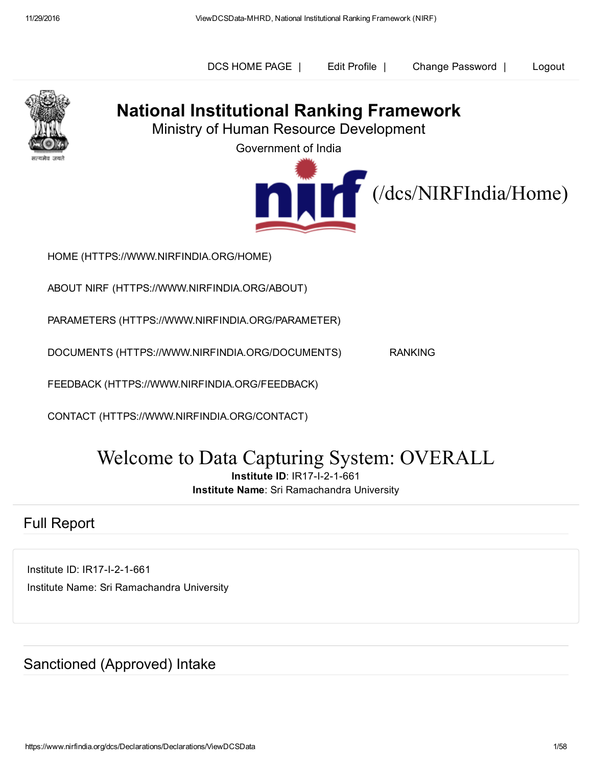



## National Institutional Ranking Framework

Ministry of Human Resource Development

Government of India



HOME [\(HTTPS://WWW.NIRFINDIA.ORG/HOME\)](https://www.nirfindia.org/Home)

ABOUT NIRF [\(HTTPS://WWW.NIRFINDIA.ORG/ABOUT\)](https://www.nirfindia.org/About)

PARAMETERS [\(HTTPS://WWW.NIRFINDIA.ORG/PARAMETER\)](https://www.nirfindia.org/Parameter)

DOCUMENTS [\(HTTPS://WWW.NIRFINDIA.ORG/DOCUMENTS\)](https://www.nirfindia.org/Documents) RANKING

FEEDBACK [\(HTTPS://WWW.NIRFINDIA.ORG/FEEDBACK\)](https://www.nirfindia.org/Feedback)

CONTACT [\(HTTPS://WWW.NIRFINDIA.ORG/CONTACT\)](https://www.nirfindia.org/Contact)

# Welcome to Data Capturing System: OVERALL

**Institute ID: IR17-I-2-1-661** 

Institute Name: Sri Ramachandra University

#### Full Report

Institute ID: IR17-I-2-1-661 Institute Name: Sri Ramachandra University

Sanctioned (Approved) Intake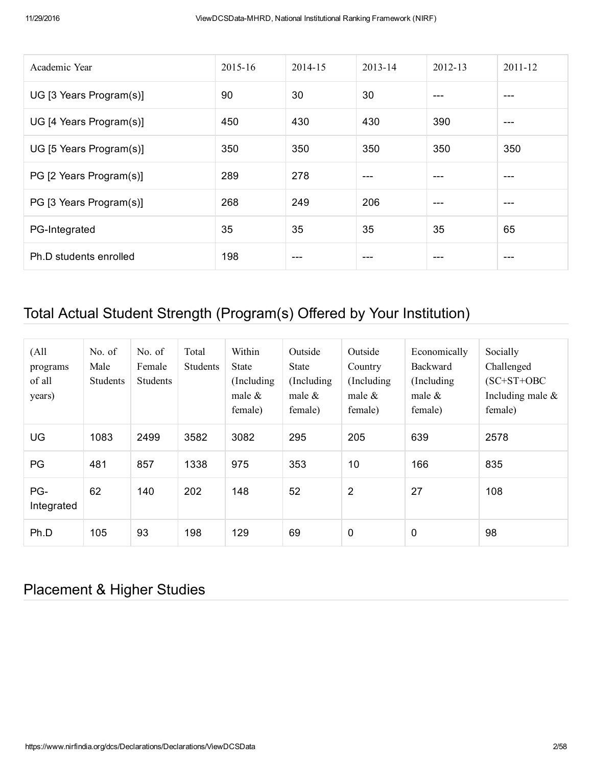| Academic Year           | 2015-16 | 2014-15 | 2013-14 | 2012-13 | 2011-12 |
|-------------------------|---------|---------|---------|---------|---------|
| UG [3 Years Program(s)] | 90      | 30      | 30      | ---     | ---     |
| UG [4 Years Program(s)] | 450     | 430     | 430     | 390     | ---     |
| UG [5 Years Program(s)] | 350     | 350     | 350     | 350     | 350     |
| PG [2 Years Program(s)] | 289     | 278     | ---     | ---     | $---$   |
| PG [3 Years Program(s)] | 268     | 249     | 206     | ---     | ---     |
| PG-Integrated           | 35      | 35      | 35      | 35      | 65      |
| Ph.D students enrolled  | 198     | ---     | ---     |         | ---     |

## Total Actual Student Strength (Program(s) Offered by Your Institution)

| (A <sup>11</sup> )<br>programs<br>of all<br>years) | No. of<br>Male<br>Students | No. of<br>Female<br>Students | Total<br><b>Students</b> | Within<br>State<br>(Including)<br>male $\&$<br>female) | Outside<br>State<br>(Including)<br>male $\&$<br>female) | Outside<br>Country<br>(Including)<br>male $\&$<br>female) | Economically<br>Backward<br>(Including)<br>male $\&$<br>female) | Socially<br>Challenged<br>$(SC+ST+OBC$<br>Including male $\&$<br>female) |
|----------------------------------------------------|----------------------------|------------------------------|--------------------------|--------------------------------------------------------|---------------------------------------------------------|-----------------------------------------------------------|-----------------------------------------------------------------|--------------------------------------------------------------------------|
| UG                                                 | 1083                       | 2499                         | 3582                     | 3082                                                   | 295                                                     | 205                                                       | 639                                                             | 2578                                                                     |
| PG                                                 | 481                        | 857                          | 1338                     | 975                                                    | 353                                                     | 10                                                        | 166                                                             | 835                                                                      |
| PG-<br>Integrated                                  | 62                         | 140                          | 202                      | 148                                                    | 52                                                      | $\overline{2}$                                            | 27                                                              | 108                                                                      |
| Ph.D                                               | 105                        | 93                           | 198                      | 129                                                    | 69                                                      | $\mathbf 0$                                               | 0                                                               | 98                                                                       |

### Placement & Higher Studies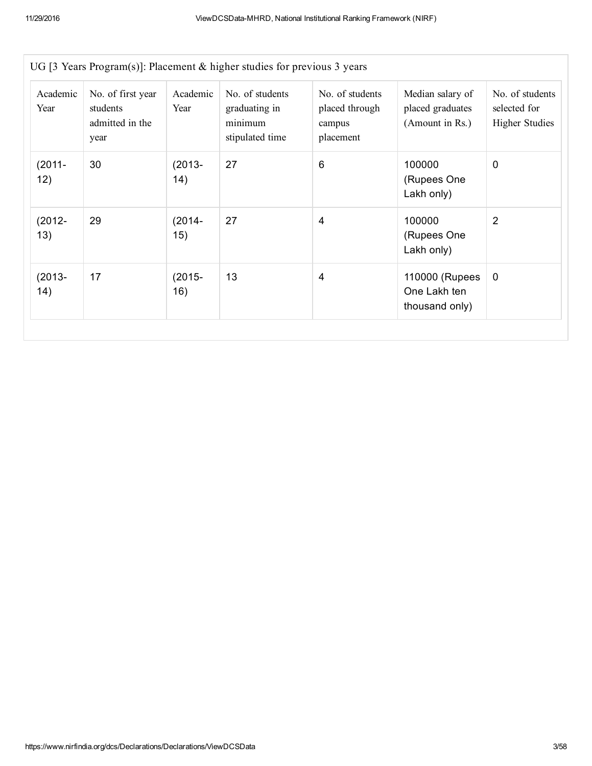| Academic<br>Year  | No. of first year<br>students<br>admitted in the<br>year | Academic<br>Year | No. of students<br>graduating in<br>minimum<br>stipulated time | No. of students<br>placed through<br>campus<br>placement | Median salary of<br>placed graduates<br>(Amount in Rs.) | No. of students<br>selected for<br><b>Higher Studies</b> |
|-------------------|----------------------------------------------------------|------------------|----------------------------------------------------------------|----------------------------------------------------------|---------------------------------------------------------|----------------------------------------------------------|
| $(2011 -$<br>12)  | 30                                                       | $(2013 -$<br>14) | 27                                                             | 6                                                        | 100000<br>(Rupees One<br>Lakh only)                     | $\mathbf 0$                                              |
| $(2012 -$<br>13)  | 29                                                       | $(2014 -$<br>15) | 27                                                             | 4                                                        | 100000<br>(Rupees One<br>Lakh only)                     | $\overline{2}$                                           |
| $(2013 -$<br>(14) | 17                                                       | $(2015 -$<br>16) | 13                                                             | $\overline{4}$                                           | 110000 (Rupees<br>One Lakh ten<br>thousand only)        | 0                                                        |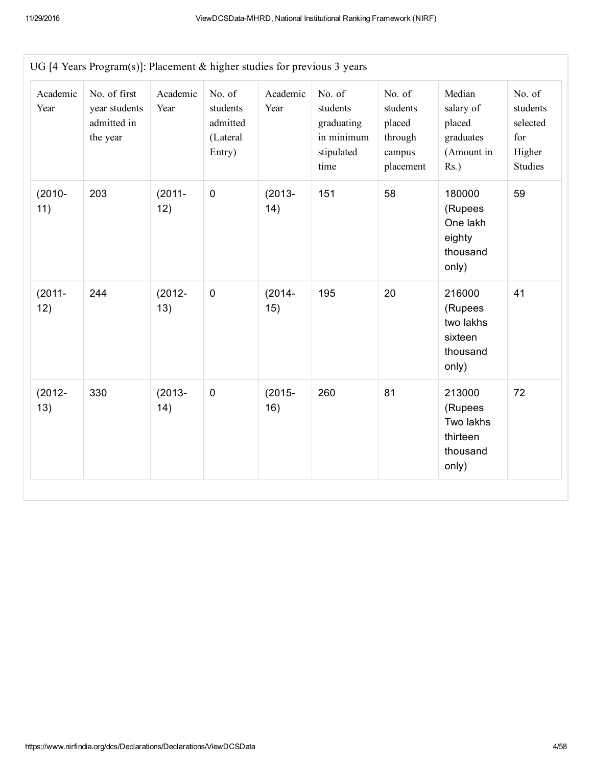| Academic<br>Year | No. of first<br>year students<br>admitted in<br>the year | Academic<br>Year | No. of<br>students<br>admitted<br>(Lateral<br>Entry) | Academic<br>Year | No. of<br>students<br>graduating<br>in minimum<br>stipulated<br>time | No. of<br>students<br>placed<br>through<br>campus<br>placement | Median<br>salary of<br>placed<br>graduates<br>(Amount in<br>$Rs.$ ) | No. of<br>students<br>selected<br>for<br>Higher<br><b>Studies</b> |
|------------------|----------------------------------------------------------|------------------|------------------------------------------------------|------------------|----------------------------------------------------------------------|----------------------------------------------------------------|---------------------------------------------------------------------|-------------------------------------------------------------------|
| $(2010 -$<br>11) | 203                                                      | $(2011 -$<br>12) | $\mathbf 0$                                          | $(2013 -$<br>14) | 151                                                                  | 58                                                             | 180000<br>(Rupees<br>One lakh<br>eighty<br>thousand<br>only)        | 59                                                                |
| $(2011 -$<br>12) | 244                                                      | $(2012 -$<br>13) | $\mathbf 0$                                          | $(2014 -$<br>15) | 195                                                                  | 20                                                             | 216000<br>(Rupees<br>two lakhs<br>sixteen<br>thousand<br>only)      | 41                                                                |
| $(2012 -$<br>13) | 330                                                      | $(2013 -$<br>14) | $\pmb{0}$                                            | $(2015 -$<br>16) | 260                                                                  | 81                                                             | 213000<br>(Rupees<br>Two lakhs<br>thirteen<br>thousand<br>only)     | 72                                                                |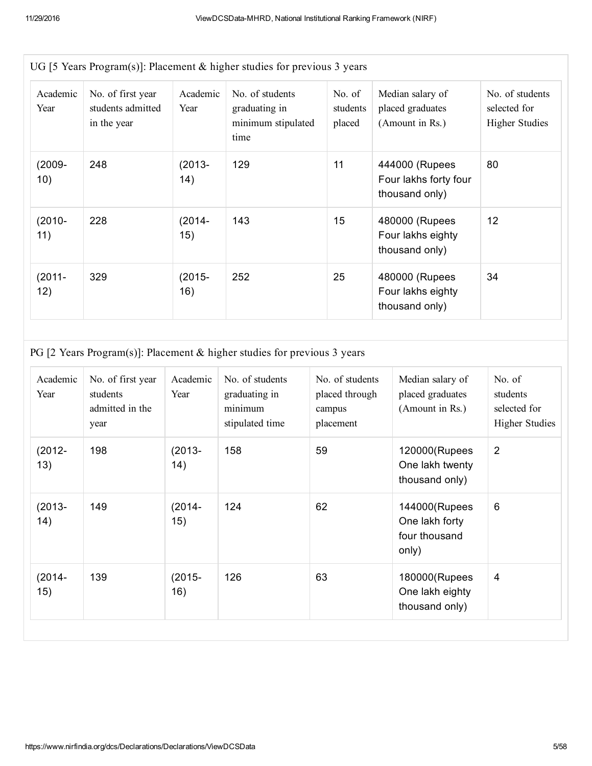| UG [5 Years Program(s)]: Placement & higher studies for previous 3 years |                                                       |                  |                                                                |                              |                                                           |                                                          |  |  |  |  |
|--------------------------------------------------------------------------|-------------------------------------------------------|------------------|----------------------------------------------------------------|------------------------------|-----------------------------------------------------------|----------------------------------------------------------|--|--|--|--|
| Academic<br>Year                                                         | No. of first year<br>students admitted<br>in the year | Academic<br>Year | No. of students<br>graduating in<br>minimum stipulated<br>time | No. of<br>students<br>placed | Median salary of<br>placed graduates<br>(Amount in Rs.)   | No. of students<br>selected for<br><b>Higher Studies</b> |  |  |  |  |
| $(2009 -$<br>10)                                                         | 248                                                   | $(2013 -$<br>14) | 129                                                            | 11                           | 444000 (Rupees<br>Four lakhs forty four<br>thousand only) | 80                                                       |  |  |  |  |
| $(2010 -$<br>11)                                                         | 228                                                   | $(2014 -$<br>15) | 143                                                            | 15                           | 480000 (Rupees<br>Four lakhs eighty<br>thousand only)     | 12                                                       |  |  |  |  |
| $(2011 -$<br>12)                                                         | 329                                                   | $(2015 -$<br>16) | 252                                                            | 25                           | 480000 (Rupees<br>Four lakhs eighty<br>thousand only)     | 34                                                       |  |  |  |  |

PG [2 Years Program(s)]: Placement & higher studies for previous 3 years

| Academic<br>Year | No. of first year<br>students<br>admitted in the<br>year | Academic<br>Year  | No. of students<br>graduating in<br>minimum<br>stipulated time | No. of students<br>placed through<br>campus<br>placement | Median salary of<br>placed graduates<br>(Amount in Rs.)   | No. of<br>students<br>selected for<br><b>Higher Studies</b> |
|------------------|----------------------------------------------------------|-------------------|----------------------------------------------------------------|----------------------------------------------------------|-----------------------------------------------------------|-------------------------------------------------------------|
| $(2012 -$<br>13) | 198                                                      | $(2013 -$<br>(14) | 158                                                            | 59                                                       | 120000(Rupees<br>One lakh twenty<br>thousand only)        | $\overline{2}$                                              |
| $(2013 -$<br>14) | 149                                                      | $(2014 -$<br>15)  | 124                                                            | 62                                                       | 144000(Rupees<br>One lakh forty<br>four thousand<br>only) | 6                                                           |
| $(2014 -$<br>15) | 139                                                      | $(2015 -$<br>16)  | 126                                                            | 63                                                       | 180000(Rupees<br>One lakh eighty<br>thousand only)        | 4                                                           |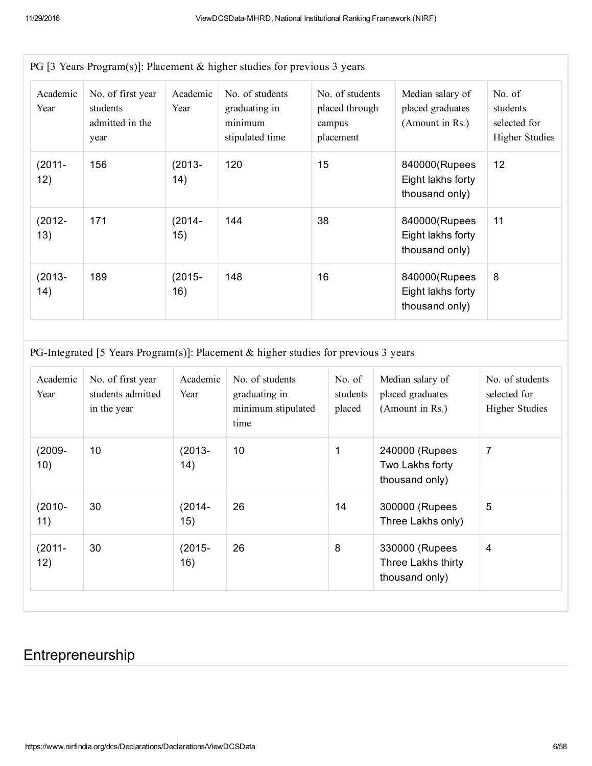| Academic<br>Year  | No. of first year<br>students<br>admitted in the<br>year | Academic<br>Year | No. of students<br>graduating in<br>minimum<br>stipulated time | No. of students<br>placed through<br>campus<br>placement | Median salary of<br>placed graduates<br>(Amount in Rs.) | No. of<br>students<br>selected for<br><b>Higher Studies</b> |
|-------------------|----------------------------------------------------------|------------------|----------------------------------------------------------------|----------------------------------------------------------|---------------------------------------------------------|-------------------------------------------------------------|
| $(2011 -$<br>12)  | 156                                                      | $(2013 -$<br>14) | 120                                                            | 15                                                       | 840000(Rupees<br>Eight lakhs forty<br>thousand only)    | 12                                                          |
| $(2012 -$<br>13)  | 171                                                      | $(2014 -$<br>15) | 144                                                            | 38                                                       | 840000(Rupees<br>Eight lakhs forty<br>thousand only)    | 11                                                          |
| $(2013 -$<br>(14) | 189                                                      | $(2015 -$<br>16) | 148                                                            | 16                                                       | 840000(Rupees<br>Eight lakhs forty<br>thousand only)    | 8                                                           |

PG [3 Years Program(s)]: Placement & higher studies for previous 3 years

PG-Integrated [5 Years Program(s)]: Placement & higher studies for previous 3 years

| Academic<br>Year | No. of first year<br>students admitted<br>in the year | Academic<br>Year | No. of students<br>graduating in<br>minimum stipulated<br>time | No. of<br>students<br>placed | Median salary of<br>placed graduates<br>(Amount in Rs.) | No. of students<br>selected for<br><b>Higher Studies</b> |
|------------------|-------------------------------------------------------|------------------|----------------------------------------------------------------|------------------------------|---------------------------------------------------------|----------------------------------------------------------|
| $(2009 -$<br>10) | 10                                                    | $(2013 -$<br>14) | 10 <sup>°</sup>                                                | 1                            | 240000 (Rupees<br>Two Lakhs forty<br>thousand only)     | 7                                                        |
| $(2010 -$<br>11) | 30                                                    | $(2014 -$<br>15) | 26                                                             | 14                           | 300000 (Rupees<br>Three Lakhs only)                     | 5                                                        |
| $(2011 -$<br>12) | 30                                                    | $(2015 -$<br>16) | 26                                                             | 8                            | 330000 (Rupees<br>Three Lakhs thirty<br>thousand only)  | 4                                                        |

#### Entrepreneurship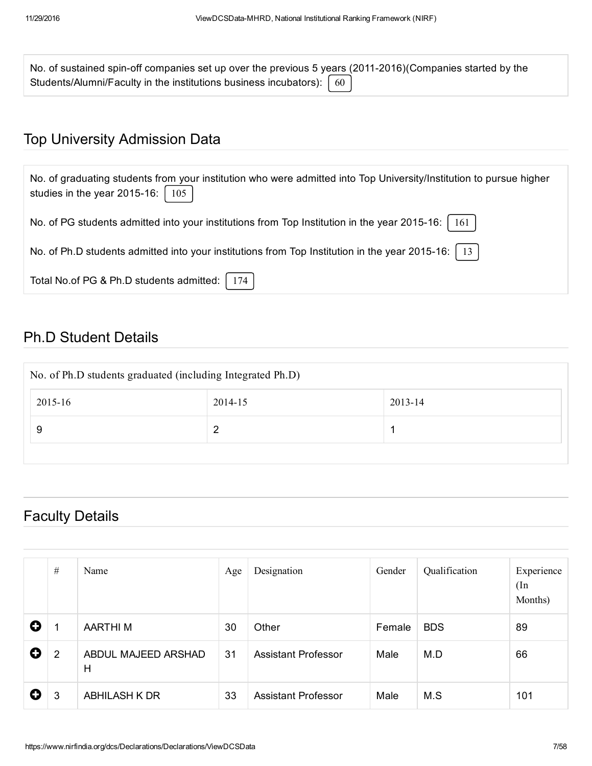| No. of sustained spin-off companies set up over the previous 5 years (2011-2016) (Companies started by the |  |
|------------------------------------------------------------------------------------------------------------|--|
| Students/Alumni/Faculty in the institutions business incubators): $\begin{bmatrix} 60 \end{bmatrix}$       |  |

### Top University Admission Data

| No. of graduating students from your institution who were admitted into Top University/Institution to pursue higher<br>studies in the year 2015-16: $\vert$ 105 |
|-----------------------------------------------------------------------------------------------------------------------------------------------------------------|
| No. of PG students admitted into your institutions from Top Institution in the year 2015-16:<br>161                                                             |
| No. of Ph.D students admitted into your institutions from Top Institution in the year 2015-16:   13                                                             |
| Total No.of PG & Ph.D students admitted:<br>174                                                                                                                 |

### Ph.D Student Details

| No. of Ph.D students graduated (including Integrated Ph.D) |         |         |  |  |  |  |  |  |  |
|------------------------------------------------------------|---------|---------|--|--|--|--|--|--|--|
| 2015-16                                                    | 2014-15 | 2013-14 |  |  |  |  |  |  |  |
| 9                                                          | 2       |         |  |  |  |  |  |  |  |
|                                                            |         |         |  |  |  |  |  |  |  |

## Faculty Details

|   | $\#$           | Name                     | Age | Designation                | Gender | Qualification | Experience<br>(In<br>Months) |
|---|----------------|--------------------------|-----|----------------------------|--------|---------------|------------------------------|
| 0 | 1              | <b>AARTHIM</b>           | 30  | Other                      | Female | <b>BDS</b>    | 89                           |
| O | $\overline{2}$ | ABDUL MAJEED ARSHAD<br>H | 31  | <b>Assistant Professor</b> | Male   | M.D           | 66                           |
| O | 3              | <b>ABHILASH K DR</b>     | 33  | <b>Assistant Professor</b> | Male   | M.S           | 101                          |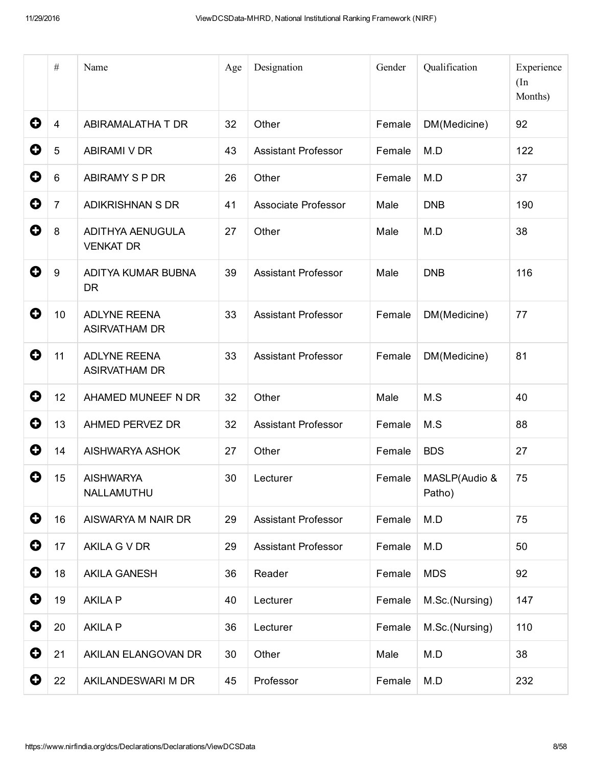|                       | $\#$             | Name                                        | Age | Designation                | Gender | Qualification           | Experience<br>(In<br>Months) |
|-----------------------|------------------|---------------------------------------------|-----|----------------------------|--------|-------------------------|------------------------------|
| 0                     | $\overline{4}$   | ABIRAMALATHA T DR                           | 32  | Other                      | Female | DM(Medicine)            | 92                           |
| 0                     | 5                | <b>ABIRAMI V DR</b>                         | 43  | <b>Assistant Professor</b> | Female | M.D                     | 122                          |
| 0                     | $6\phantom{1}6$  | ABIRAMY S P DR                              | 26  | Other                      | Female | M.D                     | 37                           |
| 0                     | $\overline{7}$   | <b>ADIKRISHNAN S DR</b>                     | 41  | Associate Professor        | Male   | <b>DNB</b>              | 190                          |
| 0                     | 8                | <b>ADITHYA AENUGULA</b><br><b>VENKAT DR</b> | 27  | Other                      | Male   | M.D                     | 38                           |
| 0                     | $\boldsymbol{9}$ | ADITYA KUMAR BUBNA<br><b>DR</b>             | 39  | <b>Assistant Professor</b> | Male   | <b>DNB</b>              | 116                          |
| 0                     | 10               | <b>ADLYNE REENA</b><br><b>ASIRVATHAM DR</b> | 33  | <b>Assistant Professor</b> | Female | DM(Medicine)            | 77                           |
| 0                     | 11               | <b>ADLYNE REENA</b><br><b>ASIRVATHAM DR</b> | 33  | <b>Assistant Professor</b> | Female | DM(Medicine)            | 81                           |
| 0                     | 12               | AHAMED MUNEEF N DR                          | 32  | Other                      | Male   | M.S                     | 40                           |
| $\boldsymbol{\Theta}$ | 13               | AHMED PERVEZ DR                             | 32  | <b>Assistant Professor</b> | Female | M.S                     | 88                           |
| 0                     | 14               | AISHWARYA ASHOK                             | 27  | Other                      | Female | <b>BDS</b>              | 27                           |
| O                     | 15               | <b>AISHWARYA</b><br>NALLAMUTHU              | 30  | Lecturer                   | Female | MASLP(Audio &<br>Patho) | 75                           |
| $\mathbf 0$           | 16               | AISWARYA M NAIR DR                          | 29  | <b>Assistant Professor</b> | Female | M.D                     | 75                           |
| 0                     | 17               | AKILA G V DR                                | 29  | <b>Assistant Professor</b> | Female | M.D                     | 50                           |
| $\bullet$             | 18               | <b>AKILA GANESH</b>                         | 36  | Reader                     | Female | <b>MDS</b>              | 92                           |
| $\mathbf 0$           | 19               | <b>AKILA P</b>                              | 40  | Lecturer                   | Female | M.Sc.(Nursing)          | 147                          |
| 0                     | 20               | <b>AKILA P</b>                              | 36  | Lecturer                   | Female | M.Sc.(Nursing)          | 110                          |
| $\bullet$             | 21               | AKILAN ELANGOVAN DR                         | 30  | Other                      | Male   | M.D                     | 38                           |
| $\mathbf 0$           | 22               | AKILANDESWARI M DR                          | 45  | Professor                  | Female | M.D                     | 232                          |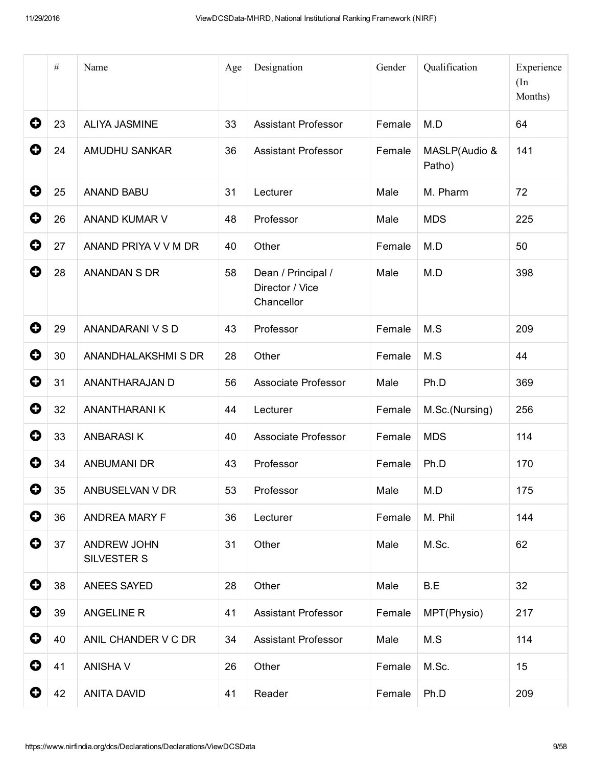|   | $\#$ | Name                              | Age | Designation                                         | Gender | Qualification           | Experience<br>(In<br>Months) |
|---|------|-----------------------------------|-----|-----------------------------------------------------|--------|-------------------------|------------------------------|
| 0 | 23   | <b>ALIYA JASMINE</b>              | 33  | <b>Assistant Professor</b>                          | Female | M.D                     | 64                           |
| 0 | 24   | AMUDHU SANKAR                     | 36  | <b>Assistant Professor</b>                          | Female | MASLP(Audio &<br>Patho) | 141                          |
| 0 | 25   | <b>ANAND BABU</b>                 | 31  | Lecturer                                            | Male   | M. Pharm                | 72                           |
| 0 | 26   | ANAND KUMAR V                     | 48  | Professor                                           | Male   | <b>MDS</b>              | 225                          |
| 0 | 27   | ANAND PRIYA V V M DR              | 40  | Other                                               | Female | M.D                     | 50                           |
| 0 | 28   | <b>ANANDAN S DR</b>               | 58  | Dean / Principal /<br>Director / Vice<br>Chancellor | Male   | M.D                     | 398                          |
| 0 | 29   | ANANDARANI V S D                  | 43  | Professor                                           | Female | M.S                     | 209                          |
| 0 | 30   | ANANDHALAKSHMISDR                 | 28  | Other                                               | Female | M.S                     | 44                           |
| 0 | 31   | ANANTHARAJAN D                    | 56  | Associate Professor                                 | Male   | Ph.D                    | 369                          |
| 0 | 32   | <b>ANANTHARANIK</b>               | 44  | Lecturer                                            | Female | M.Sc.(Nursing)          | 256                          |
| 0 | 33   | <b>ANBARASIK</b>                  | 40  | Associate Professor                                 | Female | <b>MDS</b>              | 114                          |
| O | 34   | <b>ANBUMANI DR</b>                | 43  | Professor                                           | Female | Ph.D                    | 170                          |
| 0 | 35   | ANBUSELVAN V DR                   | 53  | Professor                                           | Male   | M.D                     | 175                          |
| 0 | 36   | <b>ANDREA MARY F</b>              | 36  | Lecturer                                            | Female | M. Phil                 | 144                          |
| 0 | 37   | <b>ANDREW JOHN</b><br>SILVESTER S | 31  | Other                                               | Male   | M.Sc.                   | 62                           |
| 0 | 38   | <b>ANEES SAYED</b>                | 28  | Other                                               | Male   | B.E                     | 32                           |
| 0 | 39   | ANGELINE R                        | 41  | <b>Assistant Professor</b>                          | Female | MPT(Physio)             | 217                          |
| 0 | 40   | ANIL CHANDER V C DR               | 34  | <b>Assistant Professor</b>                          | Male   | M.S                     | 114                          |
| 0 | 41   | <b>ANISHA V</b>                   | 26  | Other                                               | Female | M.Sc.                   | 15                           |
| 0 | 42   | <b>ANITA DAVID</b>                | 41  | Reader                                              | Female | Ph.D                    | 209                          |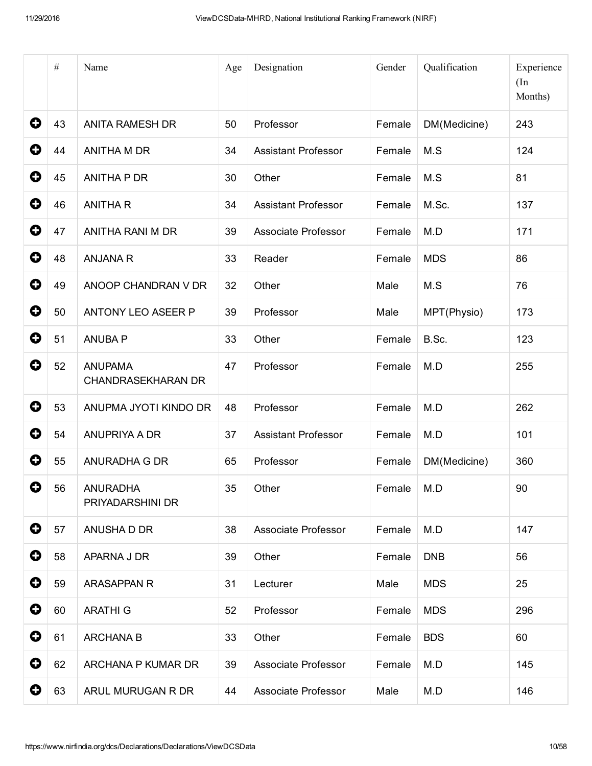|             | $\#$ | Name                                        | Age | Designation                | Gender | Qualification | Experience<br>(In<br>Months) |
|-------------|------|---------------------------------------------|-----|----------------------------|--------|---------------|------------------------------|
| 0           | 43   | <b>ANITA RAMESH DR</b>                      | 50  | Professor                  | Female | DM(Medicine)  | 243                          |
| 0           | 44   | ANITHA M DR                                 | 34  | <b>Assistant Professor</b> | Female | M.S           | 124                          |
| 0           | 45   | <b>ANITHA P DR</b>                          | 30  | Other                      | Female | M.S           | 81                           |
| 0           | 46   | <b>ANITHAR</b>                              | 34  | <b>Assistant Professor</b> | Female | M.Sc.         | 137                          |
| 0           | 47   | ANITHA RANI M DR                            | 39  | Associate Professor        | Female | M.D           | 171                          |
| 0           | 48   | <b>ANJANA R</b>                             | 33  | Reader                     | Female | <b>MDS</b>    | 86                           |
| 0           | 49   | ANOOP CHANDRAN V DR                         | 32  | Other                      | Male   | M.S           | 76                           |
| 0           | 50   | ANTONY LEO ASEER P                          | 39  | Professor                  | Male   | MPT(Physio)   | 173                          |
| 0           | 51   | <b>ANUBA P</b>                              | 33  | Other                      | Female | B.Sc.         | 123                          |
| 0           | 52   | <b>ANUPAMA</b><br><b>CHANDRASEKHARAN DR</b> | 47  | Professor                  | Female | M.D           | 255                          |
| 0           | 53   | ANUPMA JYOTI KINDO DR                       | 48  | Professor                  | Female | M.D           | 262                          |
| 0           | 54   | ANUPRIYA A DR                               | 37  | <b>Assistant Professor</b> | Female | M.D           | 101                          |
| 0           | 55   | ANURADHA G DR                               | 65  | Professor                  | Female | DM(Medicine)  | 360                          |
| O           | 56   | <b>ANURADHA</b><br>PRIYADARSHINI DR         | 35  | Other                      | Female | M.D           | 90                           |
| $\mathbf 0$ | 57   | ANUSHA D DR                                 | 38  | Associate Professor        | Female | M.D           | 147                          |
| $\mathbf 0$ | 58   | APARNA J DR                                 | 39  | Other                      | Female | <b>DNB</b>    | 56                           |
| $\bullet$   | 59   | <b>ARASAPPAN R</b>                          | 31  | Lecturer                   | Male   | <b>MDS</b>    | 25                           |
| $\mathbf 0$ | 60   | <b>ARATHI G</b>                             | 52  | Professor                  | Female | <b>MDS</b>    | 296                          |
| $\mathbf 0$ | 61   | <b>ARCHANA B</b>                            | 33  | Other                      | Female | <b>BDS</b>    | 60                           |
| 0           | 62   | ARCHANA P KUMAR DR                          | 39  | Associate Professor        | Female | M.D           | 145                          |
| 0           | 63   | ARUL MURUGAN R DR                           | 44  | Associate Professor        | Male   | M.D           | 146                          |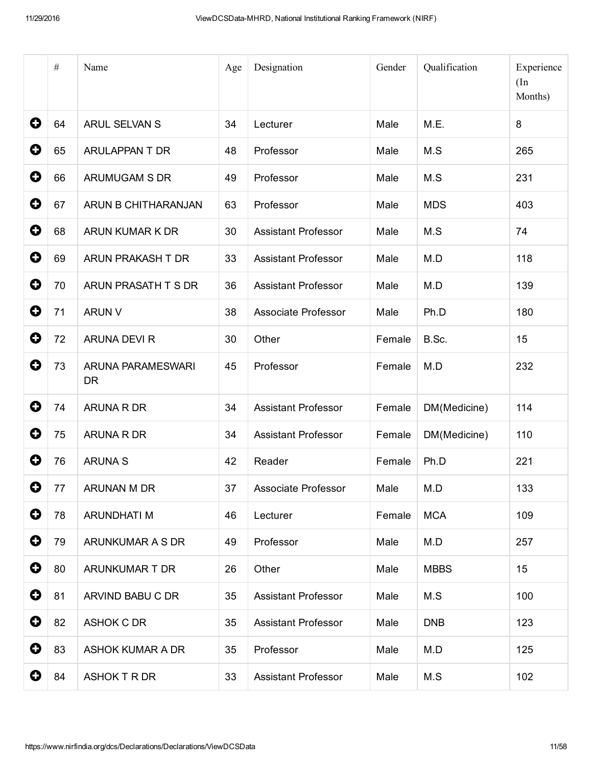|             | $\#$ | Name                           | Age | Designation                | Gender | Qualification | Experience<br>(In<br>Months) |
|-------------|------|--------------------------------|-----|----------------------------|--------|---------------|------------------------------|
| $\mathbf 0$ | 64   | <b>ARUL SELVAN S</b>           | 34  | Lecturer                   | Male   | M.E.          | 8                            |
| 0           | 65   | ARULAPPAN T DR                 | 48  | Professor                  | Male   | M.S           | 265                          |
| 0           | 66   | ARUMUGAM S DR                  | 49  | Professor                  | Male   | M.S           | 231                          |
| 0           | 67   | ARUN B CHITHARANJAN            | 63  | Professor                  | Male   | <b>MDS</b>    | 403                          |
| 0           | 68   | ARUN KUMAR K DR                | 30  | <b>Assistant Professor</b> | Male   | M.S           | 74                           |
| 0           | 69   | ARUN PRAKASH T DR              | 33  | <b>Assistant Professor</b> | Male   | M.D           | 118                          |
| $\mathbf o$ | 70   | ARUN PRASATH T S DR            | 36  | <b>Assistant Professor</b> | Male   | M.D           | 139                          |
| 0           | 71   | <b>ARUN V</b>                  | 38  | Associate Professor        | Male   | Ph.D          | 180                          |
| 0           | 72   | ARUNA DEVI R                   | 30  | Other                      | Female | B.Sc.         | 15                           |
| 0           | 73   | ARUNA PARAMESWARI<br><b>DR</b> | 45  | Professor                  | Female | M.D           | 232                          |
| 0           | 74   | ARUNA R DR                     | 34  | <b>Assistant Professor</b> | Female | DM(Medicine)  | 114                          |
| 0           | 75   | ARUNA R DR                     | 34  | <b>Assistant Professor</b> | Female | DM(Medicine)  | 110                          |
| 0           | 76   | <b>ARUNA S</b>                 | 42  | Reader                     | Female | Ph.D          | 221                          |
| 0           | 77   | ARUNAN M DR                    | 37  | Associate Professor        | Male   | M.D           | 133                          |
| $\bullet$   | 78   | <b>ARUNDHATI M</b>             | 46  | Lecturer                   | Female | <b>MCA</b>    | 109                          |
| 0           | 79   | ARUNKUMAR A S DR               | 49  | Professor                  | Male   | M.D           | 257                          |
| 0           | 80   | ARUNKUMAR T DR                 | 26  | Other                      | Male   | <b>MBBS</b>   | 15                           |
| $\bullet$   | 81   | ARVIND BABU C DR               | 35  | <b>Assistant Professor</b> | Male   | M.S           | 100                          |
| $\mathbf 0$ | 82   | <b>ASHOK C DR</b>              | 35  | <b>Assistant Professor</b> | Male   | <b>DNB</b>    | 123                          |
| $\mathbf 0$ | 83   | ASHOK KUMAR A DR               | 35  | Professor                  | Male   | M.D           | 125                          |
| 0           | 84   | ASHOK T R DR                   | 33  | <b>Assistant Professor</b> | Male   | M.S           | 102                          |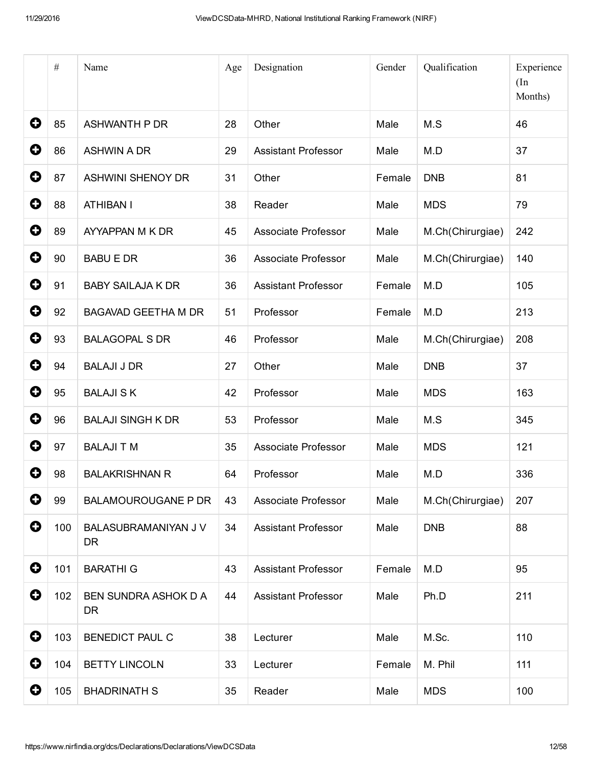|             | $\#$ | Name                                     | Age | Designation                | Gender | Qualification    | Experience<br>(In<br>Months) |
|-------------|------|------------------------------------------|-----|----------------------------|--------|------------------|------------------------------|
| 0           | 85   | <b>ASHWANTH P DR</b>                     | 28  | Other                      | Male   | M.S              | 46                           |
| 0           | 86   | <b>ASHWIN A DR</b>                       | 29  | <b>Assistant Professor</b> | Male   | M.D              | 37                           |
| 0           | 87   | <b>ASHWINI SHENOY DR</b>                 | 31  | Other                      | Female | <b>DNB</b>       | 81                           |
| 0           | 88   | <b>ATHIBAN I</b>                         | 38  | Reader                     | Male   | <b>MDS</b>       | 79                           |
| 0           | 89   | AYYAPPAN M K DR                          | 45  | Associate Professor        | Male   | M.Ch(Chirurgiae) | 242                          |
| 0           | 90   | <b>BABU E DR</b>                         | 36  | Associate Professor        | Male   | M.Ch(Chirurgiae) | 140                          |
| 0           | 91   | <b>BABY SAILAJA K DR</b>                 | 36  | <b>Assistant Professor</b> | Female | M.D              | 105                          |
| 0           | 92   | <b>BAGAVAD GEETHA M DR</b>               | 51  | Professor                  | Female | M.D              | 213                          |
| 0           | 93   | <b>BALAGOPAL S DR</b>                    | 46  | Professor                  | Male   | M.Ch(Chirurgiae) | 208                          |
| 0           | 94   | <b>BALAJI J DR</b>                       | 27  | Other                      | Male   | <b>DNB</b>       | 37                           |
| 0           | 95   | <b>BALAJI SK</b>                         | 42  | Professor                  | Male   | <b>MDS</b>       | 163                          |
| 0           | 96   | <b>BALAJI SINGH K DR</b>                 | 53  | Professor                  | Male   | M.S              | 345                          |
| 0           | 97   | <b>BALAJI T M</b>                        | 35  | Associate Professor        | Male   | <b>MDS</b>       | 121                          |
| 0           | 98   | <b>BALAKRISHNAN R</b>                    | 64  | Professor                  | Male   | M.D              | 336                          |
| 0           | 99   | <b>BALAMOUROUGANE P DR</b>               | 43  | Associate Professor        | Male   | M.Ch(Chirurgiae) | 207                          |
| $\mathbf 0$ | 100  | BALASUBRAMANIYAN J V<br><b>DR</b>        | 34  | <b>Assistant Professor</b> | Male   | <b>DNB</b>       | 88                           |
| $\mathbf 0$ | 101  | <b>BARATHI G</b>                         | 43  | <b>Assistant Professor</b> | Female | M.D              | 95                           |
| 0           | 102  | <b>BEN SUNDRA ASHOK D A</b><br><b>DR</b> | 44  | <b>Assistant Professor</b> | Male   | Ph.D             | 211                          |
| $\mathbf 0$ | 103  | <b>BENEDICT PAUL C</b>                   | 38  | Lecturer                   | Male   | M.Sc.            | 110                          |
| 0           | 104  | <b>BETTY LINCOLN</b>                     | 33  | Lecturer                   | Female | M. Phil          | 111                          |
| $\mathbf 0$ | 105  | <b>BHADRINATH S</b>                      | 35  | Reader                     | Male   | <b>MDS</b>       | 100                          |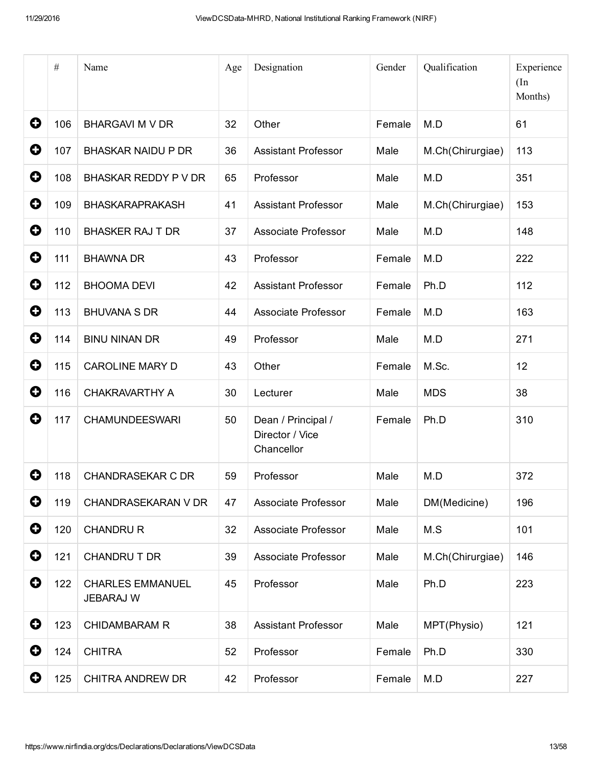|             | $\#$ | Name                                        | Age | Designation                                         | Gender | Qualification    | Experience<br>(In<br>Months) |
|-------------|------|---------------------------------------------|-----|-----------------------------------------------------|--------|------------------|------------------------------|
| 0           | 106  | <b>BHARGAVI M V DR</b>                      | 32  | Other                                               | Female | M.D              | 61                           |
| 0           | 107  | <b>BHASKAR NAIDU P DR</b>                   | 36  | <b>Assistant Professor</b>                          | Male   | M.Ch(Chirurgiae) | 113                          |
| 0           | 108  | BHASKAR REDDY P V DR                        | 65  | Professor                                           | Male   | M.D              | 351                          |
| 0           | 109  | <b>BHASKARAPRAKASH</b>                      | 41  | <b>Assistant Professor</b>                          | Male   | M.Ch(Chirurgiae) | 153                          |
| 0           | 110  | <b>BHASKER RAJ T DR</b>                     | 37  | Associate Professor                                 | Male   | M.D              | 148                          |
| 0           | 111  | <b>BHAWNA DR</b>                            | 43  | Professor                                           | Female | M.D              | 222                          |
| 0           | 112  | <b>BHOOMA DEVI</b>                          | 42  | <b>Assistant Professor</b>                          | Female | Ph.D             | 112                          |
| 0           | 113  | <b>BHUVANA S DR</b>                         | 44  | Associate Professor                                 | Female | M.D              | 163                          |
| 0           | 114  | <b>BINU NINAN DR</b>                        | 49  | Professor                                           | Male   | M.D              | 271                          |
| 0           | 115  | <b>CAROLINE MARY D</b>                      | 43  | Other                                               | Female | M.Sc.            | 12                           |
| 0           | 116  | <b>CHAKRAVARTHY A</b>                       | 30  | Lecturer                                            | Male   | <b>MDS</b>       | 38                           |
| 0           | 117  | <b>CHAMUNDEESWARI</b>                       | 50  | Dean / Principal /<br>Director / Vice<br>Chancellor | Female | Ph.D             | 310                          |
| 0           | 118  | <b>CHANDRASEKAR C DR</b>                    | 59  | Professor                                           | Male   | M.D              | 372                          |
| 0           | 119  | <b>CHANDRASEKARAN V DR</b>                  | 47  | Associate Professor                                 | Male   | DM(Medicine)     | 196                          |
| $\mathbf 0$ | 120  | <b>CHANDRU R</b>                            | 32  | Associate Professor                                 | Male   | M.S              | 101                          |
| $\mathbf 0$ | 121  | CHANDRU T DR                                | 39  | Associate Professor                                 | Male   | M.Ch(Chirurgiae) | 146                          |
| 0           | 122  | <b>CHARLES EMMANUEL</b><br><b>JEBARAJ W</b> | 45  | Professor                                           | Male   | Ph.D             | 223                          |
| $\mathbf Q$ | 123  | <b>CHIDAMBARAM R</b>                        | 38  | <b>Assistant Professor</b>                          | Male   | MPT(Physio)      | 121                          |
| 0           | 124  | <b>CHITRA</b>                               | 52  | Professor                                           | Female | Ph.D             | 330                          |
| 0           | 125  | CHITRA ANDREW DR                            | 42  | Professor                                           | Female | M.D              | 227                          |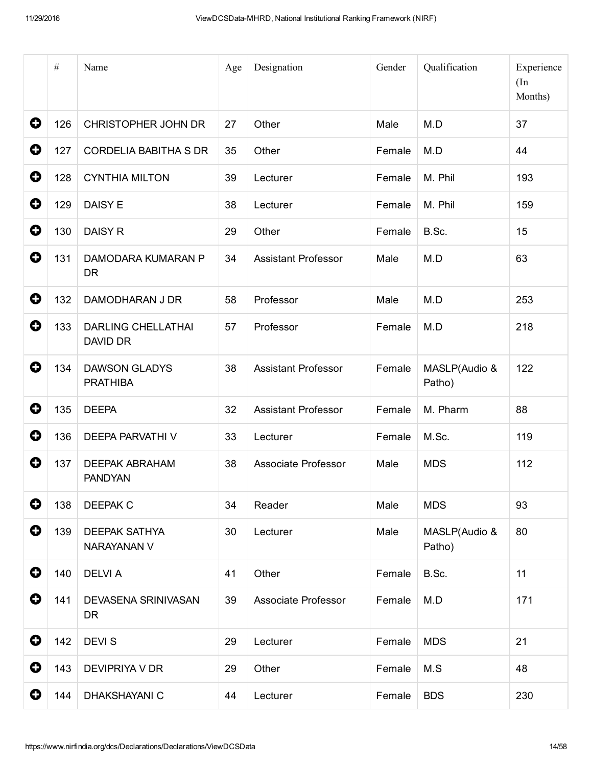|   | $\#$ | Name                                    | Age | Designation                | Gender | Qualification           | Experience<br>(In<br>Months) |
|---|------|-----------------------------------------|-----|----------------------------|--------|-------------------------|------------------------------|
| 0 | 126  | <b>CHRISTOPHER JOHN DR</b>              | 27  | Other                      | Male   | M.D                     | 37                           |
| 0 | 127  | <b>CORDELIA BABITHA S DR</b>            | 35  | Other                      | Female | M.D                     | 44                           |
| 0 | 128  | <b>CYNTHIA MILTON</b>                   | 39  | Lecturer                   | Female | M. Phil                 | 193                          |
| 0 | 129  | DAISY E                                 | 38  | Lecturer                   | Female | M. Phil                 | 159                          |
| 0 | 130  | <b>DAISY R</b>                          | 29  | Other                      | Female | B.Sc.                   | 15                           |
| 0 | 131  | DAMODARA KUMARAN P<br><b>DR</b>         | 34  | <b>Assistant Professor</b> | Male   | M.D                     | 63                           |
| 0 | 132  | <b>DAMODHARAN J DR</b>                  | 58  | Professor                  | Male   | M.D                     | 253                          |
| 0 | 133  | <b>DARLING CHELLATHAI</b><br>DAVID DR   | 57  | Professor                  | Female | M.D                     | 218                          |
| 0 | 134  | <b>DAWSON GLADYS</b><br><b>PRATHIBA</b> | 38  | <b>Assistant Professor</b> | Female | MASLP(Audio &<br>Patho) | 122                          |
| 0 | 135  | <b>DEEPA</b>                            | 32  | <b>Assistant Professor</b> | Female | M. Pharm                | 88                           |
| 0 | 136  | DEEPA PARVATHI V                        | 33  | Lecturer                   | Female | M.Sc.                   | 119                          |
| 0 | 137  | <b>DEEPAK ABRAHAM</b><br><b>PANDYAN</b> | 38  | Associate Professor        | Male   | <b>MDS</b>              | 112                          |
| 0 | 138  | <b>DEEPAK C</b>                         | 34  | Reader                     | Male   | <b>MDS</b>              | 93                           |
| 0 | 139  | <b>DEEPAK SATHYA</b><br>NARAYANAN V     | 30  | Lecturer                   | Male   | MASLP(Audio &<br>Patho) | 80                           |
| 0 | 140  | <b>DELVIA</b>                           | 41  | Other                      | Female | B.Sc.                   | 11                           |
| 0 | 141  | DEVASENA SRINIVASAN<br><b>DR</b>        | 39  | Associate Professor        | Female | M.D                     | 171                          |
| 0 | 142  | <b>DEVIS</b>                            | 29  | Lecturer                   | Female | <b>MDS</b>              | 21                           |
| 0 | 143  | DEVIPRIYA V DR                          | 29  | Other                      | Female | M.S                     | 48                           |
| 0 | 144  | <b>DHAKSHAYANI C</b>                    | 44  | Lecturer                   | Female | <b>BDS</b>              | 230                          |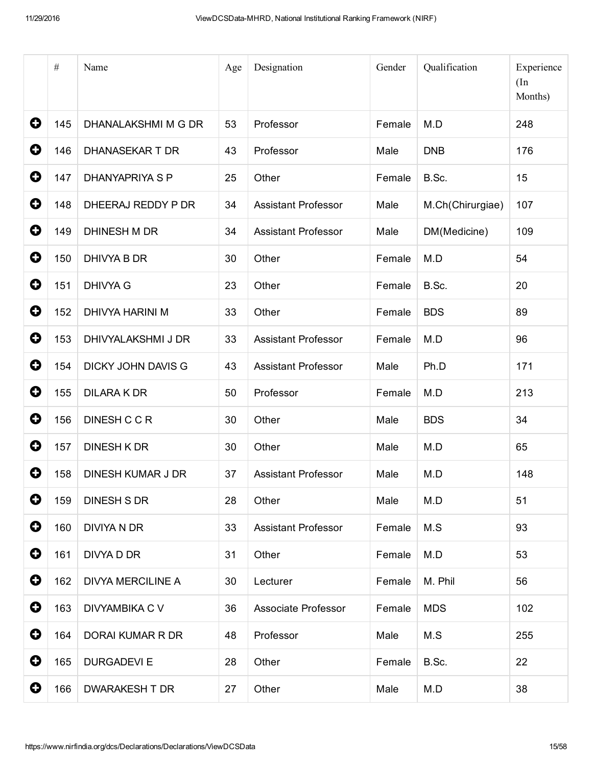|             | $\#$ | Name                      | Age | Designation                | Gender | Qualification    | Experience<br>(In<br>Months) |
|-------------|------|---------------------------|-----|----------------------------|--------|------------------|------------------------------|
| $\mathbf 0$ | 145  | DHANALAKSHMI M G DR       | 53  | Professor                  | Female | M.D              | 248                          |
| 0           | 146  | <b>DHANASEKAR T DR</b>    | 43  | Professor                  | Male   | <b>DNB</b>       | 176                          |
| 0           | 147  | <b>DHANYAPRIYA S P</b>    | 25  | Other                      | Female | B.Sc.            | 15                           |
| 0           | 148  | DHEERAJ REDDY P DR        | 34  | <b>Assistant Professor</b> | Male   | M.Ch(Chirurgiae) | 107                          |
| 0           | 149  | DHINESH M DR              | 34  | <b>Assistant Professor</b> | Male   | DM(Medicine)     | 109                          |
| 0           | 150  | DHIVYA B DR               | 30  | Other                      | Female | M.D              | 54                           |
| 0           | 151  | <b>DHIVYA G</b>           | 23  | Other                      | Female | B.Sc.            | 20                           |
| 0           | 152  | <b>DHIVYA HARINI M</b>    | 33  | Other                      | Female | <b>BDS</b>       | 89                           |
| $\mathbf 0$ | 153  | DHIVYALAKSHMI J DR        | 33  | <b>Assistant Professor</b> | Female | M.D              | 96                           |
| 0           | 154  | <b>DICKY JOHN DAVIS G</b> | 43  | <b>Assistant Professor</b> | Male   | Ph.D             | 171                          |
| 0           | 155  | <b>DILARA K DR</b>        | 50  | Professor                  | Female | M.D              | 213                          |
| $\mathbf Q$ | 156  | DINESH C C R              | 30  | Other                      | Male   | <b>BDS</b>       | 34                           |
| 0           | 157  | <b>DINESH K DR</b>        | 30  | Other                      | Male   | M.D              | 65                           |
| 0           | 158  | <b>DINESH KUMAR J DR</b>  | 37  | <b>Assistant Professor</b> | Male   | M.D              | 148                          |
| 0           | 159  | <b>DINESH S DR</b>        | 28  | Other                      | Male   | M.D              | 51                           |
| 0           | 160  | <b>DIVIYA N DR</b>        | 33  | <b>Assistant Professor</b> | Female | M.S              | 93                           |
| $\mathbf 0$ | 161  | DIVYA D DR                | 31  | Other                      | Female | M.D              | 53                           |
| $\mathbf 0$ | 162  | <b>DIVYA MERCILINE A</b>  | 30  | Lecturer                   | Female | M. Phil          | 56                           |
| $\bullet$   | 163  | <b>DIVYAMBIKA C V</b>     | 36  | Associate Professor        | Female | <b>MDS</b>       | 102                          |
| 0           | 164  | DORAI KUMAR R DR          | 48  | Professor                  | Male   | M.S              | 255                          |
| 0           | 165  | <b>DURGADEVI E</b>        | 28  | Other                      | Female | B.Sc.            | 22                           |
| 0           | 166  | <b>DWARAKESH T DR</b>     | 27  | Other                      | Male   | M.D              | 38                           |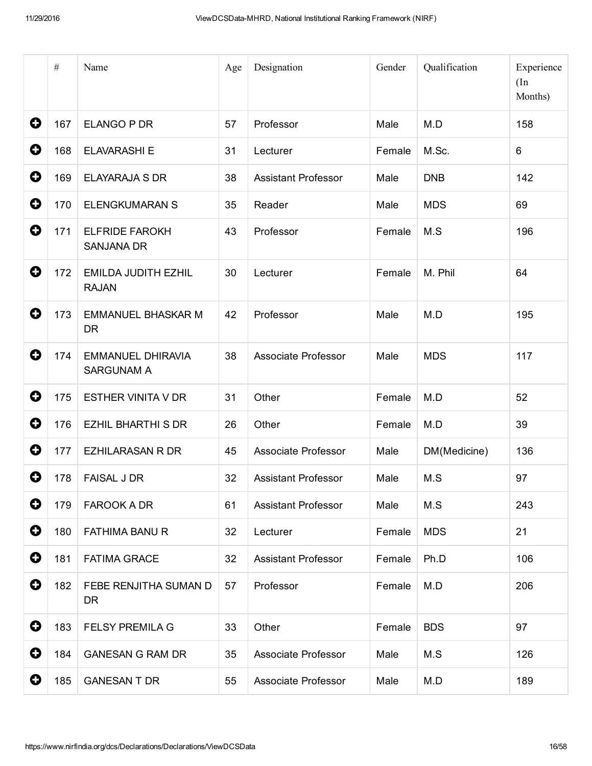|   | $\#$ | Name                                          | Age | Designation                | Gender | Qualification | Experience<br>(In<br>Months) |
|---|------|-----------------------------------------------|-----|----------------------------|--------|---------------|------------------------------|
| 0 | 167  | ELANGO P DR                                   | 57  | Professor                  | Male   | M.D           | 158                          |
| 0 | 168  | <b>ELAVARASHI E</b>                           | 31  | Lecturer                   | Female | M.Sc.         | 6                            |
| 0 | 169  | <b>ELAYARAJA S DR</b>                         | 38  | <b>Assistant Professor</b> | Male   | <b>DNB</b>    | 142                          |
| 0 | 170  | <b>ELENGKUMARAN S</b>                         | 35  | Reader                     | Male   | <b>MDS</b>    | 69                           |
| 0 | 171  | <b>ELFRIDE FAROKH</b><br><b>SANJANA DR</b>    | 43  | Professor                  | Female | M.S           | 196                          |
| 0 | 172  | <b>EMILDA JUDITH EZHIL</b><br><b>RAJAN</b>    | 30  | Lecturer                   | Female | M. Phil       | 64                           |
| 0 | 173  | <b>EMMANUEL BHASKAR M</b><br><b>DR</b>        | 42  | Professor                  | Male   | M.D           | 195                          |
| 0 | 174  | <b>EMMANUEL DHIRAVIA</b><br><b>SARGUNAM A</b> | 38  | Associate Professor        | Male   | <b>MDS</b>    | 117                          |
| 0 | 175  | <b>ESTHER VINITA V DR</b>                     | 31  | Other                      | Female | M.D           | 52                           |
| 0 | 176  | <b>EZHIL BHARTHI S DR</b>                     | 26  | Other                      | Female | M.D           | 39                           |
| 0 | 177  | <b>EZHILARASAN R DR</b>                       | 45  | Associate Professor        | Male   | DM(Medicine)  | 136                          |
| 0 | 178  | <b>FAISAL J DR</b>                            | 32  | <b>Assistant Professor</b> | Male   | M.S           | 97                           |
| 0 | 179  | <b>FAROOK A DR</b>                            | 61  | <b>Assistant Professor</b> | Male   | M.S           | 243                          |
| 0 | 180  | <b>FATHIMA BANU R</b>                         | 32  | Lecturer                   | Female | <b>MDS</b>    | 21                           |
| 0 | 181  | <b>FATIMA GRACE</b>                           | 32  | <b>Assistant Professor</b> | Female | Ph.D          | 106                          |
| 0 | 182  | FEBE RENJITHA SUMAN D<br>DR.                  | 57  | Professor                  | Female | M.D           | 206                          |
| 0 | 183  | <b>FELSY PREMILA G</b>                        | 33  | Other                      | Female | <b>BDS</b>    | 97                           |
| 0 | 184  | <b>GANESAN G RAM DR</b>                       | 35  | Associate Professor        | Male   | M.S           | 126                          |
| 0 | 185  | <b>GANESAN T DR</b>                           | 55  | Associate Professor        | Male   | M.D           | 189                          |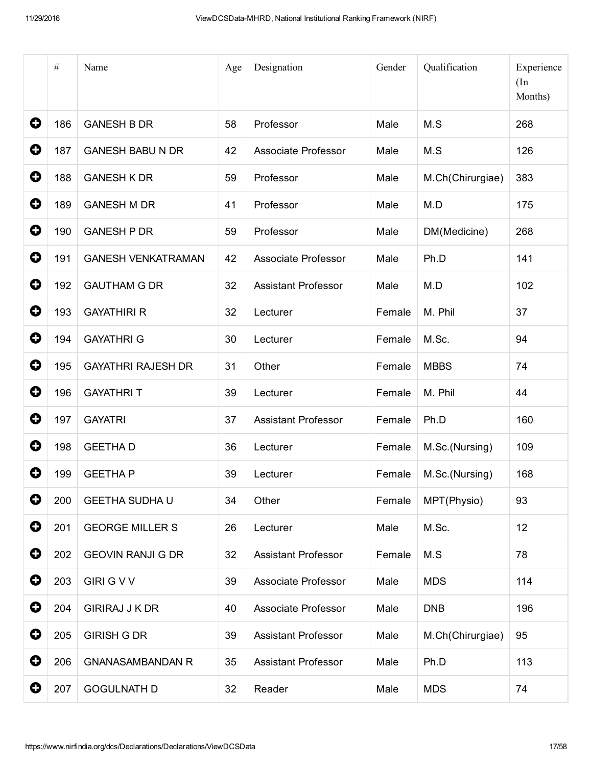|                       | $\#$ | Name                      | Age | Designation                | Gender | Qualification    | Experience<br>(In<br>Months) |
|-----------------------|------|---------------------------|-----|----------------------------|--------|------------------|------------------------------|
| 0                     | 186  | <b>GANESH B DR</b>        | 58  | Professor                  | Male   | M.S              | 268                          |
| 0                     | 187  | <b>GANESH BABU N DR</b>   | 42  | Associate Professor        | Male   | M.S              | 126                          |
| 0                     | 188  | <b>GANESH K DR</b>        | 59  | Professor                  | Male   | M.Ch(Chirurgiae) | 383                          |
| 0                     | 189  | <b>GANESH M DR</b>        | 41  | Professor                  | Male   | M.D              | 175                          |
| 0                     | 190  | <b>GANESH P DR</b>        | 59  | Professor                  | Male   | DM(Medicine)     | 268                          |
| 0                     | 191  | <b>GANESH VENKATRAMAN</b> | 42  | Associate Professor        | Male   | Ph.D             | 141                          |
| 0                     | 192  | <b>GAUTHAM G DR</b>       | 32  | <b>Assistant Professor</b> | Male   | M.D              | 102                          |
| 0                     | 193  | <b>GAYATHIRI R</b>        | 32  | Lecturer                   | Female | M. Phil          | 37                           |
| 0                     | 194  | <b>GAYATHRI G</b>         | 30  | Lecturer                   | Female | M.Sc.            | 94                           |
| 0                     | 195  | <b>GAYATHRI RAJESH DR</b> | 31  | Other                      | Female | <b>MBBS</b>      | 74                           |
| 0                     | 196  | <b>GAYATHRIT</b>          | 39  | Lecturer                   | Female | M. Phil          | 44                           |
| 0                     | 197  | <b>GAYATRI</b>            | 37  | <b>Assistant Professor</b> | Female | Ph.D             | 160                          |
| 0                     | 198  | <b>GEETHAD</b>            | 36  | Lecturer                   | Female | M.Sc.(Nursing)   | 109                          |
| 0                     | 199  | <b>GEETHAP</b>            | 39  | Lecturer                   | Female | M.Sc.(Nursing)   | 168                          |
| 0                     | 200  | <b>GEETHA SUDHA U</b>     | 34  | Other                      | Female | MPT(Physio)      | 93                           |
| $\boldsymbol{\Theta}$ | 201  | <b>GEORGE MILLER S</b>    | 26  | Lecturer                   | Male   | M.Sc.            | 12                           |
| $\mathbf 0$           | 202  | <b>GEOVIN RANJI G DR</b>  | 32  | Assistant Professor        | Female | M.S              | 78                           |
| $\mathbf 0$           | 203  | <b>GIRI G V V</b>         | 39  | Associate Professor        | Male   | <b>MDS</b>       | 114                          |
| 0                     | 204  | <b>GIRIRAJ J K DR</b>     | 40  | Associate Professor        | Male   | <b>DNB</b>       | 196                          |
| $\mathbf 0$           | 205  | <b>GIRISH G DR</b>        | 39  | <b>Assistant Professor</b> | Male   | M.Ch(Chirurgiae) | 95                           |
| $\mathbf 0$           | 206  | <b>GNANASAMBANDAN R</b>   | 35  | <b>Assistant Professor</b> | Male   | Ph.D             | 113                          |
| 0                     | 207  | <b>GOGULNATH D</b>        | 32  | Reader                     | Male   | <b>MDS</b>       | 74                           |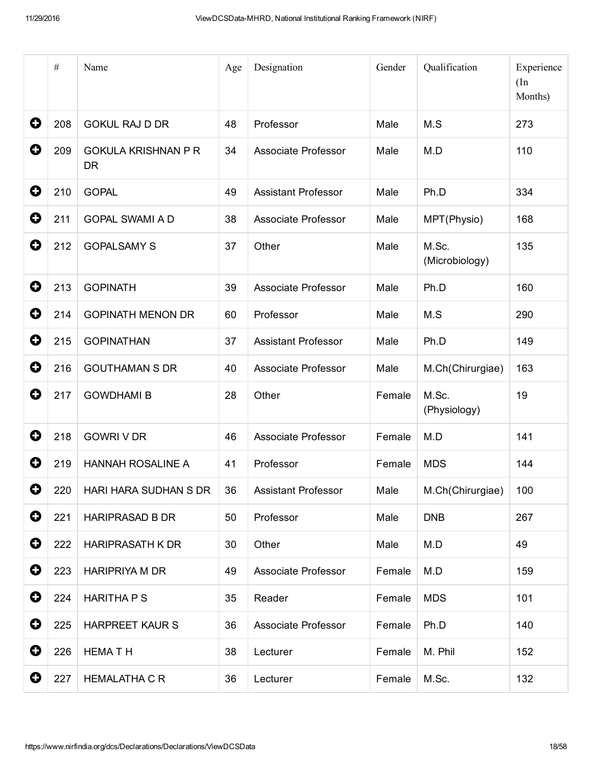|   | $\#$ | Name                                    | Age | Designation                | Gender | Qualification           | Experience<br>(In<br>Months) |
|---|------|-----------------------------------------|-----|----------------------------|--------|-------------------------|------------------------------|
| 0 | 208  | <b>GOKUL RAJ D DR</b>                   | 48  | Professor                  | Male   | M.S                     | 273                          |
| 0 | 209  | <b>GOKULA KRISHNAN P R</b><br><b>DR</b> | 34  | <b>Associate Professor</b> | Male   | M.D                     | 110                          |
| 0 | 210  | <b>GOPAL</b>                            | 49  | <b>Assistant Professor</b> | Male   | Ph.D                    | 334                          |
| O | 211  | <b>GOPAL SWAMI A D</b>                  | 38  | Associate Professor        | Male   | MPT(Physio)             | 168                          |
| 0 | 212  | <b>GOPALSAMY S</b>                      | 37  | Other                      | Male   | M.Sc.<br>(Microbiology) | 135                          |
| 0 | 213  | <b>GOPINATH</b>                         | 39  | <b>Associate Professor</b> | Male   | Ph.D                    | 160                          |
| 0 | 214  | <b>GOPINATH MENON DR</b>                | 60  | Professor                  | Male   | M.S                     | 290                          |
| 0 | 215  | <b>GOPINATHAN</b>                       | 37  | <b>Assistant Professor</b> | Male   | Ph.D                    | 149                          |
| 0 | 216  | <b>GOUTHAMAN S DR</b>                   | 40  | Associate Professor        | Male   | M.Ch(Chirurgiae)        | 163                          |
| 0 | 217  | <b>GOWDHAMI B</b>                       | 28  | Other                      | Female | M.Sc.<br>(Physiology)   | 19                           |
| 0 | 218  | <b>GOWRI V DR</b>                       | 46  | Associate Professor        | Female | M.D                     | 141                          |
| 0 | 219  | <b>HANNAH ROSALINE A</b>                | 41  | Professor                  | Female | <b>MDS</b>              | 144                          |
| 0 | 220  | HARI HARA SUDHAN S DR                   | 36  | <b>Assistant Professor</b> | Male   | M.Ch(Chirurgiae)        | 100                          |
| 0 | 221  | <b>HARIPRASAD B DR</b>                  | 50  | Professor                  | Male   | <b>DNB</b>              | 267                          |
| 0 | 222  | <b>HARIPRASATH K DR</b>                 | 30  | Other                      | Male   | M.D                     | 49                           |
| 0 | 223  | <b>HARIPRIYA M DR</b>                   | 49  | Associate Professor        | Female | M.D                     | 159                          |
| O | 224  | <b>HARITHA P S</b>                      | 35  | Reader                     | Female | <b>MDS</b>              | 101                          |
| 0 | 225  | <b>HARPREET KAUR S</b>                  | 36  | Associate Professor        | Female | Ph.D                    | 140                          |
| 0 | 226  | <b>HEMATH</b>                           | 38  | Lecturer                   | Female | M. Phil                 | 152                          |
| 0 | 227  | <b>HEMALATHA C R</b>                    | 36  | Lecturer                   | Female | M.Sc.                   | 132                          |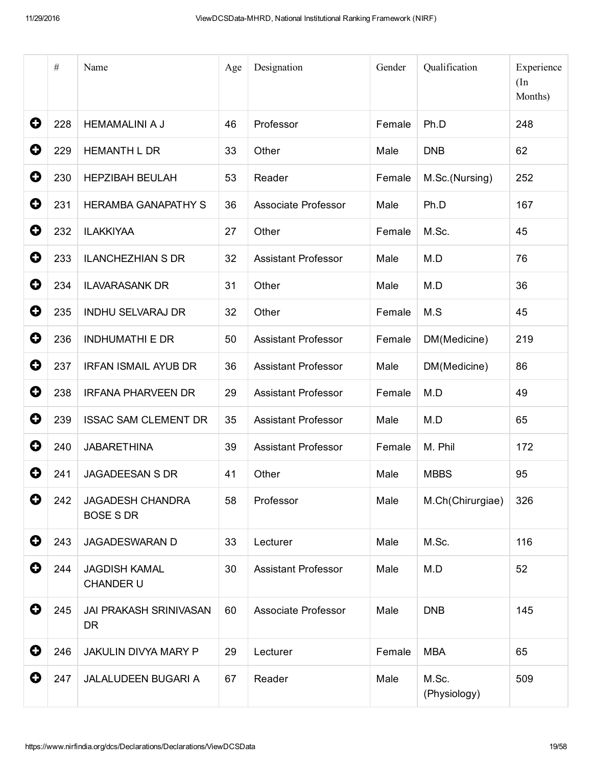|             | $\#$ | Name                                        | Age | Designation                | Gender | Qualification         | Experience<br>(In<br>Months) |
|-------------|------|---------------------------------------------|-----|----------------------------|--------|-----------------------|------------------------------|
| 0           | 228  | <b>HEMAMALINI A J</b>                       | 46  | Professor                  | Female | Ph.D                  | 248                          |
| 0           | 229  | <b>HEMANTH L DR</b>                         | 33  | Other                      | Male   | <b>DNB</b>            | 62                           |
| 0           | 230  | <b>HEPZIBAH BEULAH</b>                      | 53  | Reader                     | Female | M.Sc.(Nursing)        | 252                          |
| 0           | 231  | <b>HERAMBA GANAPATHY S</b>                  | 36  | Associate Professor        | Male   | Ph.D                  | 167                          |
| 0           | 232  | <b>ILAKKIYAA</b>                            | 27  | Other                      | Female | M.Sc.                 | 45                           |
| 0           | 233  | <b>ILANCHEZHIAN S DR</b>                    | 32  | <b>Assistant Professor</b> | Male   | M.D                   | 76                           |
| 0           | 234  | <b>ILAVARASANK DR</b>                       | 31  | Other                      | Male   | M.D                   | 36                           |
| 0           | 235  | <b>INDHU SELVARAJ DR</b>                    | 32  | Other                      | Female | M.S                   | 45                           |
| 0           | 236  | <b>INDHUMATHI E DR</b>                      | 50  | <b>Assistant Professor</b> | Female | DM(Medicine)          | 219                          |
| 0           | 237  | <b>IRFAN ISMAIL AYUB DR</b>                 | 36  | <b>Assistant Professor</b> | Male   | DM(Medicine)          | 86                           |
| 0           | 238  | <b>IRFANA PHARVEEN DR</b>                   | 29  | <b>Assistant Professor</b> | Female | M.D                   | 49                           |
| 0           | 239  | <b>ISSAC SAM CLEMENT DR</b>                 | 35  | <b>Assistant Professor</b> | Male   | M.D                   | 65                           |
| 0           | 240  | <b>JABARETHINA</b>                          | 39  | <b>Assistant Professor</b> | Female | M. Phil               | 172                          |
| O           | 241  | <b>JAGADEESAN S DR</b>                      | 41  | Other                      | Male   | <b>MBBS</b>           | 95                           |
| 0           | 242  | <b>JAGADESH CHANDRA</b><br><b>BOSE S DR</b> | 58  | Professor                  | Male   | M.Ch(Chirurgiae)      | 326                          |
| $\mathbf 0$ | 243  | <b>JAGADESWARAN D</b>                       | 33  | Lecturer                   | Male   | M.Sc.                 | 116                          |
| 0           | 244  | <b>JAGDISH KAMAL</b><br>CHANDER U           | 30  | <b>Assistant Professor</b> | Male   | M.D                   | 52                           |
| 0           | 245  | <b>JAI PRAKASH SRINIVASAN</b><br><b>DR</b>  | 60  | Associate Professor        | Male   | <b>DNB</b>            | 145                          |
| 0           | 246  | JAKULIN DIVYA MARY P                        | 29  | Lecturer                   | Female | <b>MBA</b>            | 65                           |
| 0           | 247  | <b>JALALUDEEN BUGARI A</b>                  | 67  | Reader                     | Male   | M.Sc.<br>(Physiology) | 509                          |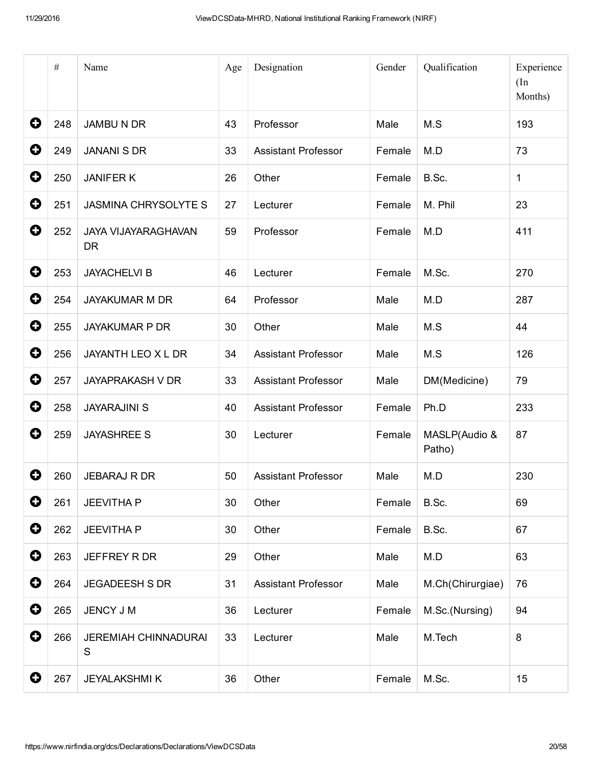|             | $\#$ | Name                                    | Age | Designation                | Gender | Qualification           | Experience<br>(In<br>Months) |
|-------------|------|-----------------------------------------|-----|----------------------------|--------|-------------------------|------------------------------|
| 0           | 248  | <b>JAMBU N DR</b>                       | 43  | Professor                  | Male   | M.S                     | 193                          |
| 0           | 249  | <b>JANANI S DR</b>                      | 33  | <b>Assistant Professor</b> | Female | M.D                     | 73                           |
| 0           | 250  | <b>JANIFERK</b>                         | 26  | Other                      | Female | B.Sc.                   | $\mathbf{1}$                 |
| 0           | 251  | <b>JASMINA CHRYSOLYTE S</b>             | 27  | Lecturer                   | Female | M. Phil                 | 23                           |
| 0           | 252  | <b>JAYA VIJAYARAGHAVAN</b><br><b>DR</b> | 59  | Professor                  | Female | M.D                     | 411                          |
| 0           | 253  | <b>JAYACHELVI B</b>                     | 46  | Lecturer                   | Female | M.Sc.                   | 270                          |
| O           | 254  | <b>JAYAKUMAR M DR</b>                   | 64  | Professor                  | Male   | M.D                     | 287                          |
| 0           | 255  | <b>JAYAKUMAR P DR</b>                   | 30  | Other                      | Male   | M.S                     | 44                           |
| 0           | 256  | JAYANTH LEO X L DR                      | 34  | <b>Assistant Professor</b> | Male   | M.S                     | 126                          |
| 0           | 257  | <b>JAYAPRAKASH V DR</b>                 | 33  | <b>Assistant Professor</b> | Male   | DM(Medicine)            | 79                           |
| 0           | 258  | <b>JAYARAJINI S</b>                     | 40  | <b>Assistant Professor</b> | Female | Ph.D                    | 233                          |
| 0           | 259  | <b>JAYASHREE S</b>                      | 30  | Lecturer                   | Female | MASLP(Audio &<br>Patho) | 87                           |
| O           | 260  | <b>JEBARAJ R DR</b>                     | 50  | <b>Assistant Professor</b> | Male   | M.D                     | 230                          |
| 0           | 261  | <b>JEEVITHA P</b>                       | 30  | Other                      | Female | B.Sc.                   | 69                           |
| $\bullet$   | 262  | <b>JEEVITHA P</b>                       | 30  | Other                      | Female | B.Sc.                   | 67                           |
| 0           | 263  | JEFFREY R DR                            | 29  | Other                      | Male   | M.D                     | 63                           |
| $\bullet$   | 264  | <b>JEGADEESH S DR</b>                   | 31  | <b>Assistant Professor</b> | Male   | M.Ch(Chirurgiae)        | 76                           |
| $\bullet$   | 265  | JENCY J M                               | 36  | Lecturer                   | Female | M.Sc.(Nursing)          | 94                           |
| 0           | 266  | <b>JEREMIAH CHINNADURAI</b><br>S        | 33  | Lecturer                   | Male   | M.Tech                  | $\bf 8$                      |
| $\mathbf 0$ | 267  | <b>JEYALAKSHMIK</b>                     | 36  | Other                      | Female | M.Sc.                   | 15                           |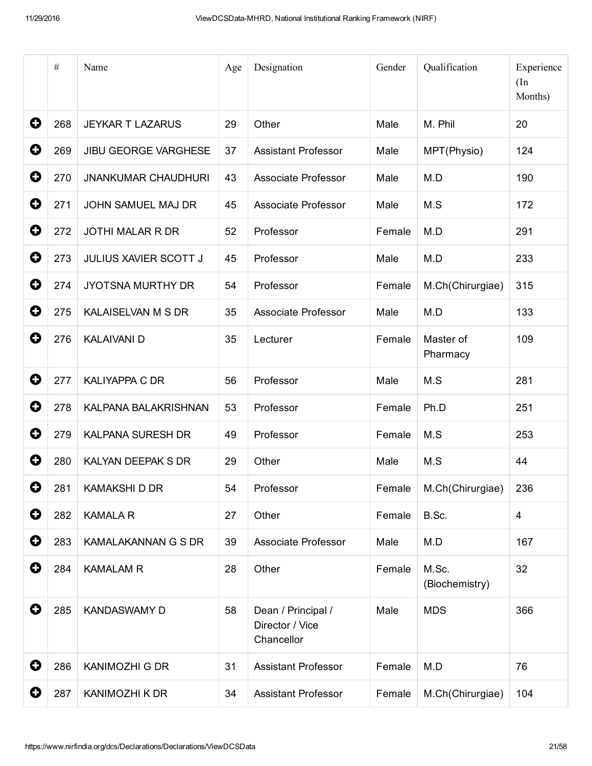|             | $\#$ | Name                        | Age | Designation                                         | Gender | Qualification           | Experience<br>(In<br>Months) |
|-------------|------|-----------------------------|-----|-----------------------------------------------------|--------|-------------------------|------------------------------|
| 0           | 268  | <b>JEYKAR T LAZARUS</b>     | 29  | Other                                               | Male   | M. Phil                 | 20                           |
| 0           | 269  | <b>JIBU GEORGE VARGHESE</b> | 37  | <b>Assistant Professor</b>                          | Male   | MPT(Physio)             | 124                          |
| 0           | 270  | <b>JNANKUMAR CHAUDHURI</b>  | 43  | Associate Professor                                 | Male   | M.D                     | 190                          |
| 0           | 271  | <b>JOHN SAMUEL MAJ DR</b>   | 45  | Associate Professor                                 | Male   | M.S                     | 172                          |
| 0           | 272  | <b>JOTHI MALAR R DR</b>     | 52  | Professor                                           | Female | M.D                     | 291                          |
| 0           | 273  | JULIUS XAVIER SCOTT J       | 45  | Professor                                           | Male   | M.D                     | 233                          |
| 0           | 274  | <b>JYOTSNA MURTHY DR</b>    | 54  | Professor                                           | Female | M.Ch(Chirurgiae)        | 315                          |
| 0           | 275  | KALAISELVAN M S DR          | 35  | Associate Professor                                 | Male   | M.D                     | 133                          |
| 0           | 276  | <b>KALAIVANI D</b>          | 35  | Lecturer                                            | Female | Master of<br>Pharmacy   | 109                          |
| 0           | 277  | <b>KALIYAPPA C DR</b>       | 56  | Professor                                           | Male   | M.S                     | 281                          |
| 0           | 278  | KALPANA BALAKRISHNAN        | 53  | Professor                                           | Female | Ph.D                    | 251                          |
| 0           | 279  | <b>KALPANA SURESH DR</b>    | 49  | Professor                                           | Female | M.S                     | 253                          |
| O           | 280  | KALYAN DEEPAK S DR          | 29  | Other                                               | Male   | M.S                     | 44                           |
| 0           | 281  | <b>KAMAKSHI D DR</b>        | 54  | Professor                                           | Female | M.Ch(Chirurgiae)        | 236                          |
| $\mathbf 0$ | 282  | <b>KAMALA R</b>             | 27  | Other                                               | Female | B.Sc.                   | $\overline{4}$               |
| 0           | 283  | KAMALAKANNAN G S DR         | 39  | Associate Professor                                 | Male   | M.D                     | 167                          |
| 0           | 284  | <b>KAMALAM R</b>            | 28  | Other                                               | Female | M.Sc.<br>(Biochemistry) | 32                           |
| 0           | 285  | <b>KANDASWAMY D</b>         | 58  | Dean / Principal /<br>Director / Vice<br>Chancellor | Male   | <b>MDS</b>              | 366                          |
| 0           | 286  | <b>KANIMOZHI G DR</b>       | 31  | <b>Assistant Professor</b>                          | Female | M.D                     | 76                           |
| 0           | 287  | KANIMOZHI K DR              | 34  | <b>Assistant Professor</b>                          | Female | M.Ch(Chirurgiae)        | 104                          |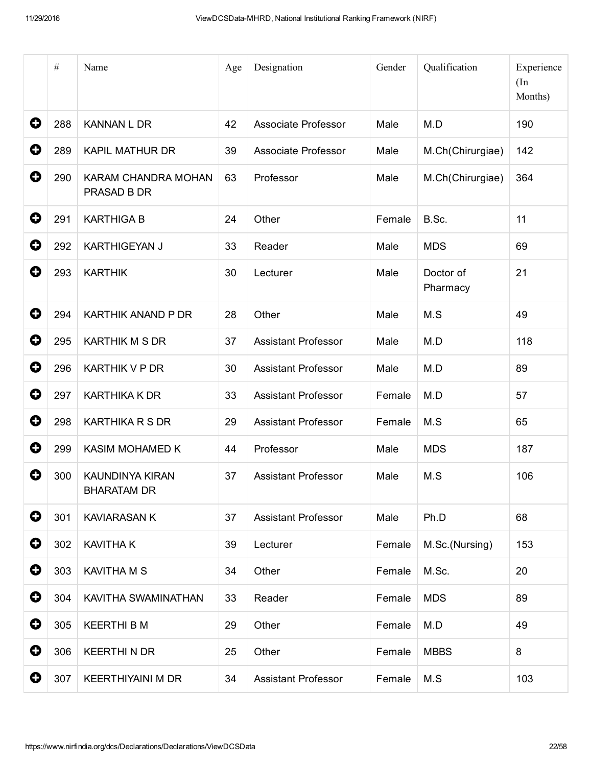|   | $\#$ | Name                                         | Age | Designation                | Gender | Qualification         | Experience<br>(In<br>Months) |
|---|------|----------------------------------------------|-----|----------------------------|--------|-----------------------|------------------------------|
| 0 | 288  | <b>KANNAN L DR</b>                           | 42  | Associate Professor        | Male   | M.D                   | 190                          |
| 0 | 289  | <b>KAPIL MATHUR DR</b>                       | 39  | Associate Professor        | Male   | M.Ch(Chirurgiae)      | 142                          |
| 0 | 290  | KARAM CHANDRA MOHAN<br>PRASAD B DR           | 63  | Professor                  | Male   | M.Ch(Chirurgiae)      | 364                          |
| O | 291  | <b>KARTHIGA B</b>                            | 24  | Other                      | Female | B.Sc.                 | 11                           |
| 0 | 292  | <b>KARTHIGEYAN J</b>                         | 33  | Reader                     | Male   | <b>MDS</b>            | 69                           |
| 0 | 293  | <b>KARTHIK</b>                               | 30  | Lecturer                   | Male   | Doctor of<br>Pharmacy | 21                           |
| 0 | 294  | KARTHIK ANAND P DR                           | 28  | Other                      | Male   | M.S                   | 49                           |
| 0 | 295  | <b>KARTHIK M S DR</b>                        | 37  | <b>Assistant Professor</b> | Male   | M.D                   | 118                          |
| 0 | 296  | <b>KARTHIK V P DR</b>                        | 30  | <b>Assistant Professor</b> | Male   | M.D                   | 89                           |
| 0 | 297  | <b>KARTHIKA K DR</b>                         | 33  | <b>Assistant Professor</b> | Female | M.D                   | 57                           |
| 0 | 298  | <b>KARTHIKA R S DR</b>                       | 29  | <b>Assistant Professor</b> | Female | M.S                   | 65                           |
| 0 | 299  | KASIM MOHAMED K                              | 44  | Professor                  | Male   | <b>MDS</b>            | 187                          |
| O | 300  | <b>KAUNDINYA KIRAN</b><br><b>BHARATAM DR</b> | 37  | <b>Assistant Professor</b> | Male   | M.S                   | 106                          |
| 0 | 301  | <b>KAVIARASAN K</b>                          | 37  | <b>Assistant Professor</b> | Male   | Ph.D                  | 68                           |
| 0 | 302  | <b>KAVITHAK</b>                              | 39  | Lecturer                   | Female | M.Sc.(Nursing)        | 153                          |
| 0 | 303  | <b>KAVITHA M S</b>                           | 34  | Other                      | Female | M.Sc.                 | 20                           |
| 0 | 304  | KAVITHA SWAMINATHAN                          | 33  | Reader                     | Female | <b>MDS</b>            | 89                           |
| 0 | 305  | <b>KEERTHI B M</b>                           | 29  | Other                      | Female | M.D                   | 49                           |
| 0 | 306  | <b>KEERTHINDR</b>                            | 25  | Other                      | Female | <b>MBBS</b>           | 8                            |
| 0 | 307  | <b>KEERTHIYAINI M DR</b>                     | 34  | <b>Assistant Professor</b> | Female | M.S                   | 103                          |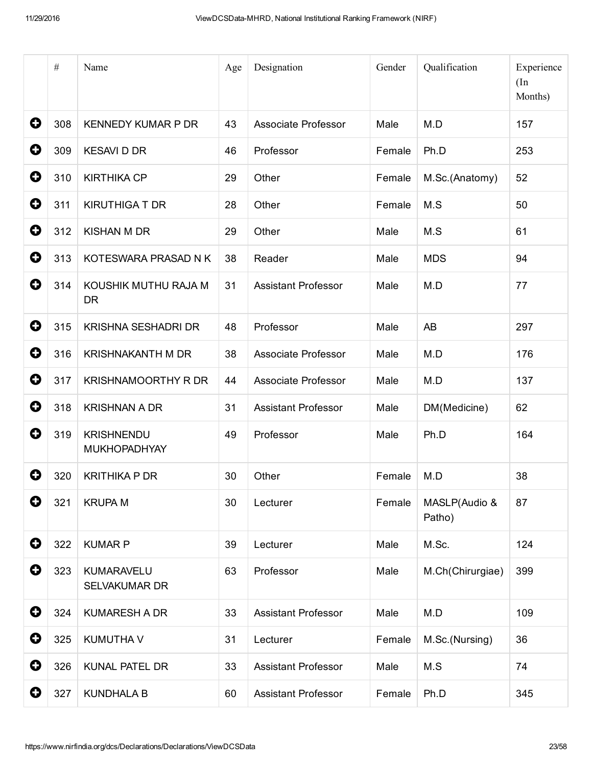|             | $\#$ | Name                                      | Age | Designation                | Gender | Qualification           | Experience<br>(In<br>Months) |
|-------------|------|-------------------------------------------|-----|----------------------------|--------|-------------------------|------------------------------|
| 0           | 308  | <b>KENNEDY KUMAR P DR</b>                 | 43  | Associate Professor        | Male   | M.D                     | 157                          |
| 0           | 309  | <b>KESAVI D DR</b>                        | 46  | Professor                  | Female | Ph.D                    | 253                          |
| 0           | 310  | <b>KIRTHIKA CP</b>                        | 29  | Other                      | Female | M.Sc.(Anatomy)          | 52                           |
| 0           | 311  | <b>KIRUTHIGA T DR</b>                     | 28  | Other                      | Female | M.S                     | 50                           |
| 0           | 312  | <b>KISHAN M DR</b>                        | 29  | Other                      | Male   | M.S                     | 61                           |
| 0           | 313  | KOTESWARA PRASAD N K                      | 38  | Reader                     | Male   | <b>MDS</b>              | 94                           |
| 0           | 314  | KOUSHIK MUTHU RAJA M<br><b>DR</b>         | 31  | <b>Assistant Professor</b> | Male   | M.D                     | 77                           |
| 0           | 315  | <b>KRISHNA SESHADRI DR</b>                | 48  | Professor                  | Male   | <b>AB</b>               | 297                          |
| 0           | 316  | <b>KRISHNAKANTH M DR</b>                  | 38  | Associate Professor        | Male   | M.D                     | 176                          |
| 0           | 317  | <b>KRISHNAMOORTHY R DR</b>                | 44  | <b>Associate Professor</b> | Male   | M.D                     | 137                          |
| $\mathbf Q$ | 318  | <b>KRISHNAN A DR</b>                      | 31  | <b>Assistant Professor</b> | Male   | DM(Medicine)            | 62                           |
| 0           | 319  | <b>KRISHNENDU</b><br><b>MUKHOPADHYAY</b>  | 49  | Professor                  | Male   | Ph.D                    | 164                          |
| O           | 320  | <b>KRITHIKA P DR</b>                      | 30  | Other                      | Female | M.D                     | 38                           |
| O           | 321  | <b>KRUPA M</b>                            | 30  | Lecturer                   | Female | MASLP(Audio &<br>Patho) | 87                           |
| $\mathbf 0$ | 322  | <b>KUMAR P</b>                            | 39  | Lecturer                   | Male   | M.Sc.                   | 124                          |
| $\mathbf 0$ | 323  | <b>KUMARAVELU</b><br><b>SELVAKUMAR DR</b> | 63  | Professor                  | Male   | M.Ch(Chirurgiae)        | 399                          |
| $\mathbf 0$ | 324  | <b>KUMARESH A DR</b>                      | 33  | <b>Assistant Professor</b> | Male   | M.D                     | 109                          |
| $\mathbf 0$ | 325  | <b>KUMUTHAV</b>                           | 31  | Lecturer                   | Female | M.Sc.(Nursing)          | 36                           |
| $\mathbf 0$ | 326  | <b>KUNAL PATEL DR</b>                     | 33  | <b>Assistant Professor</b> | Male   | M.S                     | 74                           |
| $\mathbf 0$ | 327  | <b>KUNDHALA B</b>                         | 60  | <b>Assistant Professor</b> | Female | Ph.D                    | 345                          |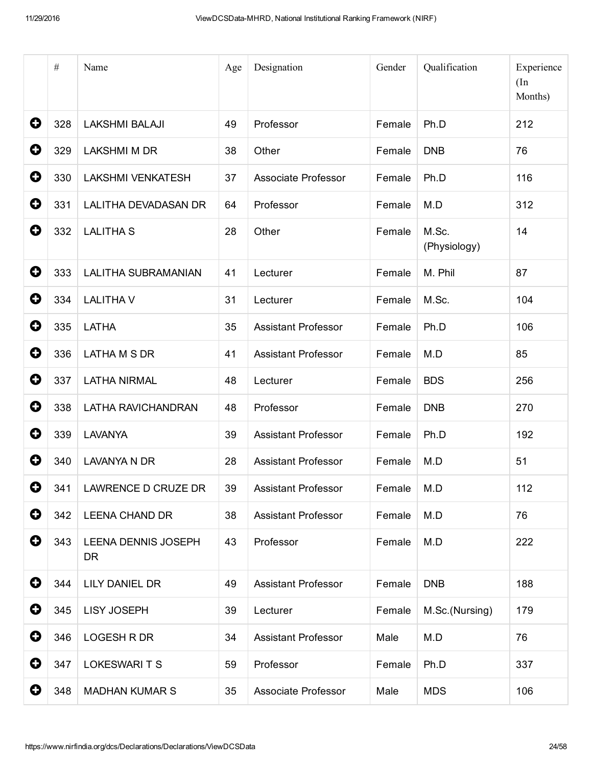|             | $\#$ | Name                             | Age | Designation                | Gender       | Qualification         | Experience<br>(In<br>Months) |
|-------------|------|----------------------------------|-----|----------------------------|--------------|-----------------------|------------------------------|
| 0           | 328  | <b>LAKSHMI BALAJI</b>            | 49  | Professor                  | Female       | Ph.D                  | 212                          |
| 0           | 329  | <b>LAKSHMI M DR</b>              | 38  | Other                      | Female       | <b>DNB</b>            | 76                           |
| 0           | 330  | <b>LAKSHMI VENKATESH</b>         | 37  | Associate Professor        | Female       | Ph.D                  | 116                          |
| $\mathbf 0$ | 331  | <b>LALITHA DEVADASAN DR</b>      | 64  | Professor                  | Female       | M.D                   | 312                          |
| 0           | 332  | <b>LALITHA S</b>                 | 28  | Other                      | Female       | M.Sc.<br>(Physiology) | 14                           |
| 0           | 333  | LALITHA SUBRAMANIAN              | 41  | Lecturer                   | Female       | M. Phil               | 87                           |
| 0           | 334  | <b>LALITHA V</b>                 | 31  | Lecturer                   | Female       | M.Sc.                 | 104                          |
| 0           | 335  | <b>LATHA</b>                     | 35  | <b>Assistant Professor</b> | Female       | Ph.D                  | 106                          |
| 0           | 336  | LATHA M S DR                     | 41  | <b>Assistant Professor</b> | Female       | M.D                   | 85                           |
| 0           | 337  | <b>LATHA NIRMAL</b>              | 48  | Lecturer                   | Female       | <b>BDS</b>            | 256                          |
| 0           | 338  | LATHA RAVICHANDRAN               | 48  | Professor                  | Female       | <b>DNB</b>            | 270                          |
| 0           | 339  | <b>LAVANYA</b>                   | 39  | <b>Assistant Professor</b> | Female       | Ph.D                  | 192                          |
| 0           | 340  | <b>LAVANYA N DR</b>              | 28  | <b>Assistant Professor</b> | Female       | M.D                   | 51                           |
| O           | 341  | LAWRENCE D CRUZE DR              | 39  | <b>Assistant Professor</b> | Female   M.D |                       | 112                          |
| 0           | 342  | <b>LEENA CHAND DR</b>            | 38  | <b>Assistant Professor</b> | Female       | M.D                   | 76                           |
| 0           | 343  | LEENA DENNIS JOSEPH<br><b>DR</b> | 43  | Professor                  | Female       | M.D                   | 222                          |
| 0           | 344  | LILY DANIEL DR                   | 49  | <b>Assistant Professor</b> | Female       | <b>DNB</b>            | 188                          |
| 0           | 345  | <b>LISY JOSEPH</b>               | 39  | Lecturer                   | Female       | M.Sc.(Nursing)        | 179                          |
| 0           | 346  | LOGESH R DR                      | 34  | <b>Assistant Professor</b> | Male         | M.D                   | 76                           |
| 0           | 347  | LOKESWARI T S                    | 59  | Professor                  | Female       | Ph.D                  | 337                          |
| 0           | 348  | <b>MADHAN KUMAR S</b>            | 35  | Associate Professor        | Male         | <b>MDS</b>            | 106                          |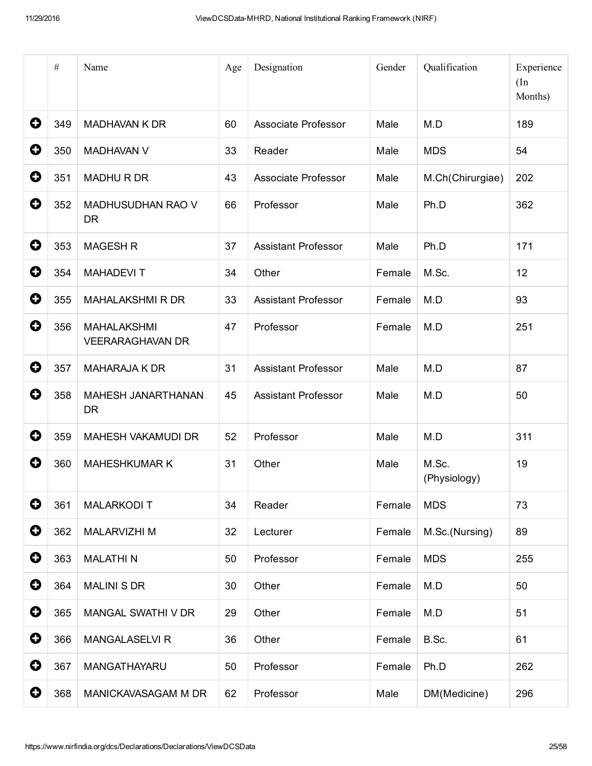|   | $\#$ | Name                                          | Age | Designation                | Gender | Qualification         | Experience<br>(In<br>Months) |
|---|------|-----------------------------------------------|-----|----------------------------|--------|-----------------------|------------------------------|
| 0 | 349  | <b>MADHAVAN K DR</b>                          | 60  | Associate Professor        | Male   | M.D                   | 189                          |
| 0 | 350  | <b>MADHAVAN V</b>                             | 33  | Reader                     | Male   | <b>MDS</b>            | 54                           |
| 0 | 351  | <b>MADHURDR</b>                               | 43  | Associate Professor        | Male   | M.Ch(Chirurgiae)      | 202                          |
| 0 | 352  | <b>MADHUSUDHAN RAO V</b><br><b>DR</b>         | 66  | Professor                  | Male   | Ph.D                  | 362                          |
| 0 | 353  | <b>MAGESH R</b>                               | 37  | <b>Assistant Professor</b> | Male   | Ph.D                  | 171                          |
| 0 | 354  | <b>MAHADEVIT</b>                              | 34  | Other                      | Female | M.Sc.                 | 12                           |
| 0 | 355  | <b>MAHALAKSHMI R DR</b>                       | 33  | <b>Assistant Professor</b> | Female | M.D                   | 93                           |
| 0 | 356  | <b>MAHALAKSHMI</b><br><b>VEERARAGHAVAN DR</b> | 47  | Professor                  | Female | M.D                   | 251                          |
| 0 | 357  | <b>MAHARAJA K DR</b>                          | 31  | <b>Assistant Professor</b> | Male   | M.D                   | 87                           |
| 0 | 358  | MAHESH JANARTHANAN<br><b>DR</b>               | 45  | <b>Assistant Professor</b> | Male   | M.D                   | 50                           |
| 0 | 359  | MAHESH VAKAMUDI DR                            | 52  | Professor                  | Male   | M.D                   | 311                          |
| 0 | 360  | <b>MAHESHKUMAR K</b>                          | 31  | Other                      | Male   | M.Sc.<br>(Physiology) | 19                           |
| 0 | 361  | <b>MALARKODIT</b>                             | 34  | Reader                     | Female | <b>MDS</b>            | 73                           |
| 0 | 362  | <b>MALARVIZHI M</b>                           | 32  | Lecturer                   | Female | M.Sc.(Nursing)        | 89                           |
| 0 | 363  | <b>MALATHIN</b>                               | 50  | Professor                  | Female | <b>MDS</b>            | 255                          |
| 0 | 364  | <b>MALINI S DR</b>                            | 30  | Other                      | Female | M.D                   | 50                           |
| 0 | 365  | MANGAL SWATHI V DR                            | 29  | Other                      | Female | M.D                   | 51                           |
| 0 | 366  | <b>MANGALASELVI R</b>                         | 36  | Other                      | Female | B.Sc.                 | 61                           |
| 0 | 367  | MANGATHAYARU                                  | 50  | Professor                  | Female | Ph.D                  | 262                          |
| 0 | 368  | MANICKAVASAGAM M DR                           | 62  | Professor                  | Male   | DM(Medicine)          | 296                          |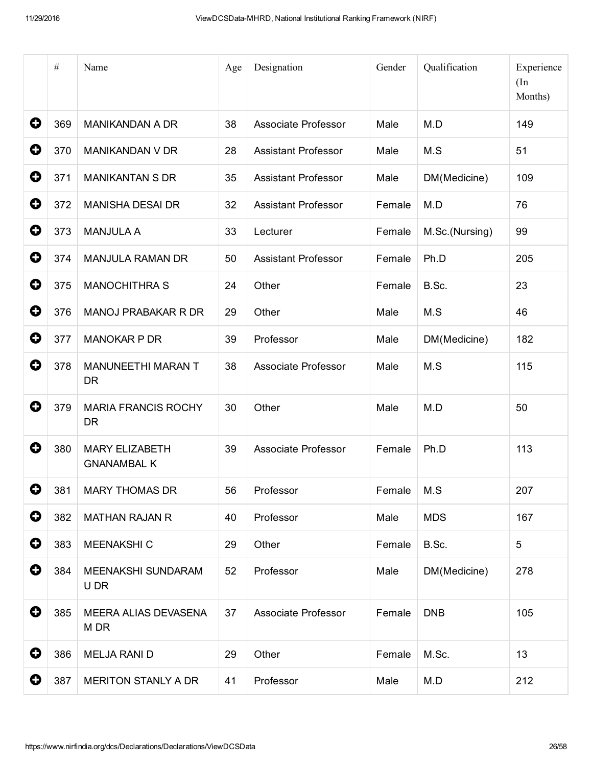|           | $\#$ | Name                                        | Age | Designation                | Gender | Qualification  | Experience<br>(In<br>Months) |
|-----------|------|---------------------------------------------|-----|----------------------------|--------|----------------|------------------------------|
| 0         | 369  | <b>MANIKANDAN A DR</b>                      | 38  | Associate Professor        | Male   | M.D            | 149                          |
| 0         | 370  | <b>MANIKANDAN V DR</b>                      | 28  | <b>Assistant Professor</b> | Male   | M.S            | 51                           |
| 0         | 371  | <b>MANIKANTAN S DR</b>                      | 35  | <b>Assistant Professor</b> | Male   | DM(Medicine)   | 109                          |
| 0         | 372  | <b>MANISHA DESAI DR</b>                     | 32  | <b>Assistant Professor</b> | Female | M.D            | 76                           |
| 0         | 373  | <b>MANJULA A</b>                            | 33  | Lecturer                   | Female | M.Sc.(Nursing) | 99                           |
| 0         | 374  | <b>MANJULA RAMAN DR</b>                     | 50  | <b>Assistant Professor</b> | Female | Ph.D           | 205                          |
| 0         | 375  | <b>MANOCHITHRA S</b>                        | 24  | Other                      | Female | B.Sc.          | 23                           |
| 0         | 376  | <b>MANOJ PRABAKAR R DR</b>                  | 29  | Other                      | Male   | M.S            | 46                           |
| 0         | 377  | <b>MANOKAR P DR</b>                         | 39  | Professor                  | Male   | DM(Medicine)   | 182                          |
| 0         | 378  | <b>MANUNEETHI MARAN T</b><br><b>DR</b>      | 38  | Associate Professor        | Male   | M.S            | 115                          |
| 0         | 379  | <b>MARIA FRANCIS ROCHY</b><br><b>DR</b>     | 30  | Other                      | Male   | M.D            | 50                           |
| 0         | 380  | <b>MARY ELIZABETH</b><br><b>GNANAMBAL K</b> | 39  | Associate Professor        | Female | Ph.D           | 113                          |
| 0         | 381  | <b>MARY THOMAS DR</b>                       | 56  | Professor                  | Female | M.S            | 207                          |
| 0         | 382  | <b>MATHAN RAJAN R</b>                       | 40  | Professor                  | Male   | <b>MDS</b>     | 167                          |
| 0         | 383  | MEENAKSHI C                                 | 29  | Other                      | Female | B.Sc.          | 5                            |
| 0         | 384  | MEENAKSHI SUNDARAM<br>U DR                  | 52  | Professor                  | Male   | DM(Medicine)   | 278                          |
| 0         | 385  | MEERA ALIAS DEVASENA<br>M DR                | 37  | Associate Professor        | Female | <b>DNB</b>     | 105                          |
| $\bullet$ | 386  | <b>MELJA RANI D</b>                         | 29  | Other                      | Female | M.Sc.          | 13                           |
| 0         | 387  | <b>MERITON STANLY A DR</b>                  | 41  | Professor                  | Male   | M.D            | 212                          |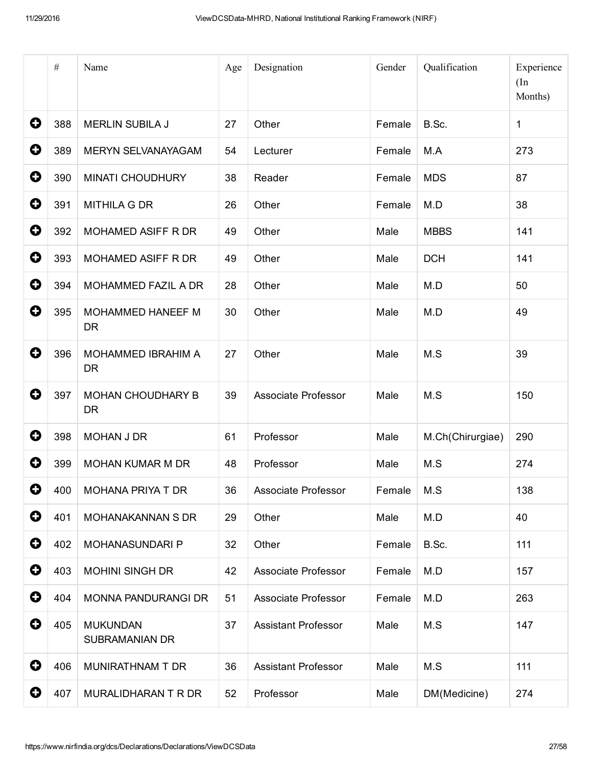|             | $\#$ | Name                                     | Age | Designation                | Gender | Qualification    | Experience<br>(In<br>Months) |
|-------------|------|------------------------------------------|-----|----------------------------|--------|------------------|------------------------------|
| 0           | 388  | <b>MERLIN SUBILA J</b>                   | 27  | Other                      | Female | B.Sc.            | $\mathbf{1}$                 |
| 0           | 389  | MERYN SELVANAYAGAM                       | 54  | Lecturer                   | Female | M.A              | 273                          |
| 0           | 390  | <b>MINATI CHOUDHURY</b>                  | 38  | Reader                     | Female | <b>MDS</b>       | 87                           |
| $\mathbf 0$ | 391  | <b>MITHILA G DR</b>                      | 26  | Other                      | Female | M.D              | 38                           |
| 0           | 392  | MOHAMED ASIFF R DR                       | 49  | Other                      | Male   | <b>MBBS</b>      | 141                          |
| 0           | 393  | MOHAMED ASIFF R DR                       | 49  | Other                      | Male   | <b>DCH</b>       | 141                          |
| $\mathbf 0$ | 394  | MOHAMMED FAZIL A DR                      | 28  | Other                      | Male   | M.D              | 50                           |
| 0           | 395  | MOHAMMED HANEEF M<br><b>DR</b>           | 30  | Other                      | Male   | M.D              | 49                           |
| 0           | 396  | MOHAMMED IBRAHIM A<br><b>DR</b>          | 27  | Other                      | Male   | M.S              | 39                           |
| 0           | 397  | <b>MOHAN CHOUDHARY B</b><br><b>DR</b>    | 39  | Associate Professor        | Male   | M.S              | 150                          |
| $\mathbf 0$ | 398  | <b>MOHAN J DR</b>                        | 61  | Professor                  | Male   | M.Ch(Chirurgiae) | 290                          |
| 0           | 399  | <b>MOHAN KUMAR M DR</b>                  | 48  | Professor                  | Male   | M.S              | 274                          |
| O.          | 400  | MOHANA PRIYA T DR                        | 36  | Associate Professor        | Female | M.S              | 138                          |
| 0           | 401  | MOHANAKANNAN S DR                        | 29  | Other                      | Male   | M.D              | 40                           |
| 0           | 402  | MOHANASUNDARI P                          | 32  | Other                      | Female | B.Sc.            | 111                          |
| 0           | 403  | <b>MOHINI SINGH DR</b>                   | 42  | Associate Professor        | Female | M.D              | 157                          |
| 0           | 404  | MONNA PANDURANGI DR                      | 51  | Associate Professor        | Female | M.D              | 263                          |
| 0           | 405  | <b>MUKUNDAN</b><br><b>SUBRAMANIAN DR</b> | 37  | <b>Assistant Professor</b> | Male   | M.S              | 147                          |
| $\mathbf 0$ | 406  | MUNIRATHNAM T DR                         | 36  | <b>Assistant Professor</b> | Male   | M.S              | 111                          |
| 0           | 407  | MURALIDHARAN T R DR                      | 52  | Professor                  | Male   | DM(Medicine)     | 274                          |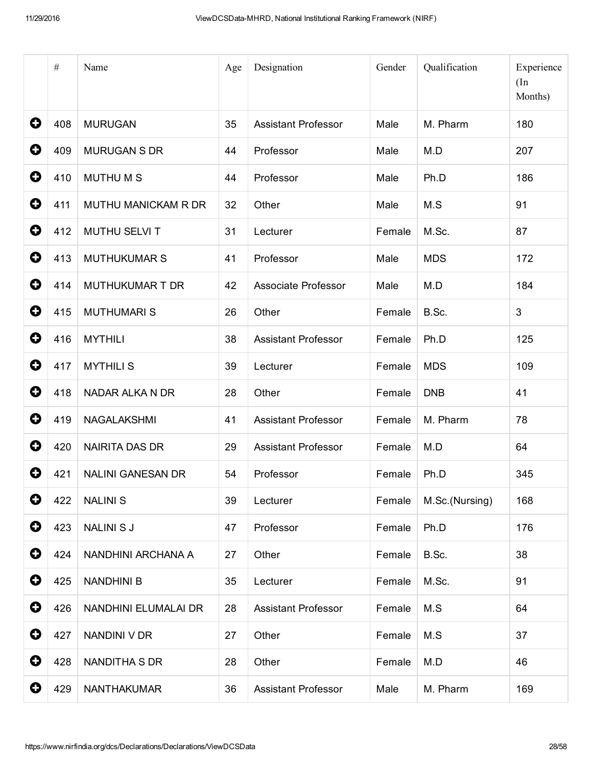|                       | $\#$ | Name                     | Age | Designation                | Gender | Qualification  | Experience<br>(In<br>Months) |
|-----------------------|------|--------------------------|-----|----------------------------|--------|----------------|------------------------------|
| 0                     | 408  | <b>MURUGAN</b>           | 35  | <b>Assistant Professor</b> | Male   | M. Pharm       | 180                          |
| 0                     | 409  | <b>MURUGAN S DR</b>      | 44  | Professor                  | Male   | M.D            | 207                          |
| 0                     | 410  | <b>MUTHUMS</b>           | 44  | Professor                  | Male   | Ph.D           | 186                          |
| $\mathbf 0$           | 411  | MUTHU MANICKAM R DR      | 32  | Other                      | Male   | M.S            | 91                           |
| $\mathbf 0$           | 412  | MUTHU SELVI T            | 31  | Lecturer                   | Female | M.Sc.          | 87                           |
| 0                     | 413  | <b>MUTHUKUMAR S</b>      | 41  | Professor                  | Male   | <b>MDS</b>     | 172                          |
| 0                     | 414  | MUTHUKUMAR T DR          | 42  | <b>Associate Professor</b> | Male   | M.D            | 184                          |
| $\mathbf 0$           | 415  | <b>MUTHUMARIS</b>        | 26  | Other                      | Female | B.Sc.          | 3                            |
| 0                     | 416  | <b>MYTHILI</b>           | 38  | <b>Assistant Professor</b> | Female | Ph.D           | 125                          |
| 0                     | 417  | <b>MYTHILIS</b>          | 39  | Lecturer                   | Female | <b>MDS</b>     | 109                          |
| 0                     | 418  | NADAR ALKA N DR          | 28  | Other                      | Female | <b>DNB</b>     | 41                           |
| $\mathbf 0$           | 419  | NAGALAKSHMI              | 41  | <b>Assistant Professor</b> | Female | M. Pharm       | 78                           |
| 0                     | 420  | <b>NAIRITA DAS DR</b>    | 29  | <b>Assistant Professor</b> | Female | M.D            | 64                           |
| O                     | 421  | <b>NALINI GANESAN DR</b> | 54  | Professor                  | Female | Ph.D           | 345                          |
| 0                     | 422  | <b>NALINIS</b>           | 39  | Lecturer                   | Female | M.Sc.(Nursing) | 168                          |
| 0                     | 423  | <b>NALINI S J</b>        | 47  | Professor                  | Female | Ph.D           | 176                          |
| $\mathbf 0$           | 424  | NANDHINI ARCHANA A       | 27  | Other                      | Female | B.Sc.          | 38                           |
| $\mathbf 0$           | 425  | <b>NANDHINI B</b>        | 35  | Lecturer                   | Female | M.Sc.          | 91                           |
| $\bullet$             | 426  | NANDHINI ELUMALAI DR     | 28  | <b>Assistant Professor</b> | Female | M.S            | 64                           |
| 0                     | 427  | NANDINI V DR             | 27  | Other                      | Female | M.S            | 37                           |
| $\mathbf 0$           | 428  | NANDITHA S DR            | 28  | Other                      | Female | M.D            | 46                           |
| $\boldsymbol{\Theta}$ | 429  | NANTHAKUMAR              | 36  | <b>Assistant Professor</b> | Male   | M. Pharm       | 169                          |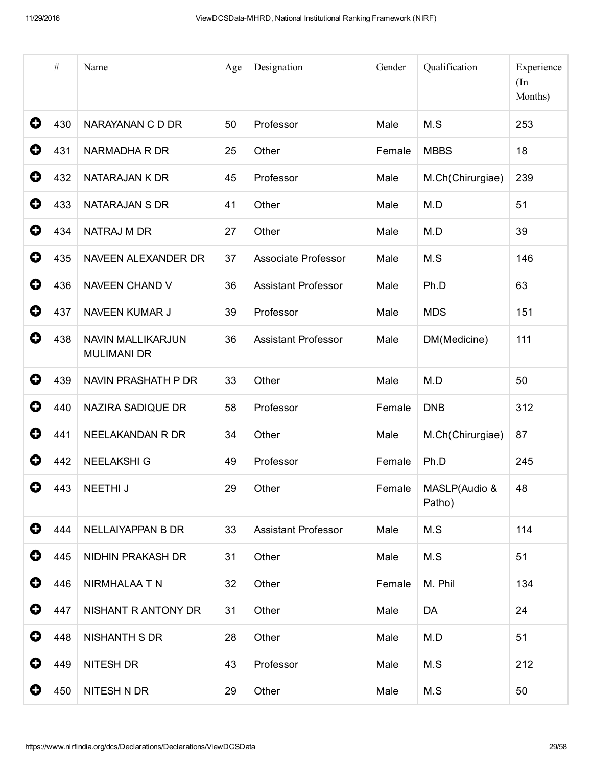|   | $\#$ | Name                                    | Age | Designation                | Gender | Qualification           | Experience<br>(In<br>Months) |
|---|------|-----------------------------------------|-----|----------------------------|--------|-------------------------|------------------------------|
| 0 | 430  | NARAYANAN C D DR                        | 50  | Professor                  | Male   | M.S                     | 253                          |
| 0 | 431  | NARMADHA R DR                           | 25  | Other                      | Female | <b>MBBS</b>             | 18                           |
| 0 | 432  | NATARAJAN K DR                          | 45  | Professor                  | Male   | M.Ch(Chirurgiae)        | 239                          |
| 0 | 433  | NATARAJAN S DR                          | 41  | Other                      | Male   | M.D                     | 51                           |
| 0 | 434  | NATRAJ M DR                             | 27  | Other                      | Male   | M.D                     | 39                           |
| 0 | 435  | NAVEEN ALEXANDER DR                     | 37  | Associate Professor        | Male   | M.S                     | 146                          |
| 0 | 436  | NAVEEN CHAND V                          | 36  | <b>Assistant Professor</b> | Male   | Ph.D                    | 63                           |
| 0 | 437  | NAVEEN KUMAR J                          | 39  | Professor                  | Male   | <b>MDS</b>              | 151                          |
| 0 | 438  | NAVIN MALLIKARJUN<br><b>MULIMANI DR</b> | 36  | <b>Assistant Professor</b> | Male   | DM(Medicine)            | 111                          |
| 0 | 439  | NAVIN PRASHATH P DR                     | 33  | Other                      | Male   | M.D                     | 50                           |
| 0 | 440  | NAZIRA SADIQUE DR                       | 58  | Professor                  | Female | <b>DNB</b>              | 312                          |
| 0 | 441  | NEELAKANDAN R DR                        | 34  | Other                      | Male   | M.Ch(Chirurgiae)        | 87                           |
| 0 | 442  | <b>NEELAKSHI G</b>                      | 49  | Professor                  | Female | Ph.D                    | 245                          |
| O | 443  | NEETHI J                                | 29  | Other                      | Female | MASLP(Audio &<br>Patho) | 48                           |
| 0 | 444  | NELLAIYAPPAN B DR                       | 33  | <b>Assistant Professor</b> | Male   | M.S                     | 114                          |
| 0 | 445  | NIDHIN PRAKASH DR                       | 31  | Other                      | Male   | M.S                     | 51                           |
| 0 | 446  | NIRMHALAA T N                           | 32  | Other                      | Female | M. Phil                 | 134                          |
| 0 | 447  | NISHANT R ANTONY DR                     | 31  | Other                      | Male   | DA                      | 24                           |
| 0 | 448  | <b>NISHANTH S DR</b>                    | 28  | Other                      | Male   | M.D                     | 51                           |
| 0 | 449  | NITESH DR                               | 43  | Professor                  | Male   | M.S                     | 212                          |
| 0 | 450  | NITESH N DR                             | 29  | Other                      | Male   | M.S                     | 50                           |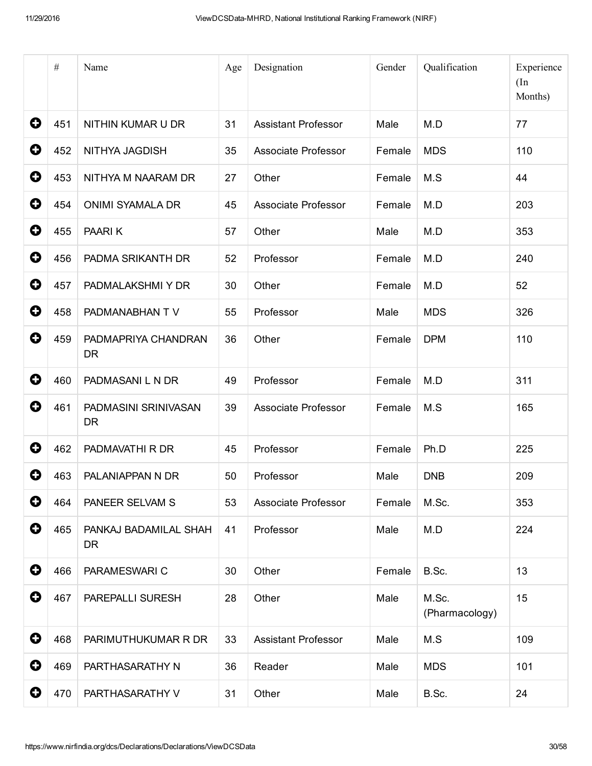|             | $\#$ | Name                              | Age | Designation                | Gender | Qualification           | Experience<br>(In<br>Months) |
|-------------|------|-----------------------------------|-----|----------------------------|--------|-------------------------|------------------------------|
| 0           | 451  | NITHIN KUMAR U DR                 | 31  | <b>Assistant Professor</b> | Male   | M.D                     | 77                           |
| $\mathbf 0$ | 452  | NITHYA JAGDISH                    | 35  | Associate Professor        | Female | <b>MDS</b>              | 110                          |
| 0           | 453  | NITHYA M NAARAM DR                | 27  | Other                      | Female | M.S                     | 44                           |
| 0           | 454  | <b>ONIMI SYAMALA DR</b>           | 45  | Associate Professor        | Female | M.D                     | 203                          |
| 0           | 455  | PAARIK                            | 57  | Other                      | Male   | M.D                     | 353                          |
| 0           | 456  | PADMA SRIKANTH DR                 | 52  | Professor                  | Female | M.D                     | 240                          |
| $\mathbf 0$ | 457  | PADMALAKSHMI Y DR                 | 30  | Other                      | Female | M.D                     | 52                           |
| 0           | 458  | PADMANABHAN TV                    | 55  | Professor                  | Male   | <b>MDS</b>              | 326                          |
| 0           | 459  | PADMAPRIYA CHANDRAN<br><b>DR</b>  | 36  | Other                      | Female | <b>DPM</b>              | 110                          |
| 0           | 460  | PADMASANI L N DR                  | 49  | Professor                  | Female | M.D                     | 311                          |
| $\mathbf 0$ | 461  | PADMASINI SRINIVASAN<br><b>DR</b> | 39  | Associate Professor        | Female | M.S                     | 165                          |
| 0           | 462  | PADMAVATHI R DR                   | 45  | Professor                  | Female | Ph.D                    | 225                          |
| 0           | 463  | PALANIAPPAN N DR                  | 50  | Professor                  | Male   | <b>DNB</b>              | 209                          |
| 0           | 464  | PANEER SELVAM S                   | 53  | Associate Professor        | Female | M.Sc.                   | 353                          |
| $\mathbf 0$ | 465  | PANKAJ BADAMILAL SHAH<br>DR.      | 41  | Professor                  | Male   | M.D                     | 224                          |
| 0           | 466  | PARAMESWARI C                     | 30  | Other                      | Female | B.Sc.                   | 13                           |
| $\mathbf 0$ | 467  | PAREPALLI SURESH                  | 28  | Other                      | Male   | M.Sc.<br>(Pharmacology) | 15                           |
| $\mathbf 0$ | 468  | PARIMUTHUKUMAR R DR               | 33  | <b>Assistant Professor</b> | Male   | M.S                     | 109                          |
| 0           | 469  | PARTHASARATHY N                   | 36  | Reader                     | Male   | <b>MDS</b>              | 101                          |
| 0           | 470  | PARTHASARATHY V                   | 31  | Other                      | Male   | B.Sc.                   | 24                           |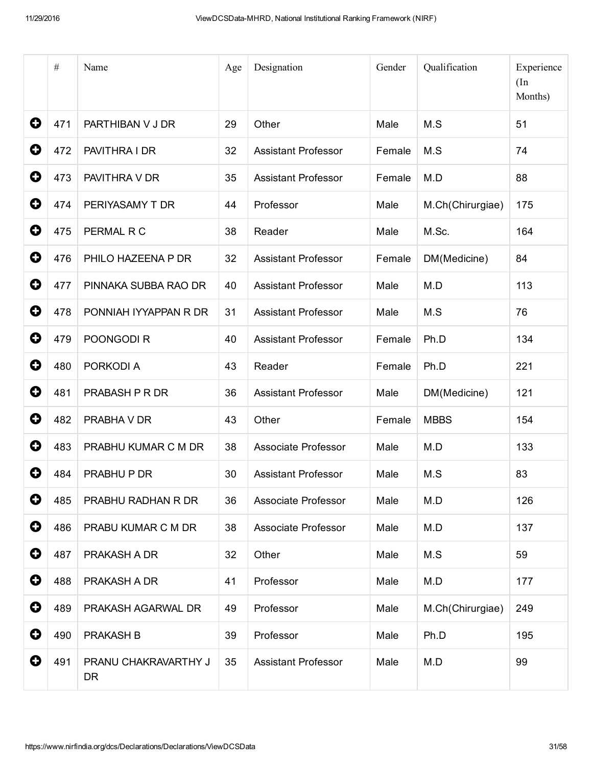|             | $\#$ | Name                              | Age | Designation                | Gender | Qualification    | Experience<br>(In<br>Months) |
|-------------|------|-----------------------------------|-----|----------------------------|--------|------------------|------------------------------|
| 0           | 471  | PARTHIBAN V J DR                  | 29  | Other                      | Male   | M.S              | 51                           |
| 0           | 472  | PAVITHRA I DR                     | 32  | <b>Assistant Professor</b> | Female | M.S              | 74                           |
| 0           | 473  | PAVITHRA V DR                     | 35  | <b>Assistant Professor</b> | Female | M.D              | 88                           |
| 0           | 474  | PERIYASAMY T DR                   | 44  | Professor                  | Male   | M.Ch(Chirurgiae) | 175                          |
| 0           | 475  | PERMAL R C                        | 38  | Reader                     | Male   | M.Sc.            | 164                          |
| 0           | 476  | PHILO HAZEENA P DR                | 32  | <b>Assistant Professor</b> | Female | DM(Medicine)     | 84                           |
| 0           | 477  | PINNAKA SUBBA RAO DR              | 40  | <b>Assistant Professor</b> | Male   | M.D              | 113                          |
| 0           | 478  | PONNIAH IYYAPPAN R DR             | 31  | <b>Assistant Professor</b> | Male   | M.S              | 76                           |
| 0           | 479  | POONGODI R                        | 40  | <b>Assistant Professor</b> | Female | Ph.D             | 134                          |
| 0           | 480  | PORKODI A                         | 43  | Reader                     | Female | Ph.D             | 221                          |
| 0           | 481  | PRABASH P R DR                    | 36  | <b>Assistant Professor</b> | Male   | DM(Medicine)     | 121                          |
| 0           | 482  | PRABHA V DR                       | 43  | Other                      | Female | <b>MBBS</b>      | 154                          |
| 0           | 483  | PRABHU KUMAR C M DR               | 38  | Associate Professor        | Male   | M.D              | 133                          |
| O           | 484  | PRABHU P DR                       | 30  | <b>Assistant Professor</b> | Male   | M.S              | 83                           |
| 0           | 485  | PRABHU RADHAN R DR                | 36  | Associate Professor        | Male   | M.D              | 126                          |
| 0           | 486  | PRABU KUMAR C M DR                | 38  | Associate Professor        | Male   | M.D              | 137                          |
| $\mathbf 0$ | 487  | PRAKASH A DR                      | 32  | Other                      | Male   | M.S              | 59                           |
| $\mathbf 0$ | 488  | PRAKASH A DR                      | 41  | Professor                  | Male   | M.D              | 177                          |
| $\bullet$   | 489  | PRAKASH AGARWAL DR                | 49  | Professor                  | Male   | M.Ch(Chirurgiae) | 249                          |
| 0           | 490  | PRAKASH B                         | 39  | Professor                  | Male   | Ph.D             | 195                          |
| $\mathbf 0$ | 491  | PRANU CHAKRAVARTHY J<br><b>DR</b> | 35  | <b>Assistant Professor</b> | Male   | M.D              | 99                           |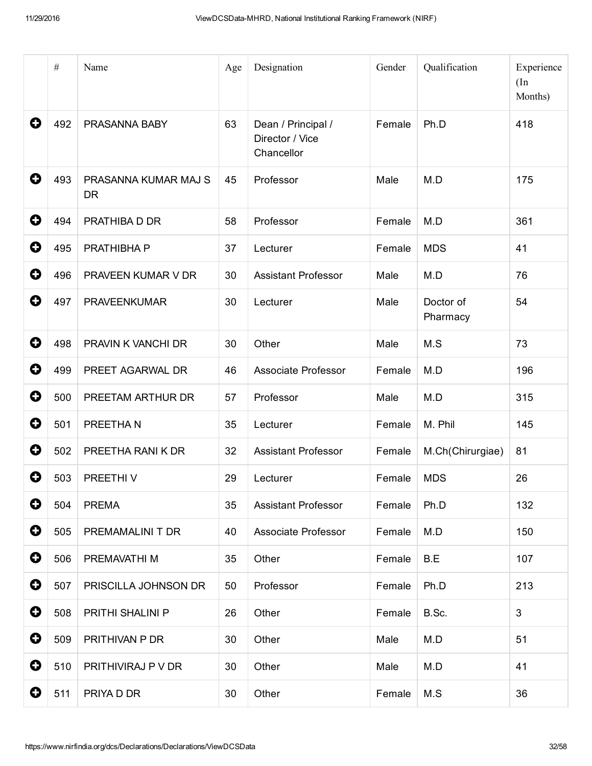|           | $\#$ | Name                              | Age | Designation                                         | Gender | Qualification         | Experience<br>(In<br>Months) |
|-----------|------|-----------------------------------|-----|-----------------------------------------------------|--------|-----------------------|------------------------------|
| 0         | 492  | PRASANNA BABY                     | 63  | Dean / Principal /<br>Director / Vice<br>Chancellor | Female | Ph.D                  | 418                          |
| 0         | 493  | PRASANNA KUMAR MAJ S<br><b>DR</b> | 45  | Professor                                           | Male   | M.D                   | 175                          |
| 0         | 494  | PRATHIBA D DR                     | 58  | Professor                                           | Female | M.D                   | 361                          |
| 0         | 495  | PRATHIBHA P                       | 37  | Lecturer                                            | Female | <b>MDS</b>            | 41                           |
| 0         | 496  | PRAVEEN KUMAR V DR                | 30  | <b>Assistant Professor</b>                          | Male   | M.D                   | 76                           |
| 0         | 497  | <b>PRAVEENKUMAR</b>               | 30  | Lecturer                                            | Male   | Doctor of<br>Pharmacy | 54                           |
| 0         | 498  | PRAVIN K VANCHI DR                | 30  | Other                                               | Male   | M.S                   | 73                           |
| 0         | 499  | PREET AGARWAL DR                  | 46  | Associate Professor                                 | Female | M.D                   | 196                          |
| 0         | 500  | PREETAM ARTHUR DR                 | 57  | Professor                                           | Male   | M.D                   | 315                          |
| 0         | 501  | PREETHAN                          | 35  | Lecturer                                            | Female | M. Phil               | 145                          |
| 0         | 502  | PREETHA RANI K DR                 | 32  | <b>Assistant Professor</b>                          | Female | M.Ch(Chirurgiae)      | 81                           |
| O         | 503  | PREETHIV                          | 29  | Lecturer                                            | Female | <b>MDS</b>            | 26                           |
| 0         | 504  | <b>PREMA</b>                      | 35  | <b>Assistant Professor</b>                          | Female | Ph.D                  | 132                          |
| 0         | 505  | PREMAMALINI T DR                  | 40  | Associate Professor                                 | Female | M.D                   | 150                          |
| 0         | 506  | PREMAVATHI M                      | 35  | Other                                               | Female | B.E                   | 107                          |
| $\bullet$ | 507  | PRISCILLA JOHNSON DR              | 50  | Professor                                           | Female | Ph.D                  | 213                          |
| 0         | 508  | PRITHI SHALINI P                  | 26  | Other                                               | Female | B.Sc.                 | 3                            |
| $\bullet$ | 509  | PRITHIVAN P DR                    | 30  | Other                                               | Male   | M.D                   | 51                           |
| 0         | 510  | PRITHIVIRAJ P V DR                | 30  | Other                                               | Male   | M.D                   | 41                           |
| 0         | 511  | PRIYA D DR                        | 30  | Other                                               | Female | M.S                   | 36                           |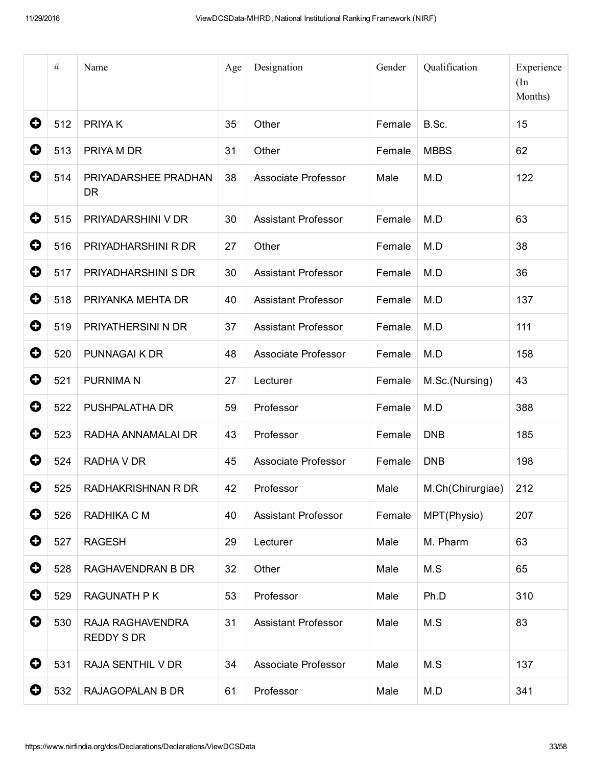|             | $\#$ | Name                              | Age | Designation                | Gender | Qualification    | Experience<br>(In<br>Months) |
|-------------|------|-----------------------------------|-----|----------------------------|--------|------------------|------------------------------|
| 0           | 512  | PRIYA K                           | 35  | Other                      | Female | B.Sc.            | 15                           |
| 0           | 513  | PRIYA M DR                        | 31  | Other                      | Female | <b>MBBS</b>      | 62                           |
| 0           | 514  | PRIYADARSHEE PRADHAN<br><b>DR</b> | 38  | Associate Professor        | Male   | M.D              | 122                          |
| 0           | 515  | PRIYADARSHINI V DR                | 30  | <b>Assistant Professor</b> | Female | M.D              | 63                           |
| 0           | 516  | PRIYADHARSHINI R DR               | 27  | Other                      | Female | M.D              | 38                           |
| 0           | 517  | PRIYADHARSHINI S DR               | 30  | <b>Assistant Professor</b> | Female | M.D              | 36                           |
| 0           | 518  | PRIYANKA MEHTA DR                 | 40  | <b>Assistant Professor</b> | Female | M.D              | 137                          |
| $\mathbf Q$ | 519  | PRIYATHERSINI N DR                | 37  | <b>Assistant Professor</b> | Female | M.D              | 111                          |
| 0           | 520  | PUNNAGAI K DR                     | 48  | Associate Professor        | Female | M.D              | 158                          |
| 0           | 521  | <b>PURNIMAN</b>                   | 27  | Lecturer                   | Female | M.Sc.(Nursing)   | 43                           |
| 0           | 522  | PUSHPALATHA DR                    | 59  | Professor                  | Female | M.D              | 388                          |
| 0           | 523  | RADHA ANNAMALAI DR                | 43  | Professor                  | Female | <b>DNB</b>       | 185                          |
| 0           | 524  | RADHA V DR                        | 45  | Associate Professor        | Female | <b>DNB</b>       | 198                          |
| O           | 525  | RADHAKRISHNAN R DR                | 42  | Professor                  | Male   | M.Ch(Chirurgiae) | 212                          |
| $\mathbf 0$ | 526  | RADHIKA C M                       | 40  | <b>Assistant Professor</b> | Female | MPT(Physio)      | 207                          |
| 0           | 527  | <b>RAGESH</b>                     | 29  | Lecturer                   | Male   | M. Pharm         | 63                           |
| $\mathbf 0$ | 528  | RAGHAVENDRAN B DR                 | 32  | Other                      | Male   | M.S              | 65                           |
| 0           | 529  | <b>RAGUNATH PK</b>                | 53  | Professor                  | Male   | Ph.D             | 310                          |
| 0           | 530  | RAJA RAGHAVENDRA<br>REDDY S DR    | 31  | <b>Assistant Professor</b> | Male   | M.S              | 83                           |
| 0           | 531  | RAJA SENTHIL V DR                 | 34  | Associate Professor        | Male   | M.S              | 137                          |
| 0           | 532  | RAJAGOPALAN B DR                  | 61  | Professor                  | Male   | M.D              | 341                          |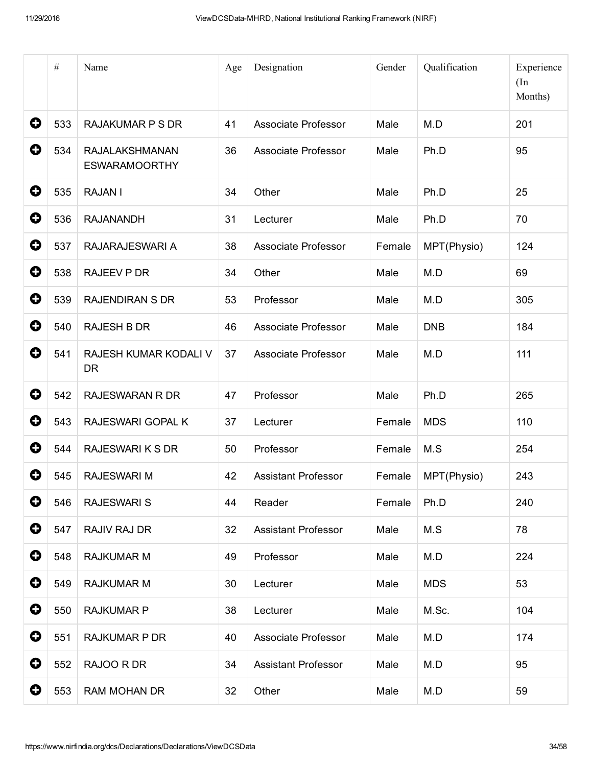|             | $\#$ | Name                                          | Age | Designation                | Gender | Qualification | Experience<br>(In<br>Months) |
|-------------|------|-----------------------------------------------|-----|----------------------------|--------|---------------|------------------------------|
| $\mathbf 0$ | 533  | <b>RAJAKUMAR P S DR</b>                       | 41  | Associate Professor        | Male   | M.D           | 201                          |
| 0           | 534  | <b>RAJALAKSHMANAN</b><br><b>ESWARAMOORTHY</b> | 36  | <b>Associate Professor</b> | Male   | Ph.D          | 95                           |
| $\mathbf 0$ | 535  | <b>RAJAN I</b>                                | 34  | Other                      | Male   | Ph.D          | 25                           |
| 0           | 536  | <b>RAJANANDH</b>                              | 31  | Lecturer                   | Male   | Ph.D          | 70                           |
| 0           | 537  | RAJARAJESWARI A                               | 38  | Associate Professor        | Female | MPT(Physio)   | 124                          |
| 0           | 538  | <b>RAJEEV P DR</b>                            | 34  | Other                      | Male   | M.D           | 69                           |
| 0           | 539  | <b>RAJENDIRAN S DR</b>                        | 53  | Professor                  | Male   | M.D           | 305                          |
| 0           | 540  | <b>RAJESH B DR</b>                            | 46  | Associate Professor        | Male   | <b>DNB</b>    | 184                          |
| 0           | 541  | RAJESH KUMAR KODALI V<br><b>DR</b>            | 37  | Associate Professor        | Male   | M.D           | 111                          |
| $\mathbf 0$ | 542  | <b>RAJESWARAN R DR</b>                        | 47  | Professor                  | Male   | Ph.D          | 265                          |
| O           | 543  | RAJESWARI GOPAL K                             | 37  | Lecturer                   | Female | <b>MDS</b>    | 110                          |
| 0           | 544  | <b>RAJESWARI K S DR</b>                       | 50  | Professor                  | Female | M.S           | 254                          |
| O           | 545  | <b>RAJESWARI M</b>                            | 42  | <b>Assistant Professor</b> | Female | MPT(Physio)   | 243                          |
| 0           | 546  | <b>RAJESWARI S</b>                            | 44  | Reader                     | Female | Ph.D          | 240                          |
| $\bullet$   | 547  | RAJIV RAJ DR                                  | 32  | <b>Assistant Professor</b> | Male   | M.S           | 78                           |
| 0           | 548  | <b>RAJKUMAR M</b>                             | 49  | Professor                  | Male   | M.D           | 224                          |
| $\bullet$   | 549  | <b>RAJKUMAR M</b>                             | 30  | Lecturer                   | Male   | <b>MDS</b>    | 53                           |
| $\bullet$   | 550  | <b>RAJKUMAR P</b>                             | 38  | Lecturer                   | Male   | M.Sc.         | 104                          |
| $\mathbf 0$ | 551  | <b>RAJKUMAR P DR</b>                          | 40  | Associate Professor        | Male   | M.D           | 174                          |
| 0           | 552  | RAJOO R DR                                    | 34  | <b>Assistant Professor</b> | Male   | M.D           | 95                           |
| O           | 553  | <b>RAM MOHAN DR</b>                           | 32  | Other                      | Male   | M.D           | 59                           |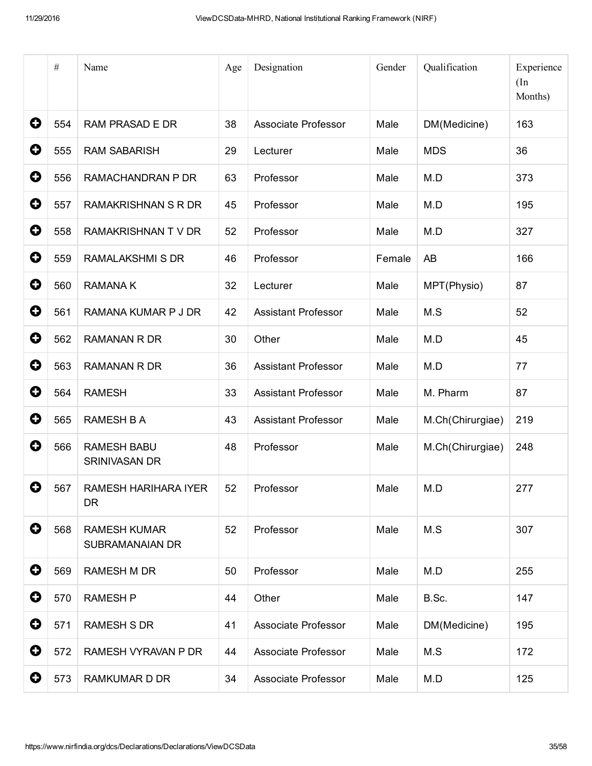|             | $\#$ | Name                                   | Age | Designation                | Gender | Qualification    | Experience<br>(In<br>Months) |
|-------------|------|----------------------------------------|-----|----------------------------|--------|------------------|------------------------------|
| 0           | 554  | <b>RAM PRASAD E DR</b>                 | 38  | <b>Associate Professor</b> | Male   | DM(Medicine)     | 163                          |
| 0           | 555  | <b>RAM SABARISH</b>                    | 29  | Lecturer                   | Male   | <b>MDS</b>       | 36                           |
| 0           | 556  | RAMACHANDRAN P DR                      | 63  | Professor                  | Male   | M.D              | 373                          |
| 0           | 557  | <b>RAMAKRISHNAN S R DR</b>             | 45  | Professor                  | Male   | M.D              | 195                          |
| 0           | 558  | RAMAKRISHNAN TV DR                     | 52  | Professor                  | Male   | M.D              | 327                          |
| 0           | 559  | <b>RAMALAKSHMI S DR</b>                | 46  | Professor                  | Female | AB               | 166                          |
| 0           | 560  | RAMANA K                               | 32  | Lecturer                   | Male   | MPT(Physio)      | 87                           |
| 0           | 561  | RAMANA KUMAR P J DR                    | 42  | <b>Assistant Professor</b> | Male   | M.S              | 52                           |
| 0           | 562  | <b>RAMANAN R DR</b>                    | 30  | Other                      | Male   | M.D              | 45                           |
| 0           | 563  | <b>RAMANAN R DR</b>                    | 36  | <b>Assistant Professor</b> | Male   | M.D              | 77                           |
| 0           | 564  | <b>RAMESH</b>                          | 33  | <b>Assistant Professor</b> | Male   | M. Pharm         | 87                           |
| 0           | 565  | <b>RAMESH B A</b>                      | 43  | <b>Assistant Professor</b> | Male   | M.Ch(Chirurgiae) | 219                          |
| 0           | 566  | <b>RAMESH BABU</b><br>SRINIVASAN DR    | 48  | Professor                  | Male   | M.Ch(Chirurgiae) | 248                          |
| O           | 567  | RAMESH HARIHARA IYER<br>DR.            | 52  | Professor                  | Male   | M.D              | 277                          |
| $\mathbf 0$ | 568  | <b>RAMESH KUMAR</b><br>SUBRAMANAIAN DR | 52  | Professor                  | Male   | M.S              | 307                          |
| 0           | 569  | <b>RAMESH M DR</b>                     | 50  | Professor                  | Male   | M.D              | 255                          |
| $\mathbf 0$ | 570  | <b>RAMESH P</b>                        | 44  | Other                      | Male   | B.Sc.            | 147                          |
| 0           | 571  | <b>RAMESH S DR</b>                     | 41  | Associate Professor        | Male   | DM(Medicine)     | 195                          |
| 0           | 572  | RAMESH VYRAVAN P DR                    | 44  | <b>Associate Professor</b> | Male   | M.S              | 172                          |
| 0           | 573  | <b>RAMKUMAR D DR</b>                   | 34  | Associate Professor        | Male   | M.D              | 125                          |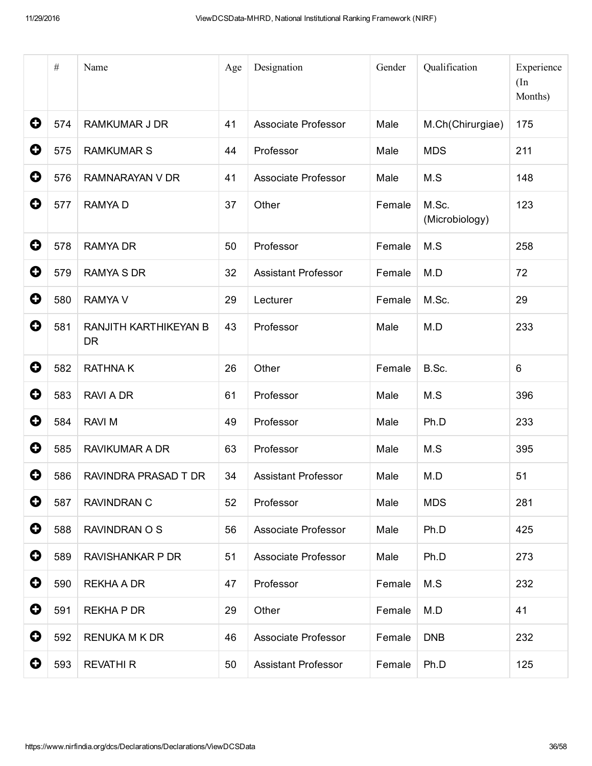|   | $\#$ | Name                               | Age | Designation                | Gender | Qualification           | Experience<br>(In<br>Months) |
|---|------|------------------------------------|-----|----------------------------|--------|-------------------------|------------------------------|
| 0 | 574  | <b>RAMKUMAR J DR</b>               | 41  | Associate Professor        | Male   | M.Ch(Chirurgiae)        | 175                          |
| 0 | 575  | <b>RAMKUMAR S</b>                  | 44  | Professor                  | Male   | <b>MDS</b>              | 211                          |
| 0 | 576  | RAMNARAYAN V DR                    | 41  | Associate Professor        | Male   | M.S                     | 148                          |
| 0 | 577  | <b>RAMYAD</b>                      | 37  | Other                      | Female | M.Sc.<br>(Microbiology) | 123                          |
| 0 | 578  | <b>RAMYA DR</b>                    | 50  | Professor                  | Female | M.S                     | 258                          |
| 0 | 579  | <b>RAMYA S DR</b>                  | 32  | <b>Assistant Professor</b> | Female | M.D                     | 72                           |
| 0 | 580  | <b>RAMYA V</b>                     | 29  | Lecturer                   | Female | M.Sc.                   | 29                           |
| 0 | 581  | RANJITH KARTHIKEYAN B<br><b>DR</b> | 43  | Professor                  | Male   | M.D                     | 233                          |
| 0 | 582  | <b>RATHNAK</b>                     | 26  | Other                      | Female | B.Sc.                   | $6\phantom{1}6$              |
| 0 | 583  | RAVI A DR                          | 61  | Professor                  | Male   | M.S                     | 396                          |
| 0 | 584  | <b>RAVI M</b>                      | 49  | Professor                  | Male   | Ph.D                    | 233                          |
| 0 | 585  | <b>RAVIKUMAR A DR</b>              | 63  | Professor                  | Male   | M.S                     | 395                          |
| 0 | 586  | RAVINDRA PRASAD T DR               | 34  | <b>Assistant Professor</b> | Male   | M.D                     | 51                           |
| 0 | 587  | <b>RAVINDRAN C</b>                 | 52  | Professor                  | Male   | <b>MDS</b>              | 281                          |
| 0 | 588  | RAVINDRAN O S                      | 56  | Associate Professor        | Male   | Ph.D                    | 425                          |
| 0 | 589  | <b>RAVISHANKAR P DR</b>            | 51  | Associate Professor        | Male   | Ph.D                    | 273                          |
| 0 | 590  | <b>REKHA A DR</b>                  | 47  | Professor                  | Female | M.S                     | 232                          |
| 0 | 591  | <b>REKHAPDR</b>                    | 29  | Other                      | Female | M.D                     | 41                           |
| 0 | 592  | RENUKA M K DR                      | 46  | Associate Professor        | Female | <b>DNB</b>              | 232                          |
| 0 | 593  | <b>REVATHI R</b>                   | 50  | <b>Assistant Professor</b> | Female | Ph.D                    | 125                          |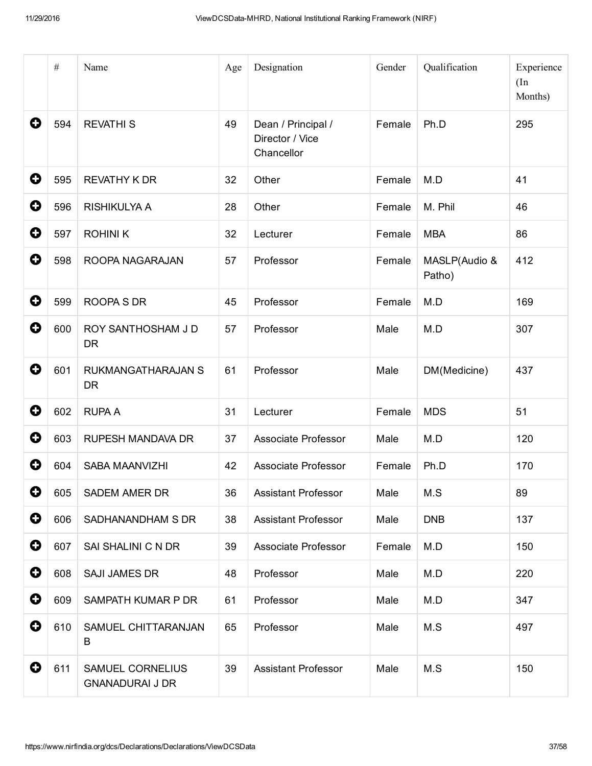|             | $\#$ | Name                                              | Age | Designation                                         | Gender | Qualification           | Experience<br>(In<br>Months) |
|-------------|------|---------------------------------------------------|-----|-----------------------------------------------------|--------|-------------------------|------------------------------|
| 0           | 594  | <b>REVATHIS</b>                                   | 49  | Dean / Principal /<br>Director / Vice<br>Chancellor | Female | Ph.D                    | 295                          |
| 0           | 595  | <b>REVATHY K DR</b>                               | 32  | Other                                               | Female | M.D                     | 41                           |
| 0           | 596  | RISHIKULYA A                                      | 28  | Other                                               | Female | M. Phil                 | 46                           |
| 0           | 597  | <b>ROHINIK</b>                                    | 32  | Lecturer                                            | Female | <b>MBA</b>              | 86                           |
| 0           | 598  | ROOPA NAGARAJAN                                   | 57  | Professor                                           | Female | MASLP(Audio &<br>Patho) | 412                          |
| 0           | 599  | ROOPA S DR                                        | 45  | Professor                                           | Female | M.D                     | 169                          |
| 0           | 600  | ROY SANTHOSHAM J D<br><b>DR</b>                   | 57  | Professor                                           | Male   | M.D                     | 307                          |
| 0           | 601  | RUKMANGATHARAJAN S<br><b>DR</b>                   | 61  | Professor                                           | Male   | DM(Medicine)            | 437                          |
| 0           | 602  | <b>RUPA A</b>                                     | 31  | Lecturer                                            | Female | <b>MDS</b>              | 51                           |
| 0           | 603  | <b>RUPESH MANDAVA DR</b>                          | 37  | Associate Professor                                 | Male   | M.D                     | 120                          |
| 0           | 604  | SABA MAANVIZHI                                    | 42  | Associate Professor                                 | Female | Ph.D                    | 170                          |
| 0           | 605  | SADEM AMER DR                                     | 36  | <b>Assistant Professor</b>                          | Male   | M.S                     | 89                           |
| $\mathbf 0$ | 606  | SADHANANDHAM S DR                                 | 38  | <b>Assistant Professor</b>                          | Male   | <b>DNB</b>              | 137                          |
| $\mathbf 0$ | 607  | SAI SHALINI C N DR                                | 39  | Associate Professor                                 | Female | M.D                     | 150                          |
| 0           | 608  | <b>SAJI JAMES DR</b>                              | 48  | Professor                                           | Male   | M.D                     | 220                          |
| $\mathbf 0$ | 609  | SAMPATH KUMAR P DR                                | 61  | Professor                                           | Male   | M.D                     | 347                          |
| 0           | 610  | SAMUEL CHITTARANJAN<br>B                          | 65  | Professor                                           | Male   | M.S                     | 497                          |
| $\mathbf 0$ | 611  | <b>SAMUEL CORNELIUS</b><br><b>GNANADURAI J DR</b> | 39  | <b>Assistant Professor</b>                          | Male   | M.S                     | 150                          |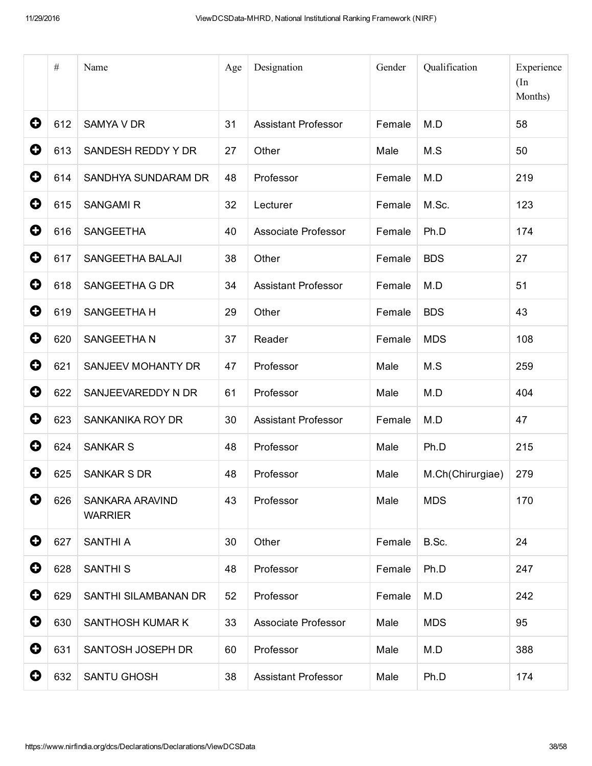|                       | $\#$ | Name                              | Age | Designation                | Gender | Qualification    | Experience<br>(In<br>Months) |
|-----------------------|------|-----------------------------------|-----|----------------------------|--------|------------------|------------------------------|
| 0                     | 612  | <b>SAMYA V DR</b>                 | 31  | <b>Assistant Professor</b> | Female | M.D              | 58                           |
| $\mathbf 0$           | 613  | SANDESH REDDY Y DR                | 27  | Other                      | Male   | M.S              | 50                           |
| 0                     | 614  | SANDHYA SUNDARAM DR               | 48  | Professor                  | Female | M.D              | 219                          |
| 0                     | 615  | <b>SANGAMIR</b>                   | 32  | Lecturer                   | Female | M.Sc.            | 123                          |
| $\mathbf Q$           | 616  | <b>SANGEETHA</b>                  | 40  | <b>Associate Professor</b> | Female | Ph.D             | 174                          |
| 0                     | 617  | SANGEETHA BALAJI                  | 38  | Other                      | Female | <b>BDS</b>       | 27                           |
| 0                     | 618  | SANGEETHA G DR                    | 34  | <b>Assistant Professor</b> | Female | M.D              | 51                           |
| 0                     | 619  | SANGEETHA H                       | 29  | Other                      | Female | <b>BDS</b>       | 43                           |
| 0                     | 620  | SANGEETHAN                        | 37  | Reader                     | Female | <b>MDS</b>       | 108                          |
| $\mathbf 0$           | 621  | SANJEEV MOHANTY DR                | 47  | Professor                  | Male   | M.S              | 259                          |
| 0                     | 622  | SANJEEVAREDDY N DR                | 61  | Professor                  | Male   | M.D              | 404                          |
| 0                     | 623  | SANKANIKA ROY DR                  | 30  | <b>Assistant Professor</b> | Female | M.D              | 47                           |
| 0                     | 624  | <b>SANKAR S</b>                   | 48  | Professor                  | Male   | Ph.D             | 215                          |
| 0                     | 625  | <b>SANKAR S DR</b>                | 48  | Professor                  | Male   | M.Ch(Chirurgiae) | 279                          |
| 0                     | 626  | SANKARA ARAVIND<br><b>WARRIER</b> | 43  | Professor                  | Male   | <b>MDS</b>       | 170                          |
| 0                     | 627  | SANTHI A                          | 30  | Other                      | Female | B.Sc.            | 24                           |
| 0                     | 628  | <b>SANTHI S</b>                   | 48  | Professor                  | Female | Ph.D             | 247                          |
| 0                     | 629  | SANTHI SILAMBANAN DR              | 52  | Professor                  | Female | M.D              | 242                          |
| $\mathbf 0$           | 630  | SANTHOSH KUMAR K                  | 33  | <b>Associate Professor</b> | Male   | <b>MDS</b>       | 95                           |
| 0                     | 631  | SANTOSH JOSEPH DR                 | 60  | Professor                  | Male   | M.D              | 388                          |
| $\boldsymbol{\Theta}$ | 632  | SANTU GHOSH                       | 38  | <b>Assistant Professor</b> | Male   | Ph.D             | 174                          |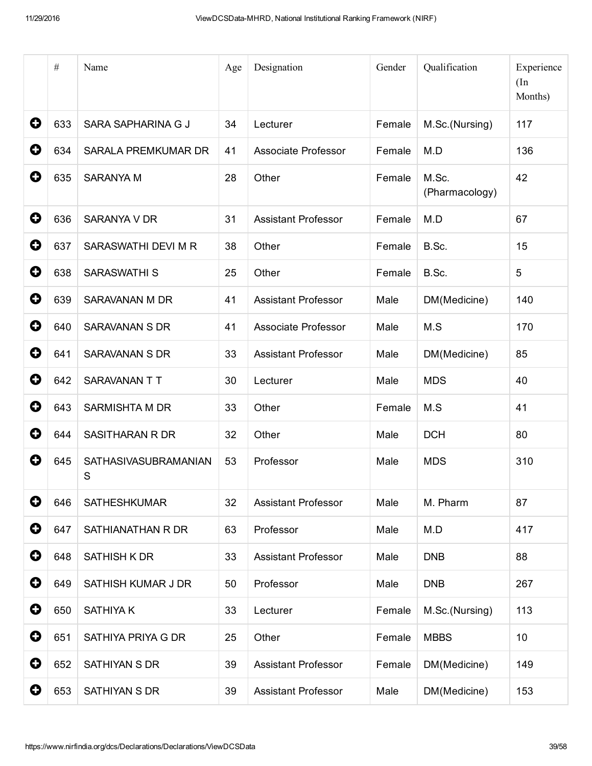|             | $\#$ | Name                      | Age | Designation                | Gender | Qualification           | Experience<br>(In<br>Months) |
|-------------|------|---------------------------|-----|----------------------------|--------|-------------------------|------------------------------|
| 0           | 633  | SARA SAPHARINA G J        | 34  | Lecturer                   | Female | M.Sc.(Nursing)          | 117                          |
| 0           | 634  | SARALA PREMKUMAR DR       | 41  | <b>Associate Professor</b> | Female | M.D                     | 136                          |
| 0           | 635  | <b>SARANYA M</b>          | 28  | Other                      | Female | M.Sc.<br>(Pharmacology) | 42                           |
| 0           | 636  | SARANYA V DR              | 31  | <b>Assistant Professor</b> | Female | M.D                     | 67                           |
| 0           | 637  | SARASWATHI DEVI M R       | 38  | Other                      | Female | B.Sc.                   | 15                           |
| 0           | 638  | <b>SARASWATHI S</b>       | 25  | Other                      | Female | B.Sc.                   | 5                            |
| 0           | 639  | SARAVANAN M DR            | 41  | <b>Assistant Professor</b> | Male   | DM(Medicine)            | 140                          |
| 0           | 640  | <b>SARAVANAN S DR</b>     | 41  | Associate Professor        | Male   | M.S                     | 170                          |
| 0           | 641  | SARAVANAN S DR            | 33  | <b>Assistant Professor</b> | Male   | DM(Medicine)            | 85                           |
| 0           | 642  | SARAVANAN TT              | 30  | Lecturer                   | Male   | <b>MDS</b>              | 40                           |
| 0           | 643  | SARMISHTA M DR            | 33  | Other                      | Female | M.S                     | 41                           |
| 0           | 644  | <b>SASITHARAN R DR</b>    | 32  | Other                      | Male   | <b>DCH</b>              | 80                           |
| 0           | 645  | SATHASIVASUBRAMANIAN<br>S | 53  | Professor                  | Male   | <b>MDS</b>              | 310                          |
| 0           | 646  | <b>SATHESHKUMAR</b>       | 32  | <b>Assistant Professor</b> | Male   | M. Pharm                | 87                           |
| 0           | 647  | SATHIANATHAN R DR         | 63  | Professor                  | Male   | M.D                     | 417                          |
| $\mathbf 0$ | 648  | SATHISH K DR              | 33  | <b>Assistant Professor</b> | Male   | <b>DNB</b>              | 88                           |
| 0           | 649  | SATHISH KUMAR J DR        | 50  | Professor                  | Male   | <b>DNB</b>              | 267                          |
| 0           | 650  | <b>SATHIYAK</b>           | 33  | Lecturer                   | Female | M.Sc.(Nursing)          | 113                          |
| $\mathbf 0$ | 651  | SATHIYA PRIYA G DR        | 25  | Other                      | Female | <b>MBBS</b>             | 10                           |
| 0           | 652  | SATHIYAN S DR             | 39  | <b>Assistant Professor</b> | Female | DM(Medicine)            | 149                          |
| 0           | 653  | SATHIYAN S DR             | 39  | <b>Assistant Professor</b> | Male   | DM(Medicine)            | 153                          |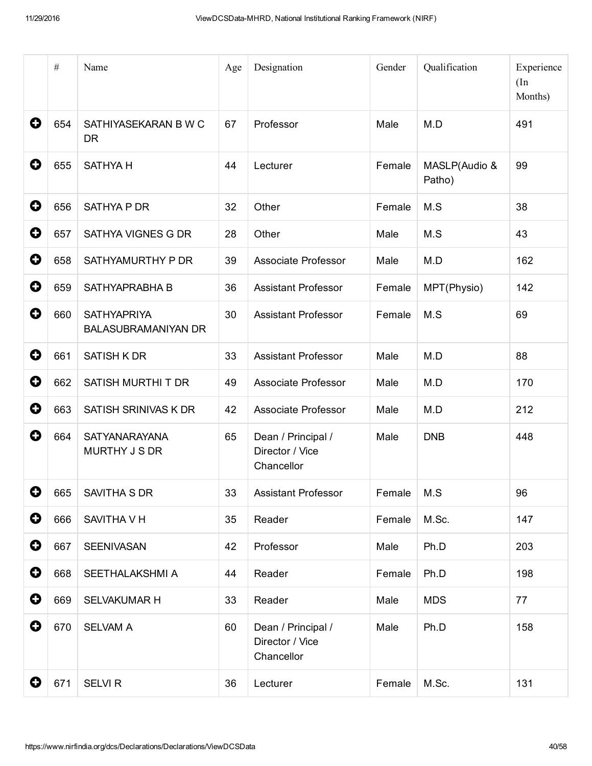|   | $\#$ | Name                                             | Age | Designation                                         | Gender | Qualification           | Experience<br>(In<br>Months) |
|---|------|--------------------------------------------------|-----|-----------------------------------------------------|--------|-------------------------|------------------------------|
| 0 | 654  | SATHIYASEKARAN B W C<br><b>DR</b>                | 67  | Professor                                           | Male   | M.D                     | 491                          |
| 0 | 655  | <b>SATHYA H</b>                                  | 44  | Lecturer                                            | Female | MASLP(Audio &<br>Patho) | 99                           |
| 0 | 656  | SATHYA P DR                                      | 32  | Other                                               | Female | M.S                     | 38                           |
| 0 | 657  | SATHYA VIGNES G DR                               | 28  | Other                                               | Male   | M.S                     | 43                           |
| 0 | 658  | SATHYAMURTHY P DR                                | 39  | Associate Professor                                 | Male   | M.D                     | 162                          |
| 0 | 659  | SATHYAPRABHA B                                   | 36  | <b>Assistant Professor</b>                          | Female | MPT(Physio)             | 142                          |
| 0 | 660  | <b>SATHYAPRIYA</b><br><b>BALASUBRAMANIYAN DR</b> | 30  | <b>Assistant Professor</b>                          | Female | M.S                     | 69                           |
| 0 | 661  | <b>SATISH K DR</b>                               | 33  | <b>Assistant Professor</b>                          | Male   | M.D                     | 88                           |
| 0 | 662  | SATISH MURTHI T DR                               | 49  | Associate Professor                                 | Male   | M.D                     | 170                          |
| 0 | 663  | SATISH SRINIVAS K DR                             | 42  | Associate Professor                                 | Male   | M.D                     | 212                          |
| 0 | 664  | <b>SATYANARAYANA</b><br>MURTHY J S DR            | 65  | Dean / Principal /<br>Director / Vice<br>Chancellor | Male   | <b>DNB</b>              | 448                          |
| 0 | 665  | SAVITHA S DR                                     | 33  | <b>Assistant Professor</b>                          | Female | M.S                     | 96                           |
| 0 | 666  | SAVITHA V H                                      | 35  | Reader                                              | Female | M.Sc.                   | 147                          |
| 0 | 667  | SEENIVASAN                                       | 42  | Professor                                           | Male   | Ph.D                    | 203                          |
| 0 | 668  | SEETHALAKSHMI A                                  | 44  | Reader                                              | Female | Ph.D                    | 198                          |
| 0 | 669  | SELVAKUMAR H                                     | 33  | Reader                                              | Male   | <b>MDS</b>              | 77                           |
| 0 | 670  | <b>SELVAM A</b>                                  | 60  | Dean / Principal /<br>Director / Vice<br>Chancellor | Male   | Ph.D                    | 158                          |
| 0 | 671  | <b>SELVI R</b>                                   | 36  | Lecturer                                            | Female | M.Sc.                   | 131                          |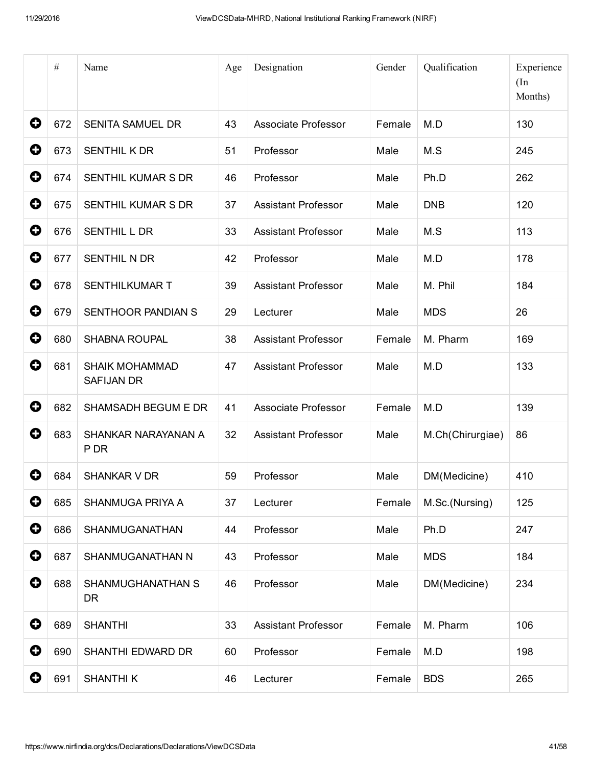|                       | $\#$ | Name                                       | Age | Designation                | Gender | Qualification    | Experience<br>(In<br>Months) |
|-----------------------|------|--------------------------------------------|-----|----------------------------|--------|------------------|------------------------------|
| 0                     | 672  | <b>SENITA SAMUEL DR</b>                    | 43  | <b>Associate Professor</b> | Female | M.D              | 130                          |
| 0                     | 673  | SENTHIL K DR                               | 51  | Professor                  | Male   | M.S              | 245                          |
| 0                     | 674  | SENTHIL KUMAR S DR                         | 46  | Professor                  | Male   | Ph.D             | 262                          |
| 0                     | 675  | <b>SENTHIL KUMAR S DR</b>                  | 37  | <b>Assistant Professor</b> | Male   | <b>DNB</b>       | 120                          |
| 0                     | 676  | SENTHIL L DR                               | 33  | <b>Assistant Professor</b> | Male   | M.S              | 113                          |
| 0                     | 677  | <b>SENTHIL N DR</b>                        | 42  | Professor                  | Male   | M.D              | 178                          |
| 0                     | 678  | <b>SENTHILKUMAR T</b>                      | 39  | <b>Assistant Professor</b> | Male   | M. Phil          | 184                          |
| 0                     | 679  | SENTHOOR PANDIAN S                         | 29  | Lecturer                   | Male   | <b>MDS</b>       | 26                           |
| 0                     | 680  | <b>SHABNA ROUPAL</b>                       | 38  | <b>Assistant Professor</b> | Female | M. Pharm         | 169                          |
| 0                     | 681  | <b>SHAIK MOHAMMAD</b><br><b>SAFIJAN DR</b> | 47  | <b>Assistant Professor</b> | Male   | M.D              | 133                          |
| 0                     | 682  | SHAMSADH BEGUM E DR                        | 41  | Associate Professor        | Female | M.D              | 139                          |
| 0                     | 683  | SHANKAR NARAYANAN A<br>P DR                | 32  | <b>Assistant Professor</b> | Male   | M.Ch(Chirurgiae) | 86                           |
| O                     | 684  | <b>SHANKAR V DR</b>                        | 59  | Professor                  | Male   | DM(Medicine)     | 410                          |
| 0                     | 685  | SHANMUGA PRIYA A                           | 37  | Lecturer                   | Female | M.Sc.(Nursing)   | 125                          |
| $\bullet$             | 686  | SHANMUGANATHAN                             | 44  | Professor                  | Male   | Ph.D             | 247                          |
| $\mathbf 0$           | 687  | SHANMUGANATHAN N                           | 43  | Professor                  | Male   | <b>MDS</b>       | 184                          |
| 0                     | 688  | SHANMUGHANATHAN S<br><b>DR</b>             | 46  | Professor                  | Male   | DM(Medicine)     | 234                          |
| $\mathbf 0$           | 689  | <b>SHANTHI</b>                             | 33  | <b>Assistant Professor</b> | Female | M. Pharm         | 106                          |
| 0                     | 690  | SHANTHI EDWARD DR                          | 60  | Professor                  | Female | M.D              | 198                          |
| $\boldsymbol{\Theta}$ | 691  | <b>SHANTHIK</b>                            | 46  | Lecturer                   | Female | <b>BDS</b>       | 265                          |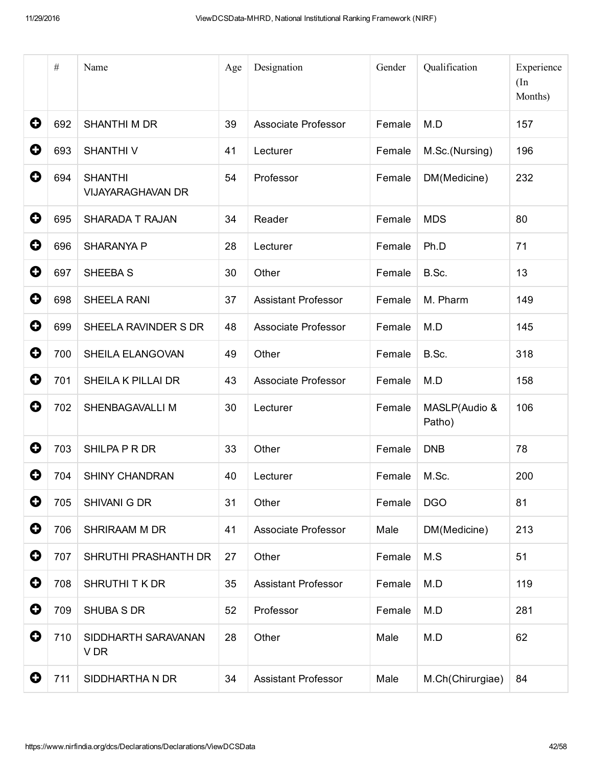|             | $\#$ | Name                                       | Age | Designation                | Gender | Qualification           | Experience<br>(In<br>Months) |
|-------------|------|--------------------------------------------|-----|----------------------------|--------|-------------------------|------------------------------|
| 0           | 692  | <b>SHANTHI M DR</b>                        | 39  | Associate Professor        | Female | M.D                     | 157                          |
| 0           | 693  | <b>SHANTHIV</b>                            | 41  | Lecturer                   | Female | M.Sc.(Nursing)          | 196                          |
| 0           | 694  | <b>SHANTHI</b><br><b>VIJAYARAGHAVAN DR</b> | 54  | Professor                  | Female | DM(Medicine)            | 232                          |
| $\mathbf 0$ | 695  | SHARADA T RAJAN                            | 34  | Reader                     | Female | <b>MDS</b>              | 80                           |
| 0           | 696  | <b>SHARANYA P</b>                          | 28  | Lecturer                   | Female | Ph.D                    | 71                           |
| 0           | 697  | SHEEBA S                                   | 30  | Other                      | Female | B.Sc.                   | 13                           |
| 0           | 698  | SHEELA RANI                                | 37  | <b>Assistant Professor</b> | Female | M. Pharm                | 149                          |
| 0           | 699  | SHEELA RAVINDER S DR                       | 48  | <b>Associate Professor</b> | Female | M.D                     | 145                          |
| $\mathbf 0$ | 700  | SHEILA ELANGOVAN                           | 49  | Other                      | Female | B.Sc.                   | 318                          |
| 0           | 701  | <b>SHEILA K PILLAI DR</b>                  | 43  | <b>Associate Professor</b> | Female | M.D                     | 158                          |
| 0           | 702  | SHENBAGAVALLI M                            | 30  | Lecturer                   | Female | MASLP(Audio &<br>Patho) | 106                          |
| 0           | 703  | SHILPA P R DR                              | 33  | Other                      | Female | <b>DNB</b>              | 78                           |
| 0           | 704  | <b>SHINY CHANDRAN</b>                      | 40  | Lecturer                   | Female | M.Sc.                   | 200                          |
| 0           | 705  | SHIVANI G DR                               | 31  | Other                      | Female | <b>DGO</b>              | 81                           |
| $\mathbf 0$ | 706  | SHRIRAAM M DR                              | 41  | Associate Professor        | Male   | DM(Medicine)            | 213                          |
| $\mathbf 0$ | 707  | SHRUTHI PRASHANTH DR                       | 27  | Other                      | Female | M.S                     | 51                           |
| 0           | 708  | SHRUTHITK DR                               | 35  | <b>Assistant Professor</b> | Female | M.D                     | 119                          |
| $\mathbf 0$ | 709  | SHUBA S DR                                 | 52  | Professor                  | Female | M.D                     | 281                          |
| 0           | 710  | SIDDHARTH SARAVANAN<br>V DR                | 28  | Other                      | Male   | M.D                     | 62                           |
| 0           | 711  | SIDDHARTHA N DR                            | 34  | <b>Assistant Professor</b> | Male   | M.Ch(Chirurgiae)        | 84                           |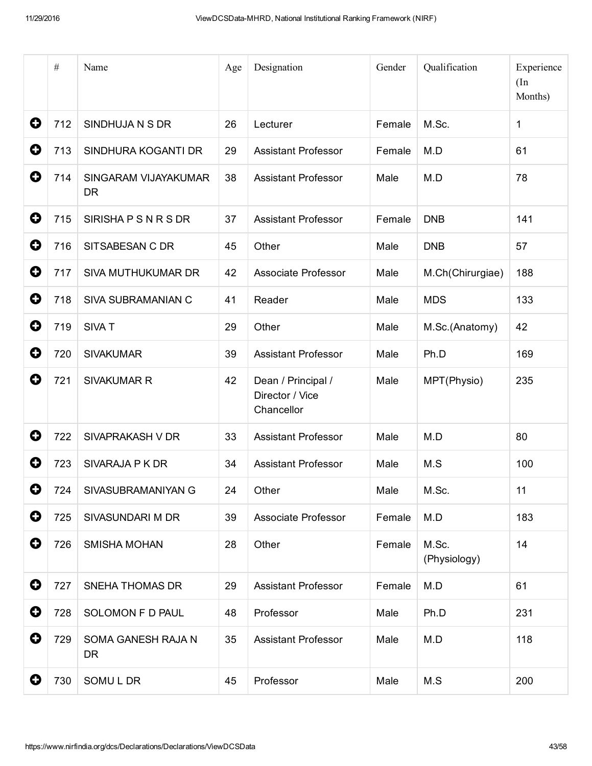|             | $\#$ | Name                              | Age | Designation                                         | Gender | Qualification         | Experience<br>(In<br>Months) |
|-------------|------|-----------------------------------|-----|-----------------------------------------------------|--------|-----------------------|------------------------------|
| 0           | 712  | SINDHUJA N S DR                   | 26  | Lecturer                                            | Female | M.Sc.                 | 1                            |
| 0           | 713  | SINDHURA KOGANTI DR               | 29  | <b>Assistant Professor</b>                          | Female | M.D                   | 61                           |
| 0           | 714  | SINGARAM VIJAYAKUMAR<br><b>DR</b> | 38  | <b>Assistant Professor</b>                          | Male   | M.D                   | 78                           |
| 0           | 715  | SIRISHAPSNRSDR                    | 37  | <b>Assistant Professor</b>                          | Female | <b>DNB</b>            | 141                          |
| 0           | 716  | SITSABESAN C DR                   | 45  | Other                                               | Male   | <b>DNB</b>            | 57                           |
| 0           | 717  | SIVA MUTHUKUMAR DR                | 42  | Associate Professor                                 | Male   | M.Ch(Chirurgiae)      | 188                          |
| O           | 718  | SIVA SUBRAMANIAN C                | 41  | Reader                                              | Male   | <b>MDS</b>            | 133                          |
| 0           | 719  | SIVA T                            | 29  | Other                                               | Male   | M.Sc.(Anatomy)        | 42                           |
| 0           | 720  | <b>SIVAKUMAR</b>                  | 39  | <b>Assistant Professor</b>                          | Male   | Ph.D                  | 169                          |
| 0           | 721  | <b>SIVAKUMAR R</b>                | 42  | Dean / Principal /<br>Director / Vice<br>Chancellor | Male   | MPT(Physio)           | 235                          |
| 0           | 722  | SIVAPRAKASH V DR                  | 33  | <b>Assistant Professor</b>                          | Male   | M.D                   | 80                           |
| O           | 723  | SIVARAJA P K DR                   | 34  | <b>Assistant Professor</b>                          | Male   | M.S                   | 100                          |
| 0           | 724  | SIVASUBRAMANIYAN G                | 24  | Other                                               | Male   | M.Sc.                 | 11                           |
| $\mathbf 0$ | 725  | SIVASUNDARI M DR                  | 39  | Associate Professor                                 | Female | M.D                   | 183                          |
| 0           | 726  | <b>SMISHA MOHAN</b>               | 28  | Other                                               | Female | M.Sc.<br>(Physiology) | 14                           |
| 0           | 727  | <b>SNEHA THOMAS DR</b>            | 29  | <b>Assistant Professor</b>                          | Female | M.D                   | 61                           |
| $\mathbf 0$ | 728  | SOLOMON F D PAUL                  | 48  | Professor                                           | Male   | Ph.D                  | 231                          |
| 0           | 729  | SOMA GANESH RAJA N<br><b>DR</b>   | 35  | <b>Assistant Professor</b>                          | Male   | M.D                   | 118                          |
| 0           | 730  | SOMUL DR                          | 45  | Professor                                           | Male   | M.S                   | 200                          |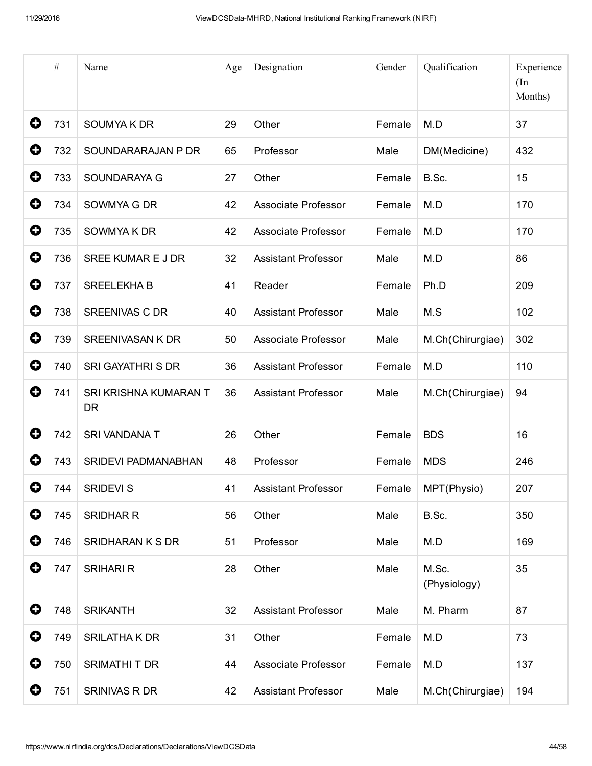|                       | $\#$ | Name                               | Age | Designation                | Gender | Qualification         | Experience<br>(In<br>Months) |
|-----------------------|------|------------------------------------|-----|----------------------------|--------|-----------------------|------------------------------|
| 0                     | 731  | SOUMYA K DR                        | 29  | Other                      | Female | M.D                   | 37                           |
| 0                     | 732  | SOUNDARARAJAN P DR                 | 65  | Professor                  | Male   | DM(Medicine)          | 432                          |
| 0                     | 733  | SOUNDARAYA G                       | 27  | Other                      | Female | B.Sc.                 | 15                           |
| 0                     | 734  | SOWMYA G DR                        | 42  | Associate Professor        | Female | M.D                   | 170                          |
| 0                     | 735  | SOWMYA K DR                        | 42  | Associate Professor        | Female | M.D                   | 170                          |
| 0                     | 736  | SREE KUMAR E J DR                  | 32  | <b>Assistant Professor</b> | Male   | M.D                   | 86                           |
| 0                     | 737  | <b>SREELEKHA B</b>                 | 41  | Reader                     | Female | Ph.D                  | 209                          |
| 0                     | 738  | <b>SREENIVAS C DR</b>              | 40  | <b>Assistant Professor</b> | Male   | M.S                   | 102                          |
| 0                     | 739  | <b>SREENIVASAN K DR</b>            | 50  | Associate Professor        | Male   | M.Ch(Chirurgiae)      | 302                          |
| 0                     | 740  | <b>SRI GAYATHRI S DR</b>           | 36  | <b>Assistant Professor</b> | Female | M.D                   | 110                          |
| 0                     | 741  | SRI KRISHNA KUMARAN T<br><b>DR</b> | 36  | <b>Assistant Professor</b> | Male   | M.Ch(Chirurgiae)      | 94                           |
| 0                     | 742  | SRI VANDANA T                      | 26  | Other                      | Female | <b>BDS</b>            | 16                           |
| O                     | 743  | SRIDEVI PADMANABHAN                | 48  | Professor                  | Female | <b>MDS</b>            | 246                          |
| 0                     | 744  | SRIDEVI S                          | 41  | <b>Assistant Professor</b> | Female | MPT(Physio)           | 207                          |
| $\mathbf 0$           | 745  | <b>SRIDHAR R</b>                   | 56  | Other                      | Male   | B.Sc.                 | 350                          |
| $\mathbf 0$           | 746  | SRIDHARAN K S DR                   | 51  | Professor                  | Male   | M.D                   | 169                          |
| 0                     | 747  | <b>SRIHARI R</b>                   | 28  | Other                      | Male   | M.Sc.<br>(Physiology) | 35                           |
| 0                     | 748  | <b>SRIKANTH</b>                    | 32  | <b>Assistant Professor</b> | Male   | M. Pharm              | 87                           |
| $\mathbf 0$           | 749  | SRILATHA K DR                      | 31  | Other                      | Female | M.D                   | 73                           |
| 0                     | 750  | SRIMATHI T DR                      | 44  | Associate Professor        | Female | M.D                   | 137                          |
| $\boldsymbol{\Theta}$ | 751  | SRINIVAS R DR                      | 42  | <b>Assistant Professor</b> | Male   | M.Ch(Chirurgiae)      | 194                          |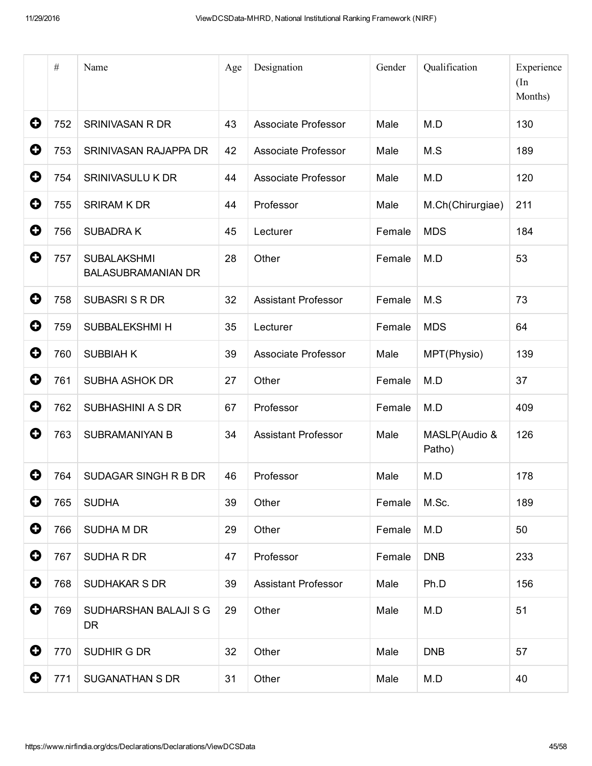|             | $\#$ | Name                                            | Age | Designation                | Gender | Qualification           | Experience<br>(In<br>Months) |
|-------------|------|-------------------------------------------------|-----|----------------------------|--------|-------------------------|------------------------------|
| 0           | 752  | <b>SRINIVASAN R DR</b>                          | 43  | <b>Associate Professor</b> | Male   | M.D                     | 130                          |
| 0           | 753  | SRINIVASAN RAJAPPA DR                           | 42  | Associate Professor        | Male   | M.S                     | 189                          |
| 0           | 754  | <b>SRINIVASULU K DR</b>                         | 44  | Associate Professor        | Male   | M.D                     | 120                          |
| 0           | 755  | <b>SRIRAM K DR</b>                              | 44  | Professor                  | Male   | M.Ch(Chirurgiae)        | 211                          |
| 0           | 756  | <b>SUBADRAK</b>                                 | 45  | Lecturer                   | Female | <b>MDS</b>              | 184                          |
| 0           | 757  | <b>SUBALAKSHMI</b><br><b>BALASUBRAMANIAN DR</b> | 28  | Other                      | Female | M.D                     | 53                           |
| 0           | 758  | <b>SUBASRI S R DR</b>                           | 32  | <b>Assistant Professor</b> | Female | M.S                     | 73                           |
| 0           | 759  | SUBBALEKSHMI H                                  | 35  | Lecturer                   | Female | <b>MDS</b>              | 64                           |
| 0           | 760  | <b>SUBBIAH K</b>                                | 39  | Associate Professor        | Male   | MPT(Physio)             | 139                          |
| 0           | 761  | <b>SUBHA ASHOK DR</b>                           | 27  | Other                      | Female | M.D                     | 37                           |
| 0           | 762  | SUBHASHINI A S DR                               | 67  | Professor                  | Female | M.D                     | 409                          |
| 0           | 763  | <b>SUBRAMANIYAN B</b>                           | 34  | <b>Assistant Professor</b> | Male   | MASLP(Audio &<br>Patho) | 126                          |
| 0           | 764  | SUDAGAR SINGH R B DR                            | 46  | Professor                  | Male   | M.D                     | 178                          |
| 0           | 765  | <b>SUDHA</b>                                    | 39  | Other                      | Female | M.Sc.                   | 189                          |
| $\mathbf 0$ | 766  | <b>SUDHA M DR</b>                               | 29  | Other                      | Female | M.D                     | 50                           |
| $\mathbf 0$ | 767  | SUDHA R DR                                      | 47  | Professor                  | Female | <b>DNB</b>              | 233                          |
| $\mathbf 0$ | 768  | <b>SUDHAKAR S DR</b>                            | 39  | <b>Assistant Professor</b> | Male   | Ph.D                    | 156                          |
| 0           | 769  | SUDHARSHAN BALAJI S G<br>DR.                    | 29  | Other                      | Male   | M.D                     | 51                           |
| $\mathbf 0$ | 770  | SUDHIR G DR                                     | 32  | Other                      | Male   | <b>DNB</b>              | 57                           |
| $\bullet$   | 771  | <b>SUGANATHAN S DR</b>                          | 31  | Other                      | Male   | M.D                     | 40                           |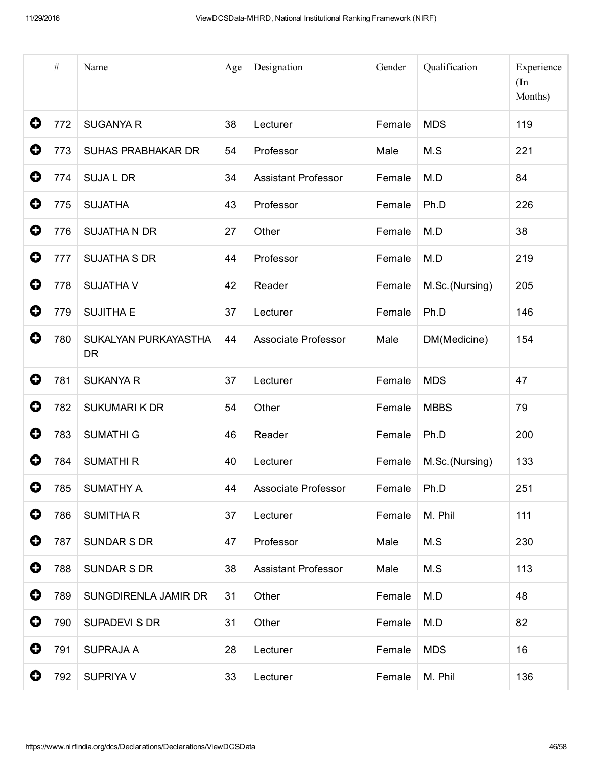|             | $\#$ | Name                              | Age | Designation                | Gender | Qualification  | Experience<br>(In<br>Months) |
|-------------|------|-----------------------------------|-----|----------------------------|--------|----------------|------------------------------|
| 0           | 772  | <b>SUGANYA R</b>                  | 38  | Lecturer                   | Female | <b>MDS</b>     | 119                          |
| 0           | 773  | <b>SUHAS PRABHAKAR DR</b>         | 54  | Professor                  | Male   | M.S            | 221                          |
| 0           | 774  | <b>SUJA L DR</b>                  | 34  | <b>Assistant Professor</b> | Female | M.D            | 84                           |
| 0           | 775  | <b>SUJATHA</b>                    | 43  | Professor                  | Female | Ph.D           | 226                          |
| 0           | 776  | <b>SUJATHA N DR</b>               | 27  | Other                      | Female | M.D            | 38                           |
| 0           | 777  | <b>SUJATHA S DR</b>               | 44  | Professor                  | Female | M.D            | 219                          |
| 0           | 778  | <b>SUJATHA V</b>                  | 42  | Reader                     | Female | M.Sc.(Nursing) | 205                          |
| 0           | 779  | <b>SUJITHA E</b>                  | 37  | Lecturer                   | Female | Ph.D           | 146                          |
| 0           | 780  | SUKALYAN PURKAYASTHA<br><b>DR</b> | 44  | Associate Professor        | Male   | DM(Medicine)   | 154                          |
| 0           | 781  | <b>SUKANYA R</b>                  | 37  | Lecturer                   | Female | <b>MDS</b>     | 47                           |
| $\mathbf 0$ | 782  | <b>SUKUMARI K DR</b>              | 54  | Other                      | Female | <b>MBBS</b>    | 79                           |
| 0           | 783  | <b>SUMATHI G</b>                  | 46  | Reader                     | Female | Ph.D           | 200                          |
| 0           | 784  | <b>SUMATHI R</b>                  | 40  | Lecturer                   | Female | M.Sc.(Nursing) | 133                          |
| O           | 785  | <b>SUMATHY A</b>                  | 44  | Associate Professor        | Female | Ph.D           | 251                          |
| 0           | 786  | <b>SUMITHAR</b>                   | 37  | Lecturer                   | Female | M. Phil        | 111                          |
| 0           | 787  | <b>SUNDAR S DR</b>                | 47  | Professor                  | Male   | M.S            | 230                          |
| 0           | 788  | <b>SUNDAR S DR</b>                | 38  | Assistant Professor        | Male   | M.S            | 113                          |
| 0           | 789  | SUNGDIRENLA JAMIR DR              | 31  | Other                      | Female | M.D            | 48                           |
| 0           | 790  | SUPADEVI S DR                     | 31  | Other                      | Female | M.D            | 82                           |
| 0           | 791  | <b>SUPRAJA A</b>                  | 28  | Lecturer                   | Female | <b>MDS</b>     | 16                           |
| O           | 792  | SUPRIYA V                         | 33  | Lecturer                   | Female | M. Phil        | 136                          |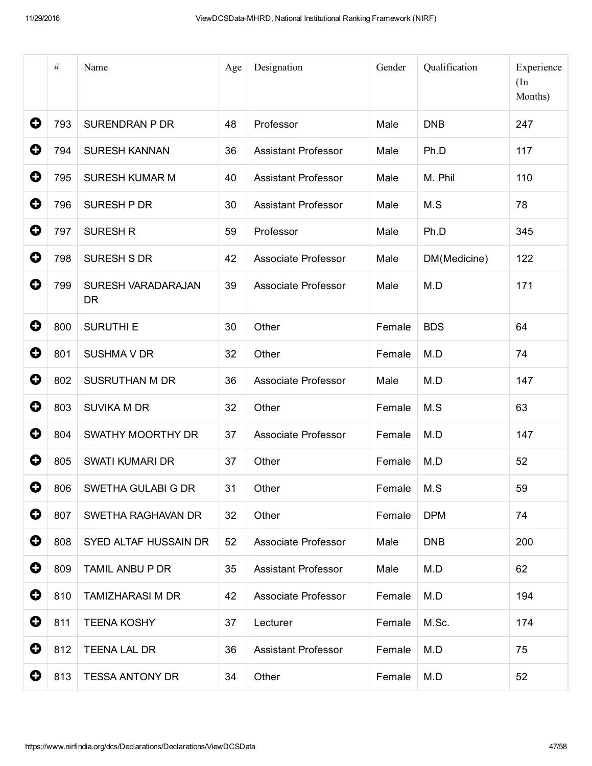|   | $\#$ | Name                            | Age | Designation                | Gender       | Qualification | Experience<br>(In<br>Months) |
|---|------|---------------------------------|-----|----------------------------|--------------|---------------|------------------------------|
| 0 | 793  | <b>SURENDRAN P DR</b>           | 48  | Professor                  | Male         | <b>DNB</b>    | 247                          |
| 0 | 794  | <b>SURESH KANNAN</b>            | 36  | <b>Assistant Professor</b> | Male         | Ph.D          | 117                          |
| 0 | 795  | <b>SURESH KUMAR M</b>           | 40  | <b>Assistant Professor</b> | Male         | M. Phil       | 110                          |
| 0 | 796  | SURESH P DR                     | 30  | <b>Assistant Professor</b> | Male         | M.S           | 78                           |
| 0 | 797  | <b>SURESH R</b>                 | 59  | Professor                  | Male         | Ph.D          | 345                          |
| 0 | 798  | <b>SURESH S DR</b>              | 42  | Associate Professor        | Male         | DM(Medicine)  | 122                          |
| 0 | 799  | SURESH VARADARAJAN<br><b>DR</b> | 39  | Associate Professor        | Male         | M.D           | 171                          |
| 0 | 800  | <b>SURUTHI E</b>                | 30  | Other                      | Female       | <b>BDS</b>    | 64                           |
| 0 | 801  | <b>SUSHMA V DR</b>              | 32  | Other                      | Female       | M.D           | 74                           |
| 0 | 802  | <b>SUSRUTHAN M DR</b>           | 36  | Associate Professor        | Male         | M.D           | 147                          |
| 0 | 803  | <b>SUVIKA M DR</b>              | 32  | Other                      | Female       | M.S           | 63                           |
| 0 | 804  | SWATHY MOORTHY DR               | 37  | Associate Professor        | Female       | M.D           | 147                          |
| O | 805  | SWATI KUMARI DR                 | 37  | Other                      | Female       | M.D           | 52                           |
| O | 806  | SWETHA GULABI G DR              | 31  | Other                      | Female   M.S |               | 59                           |
| 0 | 807  | SWETHA RAGHAVAN DR              | 32  | Other                      | Female       | <b>DPM</b>    | 74                           |
| 0 | 808  | SYED ALTAF HUSSAIN DR           | 52  | Associate Professor        | Male         | <b>DNB</b>    | 200                          |
| 0 | 809  | TAMIL ANBU P DR                 | 35  | <b>Assistant Professor</b> | Male         | M.D           | 62                           |
| 0 | 810  | <b>TAMIZHARASI M DR</b>         | 42  | Associate Professor        | Female       | M.D           | 194                          |
| 0 | 811  | <b>TEENA KOSHY</b>              | 37  | Lecturer                   | Female       | M.Sc.         | 174                          |
| 0 | 812  | <b>TEENA LAL DR</b>             | 36  | <b>Assistant Professor</b> | Female       | M.D           | 75                           |
| 0 | 813  | <b>TESSA ANTONY DR</b>          | 34  | Other                      | Female       | M.D           | 52                           |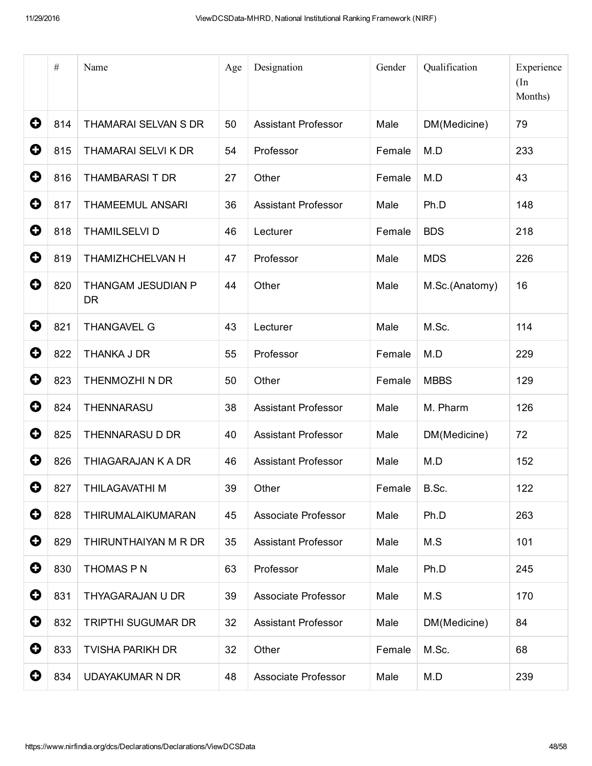|                       | $\#$ | Name                            | Age | Designation                | Gender | Qualification  | Experience<br>(In<br>Months) |
|-----------------------|------|---------------------------------|-----|----------------------------|--------|----------------|------------------------------|
| 0                     | 814  | <b>THAMARAI SELVAN S DR</b>     | 50  | <b>Assistant Professor</b> | Male   | DM(Medicine)   | 79                           |
| 0                     | 815  | THAMARAI SELVI K DR             | 54  | Professor                  | Female | M.D            | 233                          |
| 0                     | 816  | <b>THAMBARASI T DR</b>          | 27  | Other                      | Female | M.D            | 43                           |
| 0                     | 817  | <b>THAMEEMUL ANSARI</b>         | 36  | <b>Assistant Professor</b> | Male   | Ph.D           | 148                          |
| 0                     | 818  | <b>THAMILSELVI D</b>            | 46  | Lecturer                   | Female | <b>BDS</b>     | 218                          |
| 0                     | 819  | THAMIZHCHELVAN H                | 47  | Professor                  | Male   | <b>MDS</b>     | 226                          |
| 0                     | 820  | THANGAM JESUDIAN P<br><b>DR</b> | 44  | Other                      | Male   | M.Sc.(Anatomy) | 16                           |
| 0                     | 821  | <b>THANGAVEL G</b>              | 43  | Lecturer                   | Male   | M.Sc.          | 114                          |
| 0                     | 822  | THANKA J DR                     | 55  | Professor                  | Female | M.D            | 229                          |
| 0                     | 823  | THENMOZHI N DR                  | 50  | Other                      | Female | <b>MBBS</b>    | 129                          |
| 0                     | 824  | THENNARASU                      | 38  | <b>Assistant Professor</b> | Male   | M. Pharm       | 126                          |
| 0                     | 825  | THENNARASU D DR                 | 40  | <b>Assistant Professor</b> | Male   | DM(Medicine)   | 72                           |
| 0                     | 826  | THIAGARAJAN K A DR              | 46  | <b>Assistant Professor</b> | Male   | M.D            | 152                          |
| 0                     | 827  | THILAGAVATHI M                  | 39  | Other                      | Female | B.Sc.          | 122                          |
| $\bullet$             | 828  | THIRUMALAIKUMARAN               | 45  | Associate Professor        | Male   | Ph.D           | 263                          |
| $\mathbf 0$           | 829  | THIRUNTHAIYAN M R DR            | 35  | <b>Assistant Professor</b> | Male   | M.S            | 101                          |
| $\mathbf 0$           | 830  | THOMAS P N                      | 63  | Professor                  | Male   | Ph.D           | 245                          |
| $\boldsymbol{\Theta}$ | 831  | THYAGARAJAN U DR                | 39  | Associate Professor        | Male   | M.S            | 170                          |
| 0                     | 832  | TRIPTHI SUGUMAR DR              | 32  | <b>Assistant Professor</b> | Male   | DM(Medicine)   | 84                           |
| $\mathbf 0$           | 833  | <b>TVISHA PARIKH DR</b>         | 32  | Other                      | Female | M.Sc.          | 68                           |
| 0                     | 834  | <b>UDAYAKUMAR N DR</b>          | 48  | Associate Professor        | Male   | M.D            | 239                          |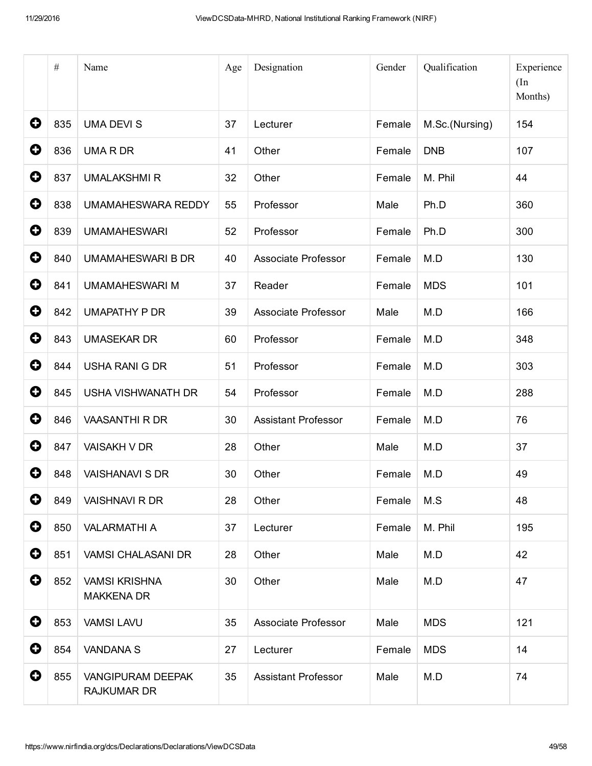|             | $\#$ | Name                                           | Age | Designation                | Gender | Qualification  | Experience<br>(In<br>Months) |
|-------------|------|------------------------------------------------|-----|----------------------------|--------|----------------|------------------------------|
| 0           | 835  | <b>UMA DEVI S</b>                              | 37  | Lecturer                   | Female | M.Sc.(Nursing) | 154                          |
| 0           | 836  | <b>UMARDR</b>                                  | 41  | Other                      | Female | <b>DNB</b>     | 107                          |
| 0           | 837  | <b>UMALAKSHMIR</b>                             | 32  | Other                      | Female | M. Phil        | 44                           |
| 0           | 838  | <b>UMAMAHESWARA REDDY</b>                      | 55  | Professor                  | Male   | Ph.D           | 360                          |
| 0           | 839  | <b>UMAMAHESWARI</b>                            | 52  | Professor                  | Female | Ph.D           | 300                          |
| 0           | 840  | <b>UMAMAHESWARI B DR</b>                       | 40  | <b>Associate Professor</b> | Female | M.D            | 130                          |
| 0           | 841  | <b>UMAMAHESWARI M</b>                          | 37  | Reader                     | Female | <b>MDS</b>     | 101                          |
| 0           | 842  | <b>UMAPATHY P DR</b>                           | 39  | <b>Associate Professor</b> | Male   | M.D            | 166                          |
| 0           | 843  | <b>UMASEKAR DR</b>                             | 60  | Professor                  | Female | M.D            | 348                          |
| 0           | 844  | <b>USHA RANI G DR</b>                          | 51  | Professor                  | Female | M.D            | 303                          |
| 0           | 845  | USHA VISHWANATH DR                             | 54  | Professor                  | Female | M.D            | 288                          |
| $\mathbf 0$ | 846  | <b>VAASANTHI R DR</b>                          | 30  | <b>Assistant Professor</b> | Female | M.D            | 76                           |
| 0           | 847  | <b>VAISAKH V DR</b>                            | 28  | Other                      | Male   | M.D            | 37                           |
| O           | 848  | <b>VAISHANAVI S DR</b>                         | 30  | Other                      | Female | M.D            | 49                           |
| 0           | 849  | VAISHNAVI R DR                                 | 28  | Other                      | Female | M.S            | 48                           |
| $\bullet$   | 850  | <b>VALARMATHI A</b>                            | 37  | Lecturer                   | Female | M. Phil        | 195                          |
| $\mathbf 0$ | 851  | <b>VAMSI CHALASANI DR</b>                      | 28  | Other                      | Male   | M.D            | 42                           |
| 0           | 852  | <b>VAMSI KRISHNA</b><br><b>MAKKENA DR</b>      | 30  | Other                      | Male   | M.D            | 47                           |
| $\mathbf 0$ | 853  | <b>VAMSI LAVU</b>                              | 35  | Associate Professor        | Male   | <b>MDS</b>     | 121                          |
| 0           | 854  | <b>VANDANA S</b>                               | 27  | Lecturer                   | Female | <b>MDS</b>     | 14                           |
| 0           | 855  | <b>VANGIPURAM DEEPAK</b><br><b>RAJKUMAR DR</b> | 35  | <b>Assistant Professor</b> | Male   | M.D            | 74                           |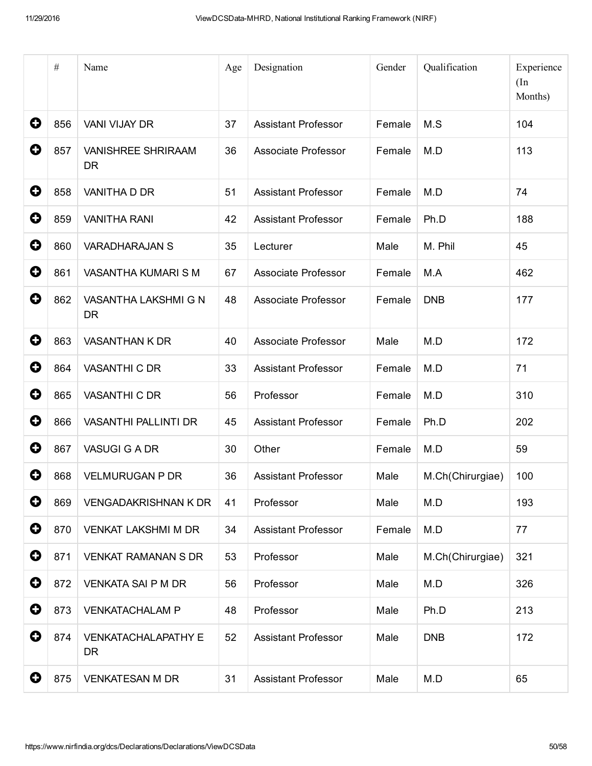|   | $\#$ | Name                                    | Age | Designation                | Gender | Qualification    | Experience<br>(In<br>Months) |
|---|------|-----------------------------------------|-----|----------------------------|--------|------------------|------------------------------|
| 0 | 856  | <b>VANI VIJAY DR</b>                    | 37  | <b>Assistant Professor</b> | Female | M.S              | 104                          |
| 0 | 857  | <b>VANISHREE SHRIRAAM</b><br><b>DR</b>  | 36  | Associate Professor        | Female | M.D              | 113                          |
| 0 | 858  | VANITHA D DR                            | 51  | <b>Assistant Professor</b> | Female | M.D              | 74                           |
| 0 | 859  | <b>VANITHA RANI</b>                     | 42  | <b>Assistant Professor</b> | Female | Ph.D             | 188                          |
| 0 | 860  | <b>VARADHARAJAN S</b>                   | 35  | Lecturer                   | Male   | M. Phil          | 45                           |
| 0 | 861  | VASANTHA KUMARI S M                     | 67  | Associate Professor        | Female | M.A              | 462                          |
| 0 | 862  | VASANTHA LAKSHMI G N<br><b>DR</b>       | 48  | Associate Professor        | Female | <b>DNB</b>       | 177                          |
| 0 | 863  | <b>VASANTHAN K DR</b>                   | 40  | <b>Associate Professor</b> | Male   | M.D              | 172                          |
| O | 864  | <b>VASANTHI C DR</b>                    | 33  | <b>Assistant Professor</b> | Female | M.D              | 71                           |
| 0 | 865  | <b>VASANTHI C DR</b>                    | 56  | Professor                  | Female | M.D              | 310                          |
| 0 | 866  | <b>VASANTHI PALLINTI DR</b>             | 45  | <b>Assistant Professor</b> | Female | Ph.D             | 202                          |
| 0 | 867  | <b>VASUGI G A DR</b>                    | 30  | Other                      | Female | M.D              | 59                           |
| 0 | 868  | <b>VELMURUGAN P DR</b>                  | 36  | <b>Assistant Professor</b> | Male   | M.Ch(Chirurgiae) | 100                          |
| 0 | 869  | <b>VENGADAKRISHNAN K DR</b>             | 41  | Professor                  | Male   | M.D              | 193                          |
| 0 | 870  | <b>VENKAT LAKSHMI M DR</b>              | 34  | <b>Assistant Professor</b> | Female | M.D              | 77                           |
| 0 | 871  | <b>VENKAT RAMANAN S DR</b>              | 53  | Professor                  | Male   | M.Ch(Chirurgiae) | 321                          |
| 0 | 872  | <b>VENKATA SAI P M DR</b>               | 56  | Professor                  | Male   | M.D              | 326                          |
| 0 | 873  | <b>VENKATACHALAM P</b>                  | 48  | Professor                  | Male   | Ph.D             | 213                          |
| 0 | 874  | <b>VENKATACHALAPATHY E</b><br><b>DR</b> | 52  | Assistant Professor        | Male   | <b>DNB</b>       | 172                          |
| 0 | 875  | <b>VENKATESAN M DR</b>                  | 31  | <b>Assistant Professor</b> | Male   | M.D              | 65                           |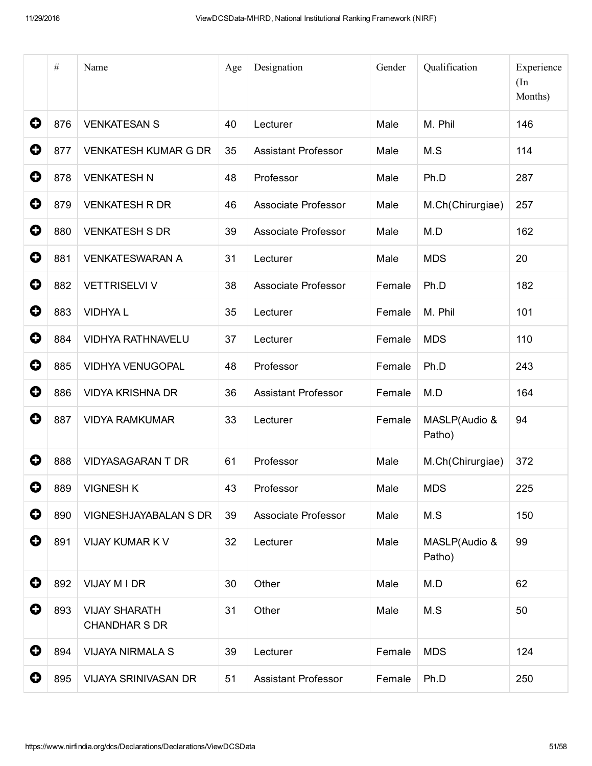|             | $\#$ | Name                                         | Age | Designation                | Gender | Qualification           | Experience<br>(In<br>Months) |
|-------------|------|----------------------------------------------|-----|----------------------------|--------|-------------------------|------------------------------|
| 0           | 876  | <b>VENKATESAN S</b>                          | 40  | Lecturer                   | Male   | M. Phil                 | 146                          |
| 0           | 877  | <b>VENKATESH KUMAR G DR</b>                  | 35  | <b>Assistant Professor</b> | Male   | M.S                     | 114                          |
| 0           | 878  | <b>VENKATESH N</b>                           | 48  | Professor                  | Male   | Ph.D                    | 287                          |
| 0           | 879  | <b>VENKATESH R DR</b>                        | 46  | <b>Associate Professor</b> | Male   | M.Ch(Chirurgiae)        | 257                          |
| 0           | 880  | <b>VENKATESH S DR</b>                        | 39  | Associate Professor        | Male   | M.D                     | 162                          |
| 0           | 881  | <b>VENKATESWARAN A</b>                       | 31  | Lecturer                   | Male   | <b>MDS</b>              | 20                           |
| 0           | 882  | <b>VETTRISELVI V</b>                         | 38  | <b>Associate Professor</b> | Female | Ph.D                    | 182                          |
| 0           | 883  | <b>VIDHYAL</b>                               | 35  | Lecturer                   | Female | M. Phil                 | 101                          |
| 0           | 884  | <b>VIDHYA RATHNAVELU</b>                     | 37  | Lecturer                   | Female | <b>MDS</b>              | 110                          |
| 0           | 885  | <b>VIDHYA VENUGOPAL</b>                      | 48  | Professor                  | Female | Ph.D                    | 243                          |
| 0           | 886  | <b>VIDYA KRISHNA DR</b>                      | 36  | <b>Assistant Professor</b> | Female | M.D                     | 164                          |
| 0           | 887  | <b>VIDYA RAMKUMAR</b>                        | 33  | Lecturer                   | Female | MASLP(Audio &<br>Patho) | 94                           |
| 0           | 888  | <b>VIDYASAGARAN T DR</b>                     | 61  | Professor                  | Male   | M.Ch(Chirurgiae)        | 372                          |
| 0           |      | 889   VIGNESH K                              | 43  | Professor                  | Male   | <b>MDS</b>              | 225                          |
| $\mathbf 0$ | 890  | VIGNESHJAYABALAN S DR                        | 39  | Associate Professor        | Male   | M.S                     | 150                          |
| $\mathbf 0$ | 891  | VIJAY KUMAR K V                              | 32  | Lecturer                   | Male   | MASLP(Audio &<br>Patho) | 99                           |
| 0           | 892  | VIJAY M I DR                                 | 30  | Other                      | Male   | M.D                     | 62                           |
| 0           | 893  | <b>VIJAY SHARATH</b><br><b>CHANDHAR S DR</b> | 31  | Other                      | Male   | M.S                     | 50                           |
| $\mathbf 0$ | 894  | <b>VIJAYA NIRMALA S</b>                      | 39  | Lecturer                   | Female | <b>MDS</b>              | 124                          |
| 0           | 895  | <b>VIJAYA SRINIVASAN DR</b>                  | 51  | <b>Assistant Professor</b> | Female | Ph.D                    | 250                          |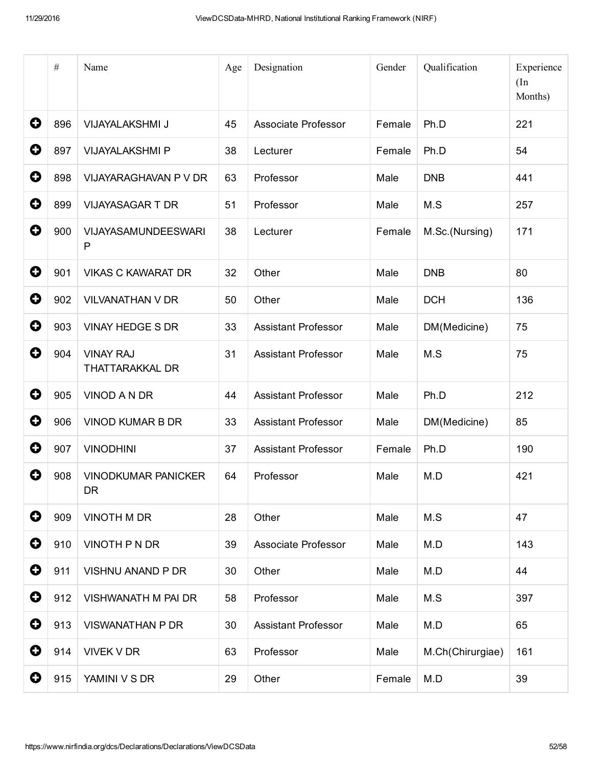|   | $\#$ | Name                                       | Age | Designation                | Gender | Qualification    | Experience<br>(In<br>Months) |
|---|------|--------------------------------------------|-----|----------------------------|--------|------------------|------------------------------|
| 0 | 896  | VIJAYALAKSHMI J                            | 45  | <b>Associate Professor</b> | Female | Ph.D             | 221                          |
| 0 | 897  | <b>VIJAYALAKSHMI P</b>                     | 38  | Lecturer                   | Female | Ph.D             | 54                           |
| 0 | 898  | VIJAYARAGHAVAN P V DR                      | 63  | Professor                  | Male   | <b>DNB</b>       | 441                          |
| 0 | 899  | <b>VIJAYASAGAR T DR</b>                    | 51  | Professor                  | Male   | M.S              | 257                          |
| 0 | 900  | <b>VIJAYASAMUNDEESWARI</b><br>P            | 38  | Lecturer                   | Female | M.Sc.(Nursing)   | 171                          |
| 0 | 901  | <b>VIKAS C KAWARAT DR</b>                  | 32  | Other                      | Male   | <b>DNB</b>       | 80                           |
| 0 | 902  | <b>VILVANATHAN V DR</b>                    | 50  | Other                      | Male   | <b>DCH</b>       | 136                          |
| 0 | 903  | <b>VINAY HEDGE S DR</b>                    | 33  | <b>Assistant Professor</b> | Male   | DM(Medicine)     | 75                           |
| 0 | 904  | <b>VINAY RAJ</b><br><b>THATTARAKKAL DR</b> | 31  | <b>Assistant Professor</b> | Male   | M.S              | 75                           |
| 0 | 905  | VINOD A N DR                               | 44  | <b>Assistant Professor</b> | Male   | Ph.D             | 212                          |
| 0 | 906  | <b>VINOD KUMAR B DR</b>                    | 33  | <b>Assistant Professor</b> | Male   | DM(Medicine)     | 85                           |
| 0 | 907  | <b>VINODHINI</b>                           | 37  | <b>Assistant Professor</b> | Female | Ph.D             | 190                          |
| 0 | 908  | <b>VINODKUMAR PANICKER</b><br>DR           | 64  | Professor                  | Male   | M.D              | 421                          |
| 0 | 909  | <b>VINOTH M DR</b>                         | 28  | Other                      | Male   | M.S              | 47                           |
| 0 | 910  | VINOTH P N DR                              | 39  | Associate Professor        | Male   | M.D              | 143                          |
| 0 | 911  | VISHNU ANAND P DR                          | 30  | Other                      | Male   | M.D              | 44                           |
| 0 | 912  | <b>VISHWANATH M PAI DR</b>                 | 58  | Professor                  | Male   | M.S              | 397                          |
| 0 | 913  | <b>VISWANATHAN P DR</b>                    | 30  | <b>Assistant Professor</b> | Male   | M.D              | 65                           |
| 0 | 914  | <b>VIVEK V DR</b>                          | 63  | Professor                  | Male   | M.Ch(Chirurgiae) | 161                          |
| 0 | 915  | YAMINI V S DR                              | 29  | Other                      | Female | M.D              | 39                           |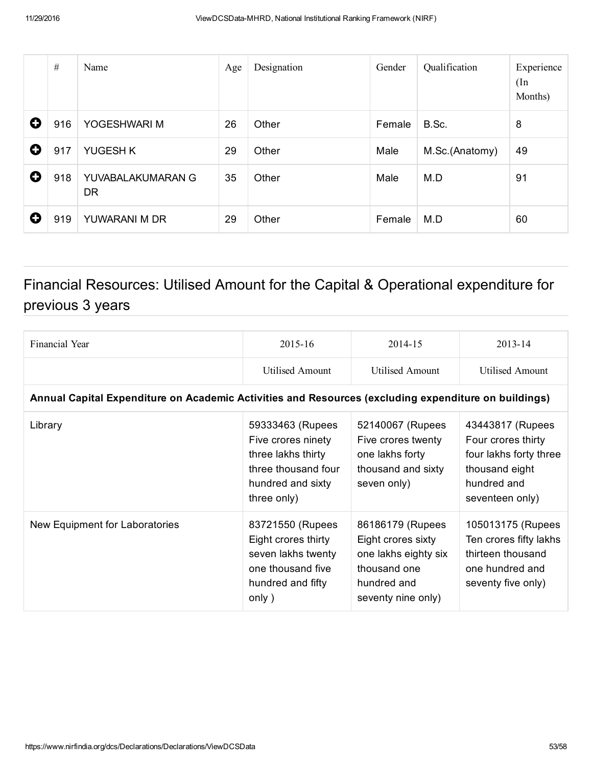|   | $\#$ | Name                           | Age | Designation | Gender | Qualification  | Experience<br>(In<br>Months) |
|---|------|--------------------------------|-----|-------------|--------|----------------|------------------------------|
| O | 916  | YOGESHWARI M                   | 26  | Other       | Female | B.Sc.          | 8                            |
| O | 917  | YUGESH K                       | 29  | Other       | Male   | M.Sc.(Anatomy) | 49                           |
| O | 918  | YUVABALAKUMARAN G<br><b>DR</b> | 35  | Other       | Male   | M.D            | 91                           |
| O | 919  | YUWARANI M DR                  | 29  | Other       | Female | M.D            | 60                           |

## Financial Resources: Utilised Amount for the Capital & Operational expenditure for previous 3 years

| Financial Year                                                                                       | 2015-16                                                                                                                 | 2014-15                                                                                                             | 2013-14                                                                                                              |  |  |  |  |  |  |
|------------------------------------------------------------------------------------------------------|-------------------------------------------------------------------------------------------------------------------------|---------------------------------------------------------------------------------------------------------------------|----------------------------------------------------------------------------------------------------------------------|--|--|--|--|--|--|
|                                                                                                      | <b>Utilised Amount</b>                                                                                                  | <b>Utilised Amount</b>                                                                                              | <b>Utilised Amount</b>                                                                                               |  |  |  |  |  |  |
| Annual Capital Expenditure on Academic Activities and Resources (excluding expenditure on buildings) |                                                                                                                         |                                                                                                                     |                                                                                                                      |  |  |  |  |  |  |
| Library                                                                                              | 59333463 (Rupees<br>Five crores ninety<br>three lakhs thirty<br>three thousand four<br>hundred and sixty<br>three only) | 52140067 (Rupees<br>Five crores twenty<br>one lakhs forty<br>thousand and sixty<br>seven only)                      | 43443817 (Rupees<br>Four crores thirty<br>four lakhs forty three<br>thousand eight<br>hundred and<br>seventeen only) |  |  |  |  |  |  |
| New Equipment for Laboratories                                                                       | 83721550 (Rupees<br>Eight crores thirty<br>seven lakhs twenty<br>one thousand five<br>hundred and fifty<br>only)        | 86186179 (Rupees<br>Eight crores sixty<br>one lakhs eighty six<br>thousand one<br>hundred and<br>seventy nine only) | 105013175 (Rupees<br>Ten crores fifty lakhs<br>thirteen thousand<br>one hundred and<br>seventy five only)            |  |  |  |  |  |  |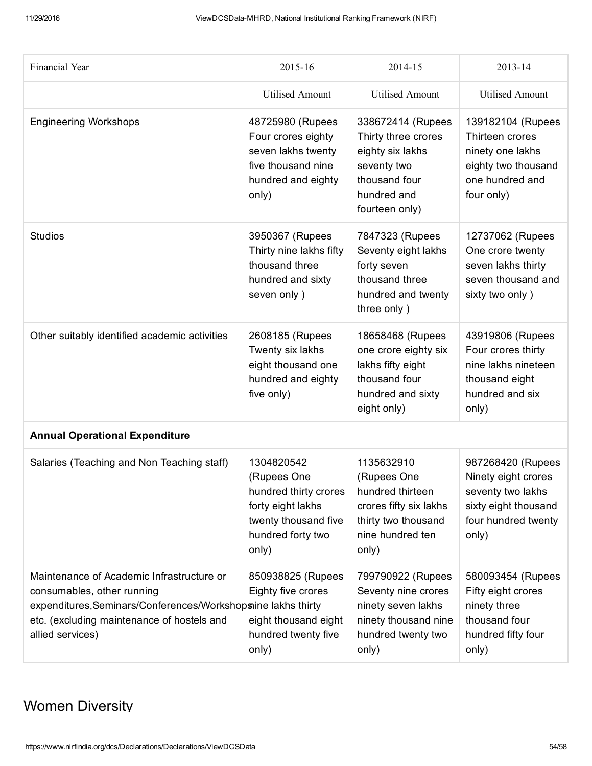| Financial Year                                                                                                                                                                                            | 2015-16                                                                                                                       | 2014-15                                                                                                                       | 2013-14                                                                                                               |
|-----------------------------------------------------------------------------------------------------------------------------------------------------------------------------------------------------------|-------------------------------------------------------------------------------------------------------------------------------|-------------------------------------------------------------------------------------------------------------------------------|-----------------------------------------------------------------------------------------------------------------------|
|                                                                                                                                                                                                           | <b>Utilised Amount</b>                                                                                                        | <b>Utilised Amount</b>                                                                                                        | <b>Utilised Amount</b>                                                                                                |
| <b>Engineering Workshops</b>                                                                                                                                                                              | 48725980 (Rupees<br>Four crores eighty<br>seven lakhs twenty<br>five thousand nine<br>hundred and eighty<br>only)             | 338672414 (Rupees<br>Thirty three crores<br>eighty six lakhs<br>seventy two<br>thousand four<br>hundred and<br>fourteen only) | 139182104 (Rupees<br>Thirteen crores<br>ninety one lakhs<br>eighty two thousand<br>one hundred and<br>four only)      |
| <b>Studios</b>                                                                                                                                                                                            | 3950367 (Rupees<br>Thirty nine lakhs fifty<br>thousand three<br>hundred and sixty<br>seven only)                              | 7847323 (Rupees<br>Seventy eight lakhs<br>forty seven<br>thousand three<br>hundred and twenty<br>three only)                  | 12737062 (Rupees<br>One crore twenty<br>seven lakhs thirty<br>seven thousand and<br>sixty two only)                   |
| Other suitably identified academic activities                                                                                                                                                             | 2608185 (Rupees<br>Twenty six lakhs<br>eight thousand one<br>hundred and eighty<br>five only)                                 | 18658468 (Rupees<br>one crore eighty six<br>lakhs fifty eight<br>thousand four<br>hundred and sixty<br>eight only)            | 43919806 (Rupees<br>Four crores thirty<br>nine lakhs nineteen<br>thousand eight<br>hundred and six<br>only)           |
| <b>Annual Operational Expenditure</b>                                                                                                                                                                     |                                                                                                                               |                                                                                                                               |                                                                                                                       |
| Salaries (Teaching and Non Teaching staff)                                                                                                                                                                | 1304820542<br>(Rupees One<br>hundred thirty crores<br>forty eight lakhs<br>twenty thousand five<br>hundred forty two<br>only) | 1135632910<br>(Rupees One<br>hundred thirteen<br>crores fifty six lakhs<br>thirty two thousand<br>nine hundred ten<br>only)   | 987268420 (Rupees<br>Ninety eight crores<br>seventy two lakhs<br>sixty eight thousand<br>four hundred twenty<br>only) |
| Maintenance of Academic Infrastructure or<br>consumables, other running<br>expenditures, Seminars/Conferences/Workshopsine lakhs thirty<br>etc. (excluding maintenance of hostels and<br>allied services) | 850938825 (Rupees<br>Eighty five crores<br>eight thousand eight<br>hundred twenty five<br>only)                               | 799790922 (Rupees<br>Seventy nine crores<br>ninety seven lakhs<br>ninety thousand nine<br>hundred twenty two<br>only)         | 580093454 (Rupees<br>Fifty eight crores<br>ninety three<br>thousand four<br>hundred fifty four<br>only)               |

### Women Diversity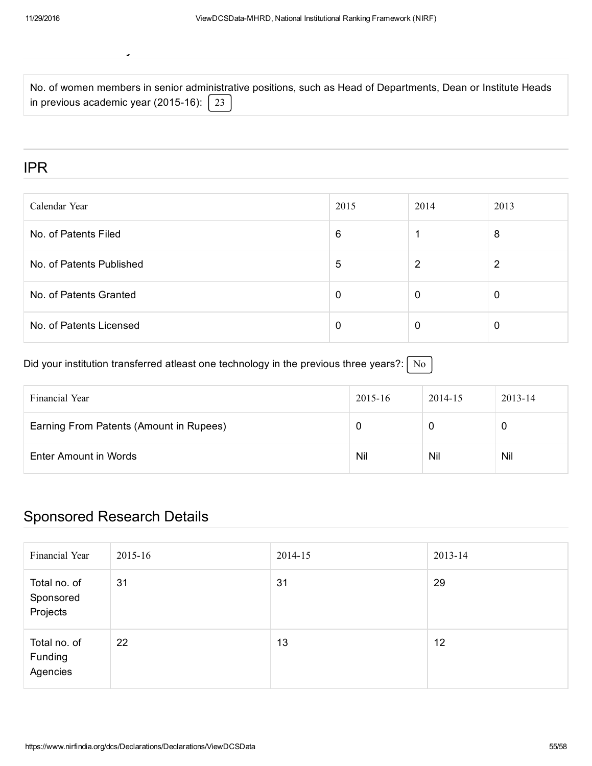Women Diversity

|                                                       | No. of women members in senior administrative positions, such as Head of Departments, Dean or Institute Heads |
|-------------------------------------------------------|---------------------------------------------------------------------------------------------------------------|
| in previous academic year (2015-16): $\mid$ 23 $\mid$ |                                                                                                               |

IPR

| Calendar Year            | 2015 | 2014        | 2013 |
|--------------------------|------|-------------|------|
| No. of Patents Filed     | 6    |             | 8    |
| No. of Patents Published | 5    | 2           | 2    |
| No. of Patents Granted   | 0    | $\mathbf 0$ |      |
| No. of Patents Licensed  | 0    | 0           | O    |

Did your institution transferred atleast one technology in the previous three years?:  $\sqrt{\phantom{a}}$  No

| Financial Year                          | 2015-16 | 2014-15 | $2013 - 14$ |
|-----------------------------------------|---------|---------|-------------|
| Earning From Patents (Amount in Rupees) |         |         | 0           |
| Enter Amount in Words                   | Nil     | Nil     | Nil         |

### Sponsored Research Details

| Financial Year                        | 2015-16 | 2014-15 | 2013-14 |
|---------------------------------------|---------|---------|---------|
| Total no. of<br>Sponsored<br>Projects | 31      | 31      | 29      |
| Total no. of<br>Funding<br>Agencies   | 22      | 13      | 12      |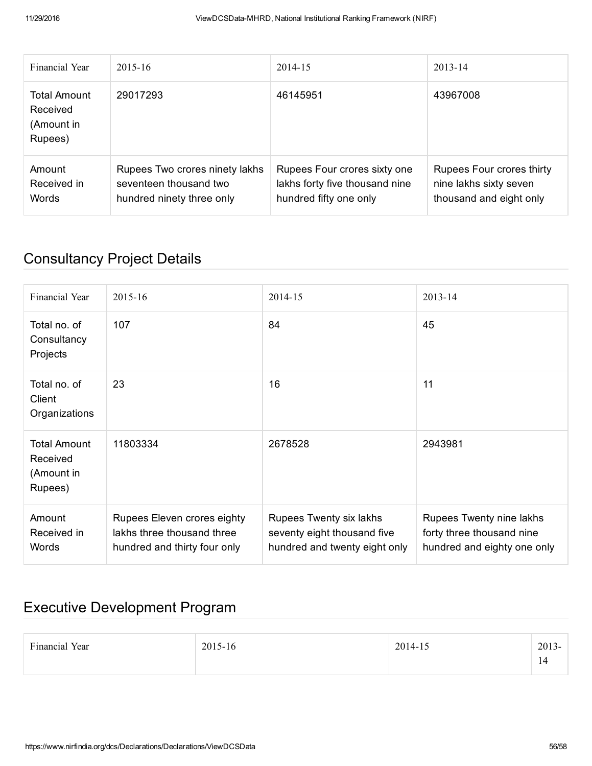| Financial Year                                    | $2015 - 16$                                                                           | 2014-15                                                                                  | $2013 - 14$                                                                    |
|---------------------------------------------------|---------------------------------------------------------------------------------------|------------------------------------------------------------------------------------------|--------------------------------------------------------------------------------|
| Total Amount<br>Received<br>(Amount in<br>Rupees) | 29017293                                                                              | 46145951                                                                                 | 43967008                                                                       |
| Amount<br>Received in<br>Words                    | Rupees Two crores ninety lakhs<br>seventeen thousand two<br>hundred ninety three only | Rupees Four crores sixty one<br>lakhs forty five thousand nine<br>hundred fifty one only | Rupees Four crores thirty<br>nine lakhs sixty seven<br>thousand and eight only |

## Consultancy Project Details

| Financial Year                                           | 2015-16                                                                                   | 2014-15                                                                                 | $2013 - 14$                                                                          |
|----------------------------------------------------------|-------------------------------------------------------------------------------------------|-----------------------------------------------------------------------------------------|--------------------------------------------------------------------------------------|
| Total no. of<br>Consultancy<br>Projects                  | 107                                                                                       | 84                                                                                      | 45                                                                                   |
| Total no, of<br>Client<br>Organizations                  | 23                                                                                        | 16                                                                                      | 11                                                                                   |
| <b>Total Amount</b><br>Received<br>(Amount in<br>Rupees) | 11803334                                                                                  | 2678528                                                                                 | 2943981                                                                              |
| Amount<br>Received in<br>Words                           | Rupees Eleven crores eighty<br>lakhs three thousand three<br>hundred and thirty four only | Rupees Twenty six lakhs<br>seventy eight thousand five<br>hundred and twenty eight only | Rupees Twenty nine lakhs<br>forty three thousand nine<br>hundred and eighty one only |

## Executive Development Program

| Financial Year | 2015-16 | 2014-15 | 2013<br>¬–<br>-17 |
|----------------|---------|---------|-------------------|
|----------------|---------|---------|-------------------|